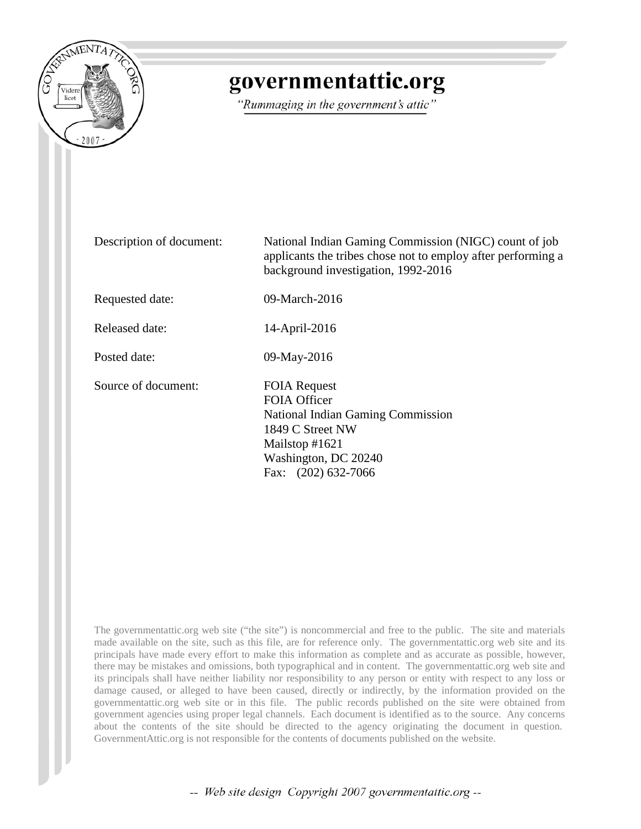

## governmentattic.org

"Rummaging in the government's attic"

Description of document: National Indian Gaming Commission (NIGC) count of job applicants the tribes chose not to employ after performing a background investigation, 1992-2016 Requested date: 09-March-2016 Released date: 14-April-2016 Posted date: 09-May-2016 Source of document: FOIA Request FOIA Officer National Indian Gaming Commission 1849 C Street NW Mailstop #1621 Washington, DC 20240 Fax: (202) 632-7066

The governmentattic.org web site ("the site") is noncommercial and free to the public. The site and materials made available on the site, such as this file, are for reference only. The governmentattic.org web site and its principals have made every effort to make this information as complete and as accurate as possible, however, there may be mistakes and omissions, both typographical and in content. The governmentattic.org web site and its principals shall have neither liability nor responsibility to any person or entity with respect to any loss or damage caused, or alleged to have been caused, directly or indirectly, by the information provided on the governmentattic.org web site or in this file. The public records published on the site were obtained from government agencies using proper legal channels. Each document is identified as to the source. Any concerns about the contents of the site should be directed to the agency originating the document in question. GovernmentAttic.org is not responsible for the contents of documents published on the website.

-- Web site design Copyright 2007 governmentattic.org --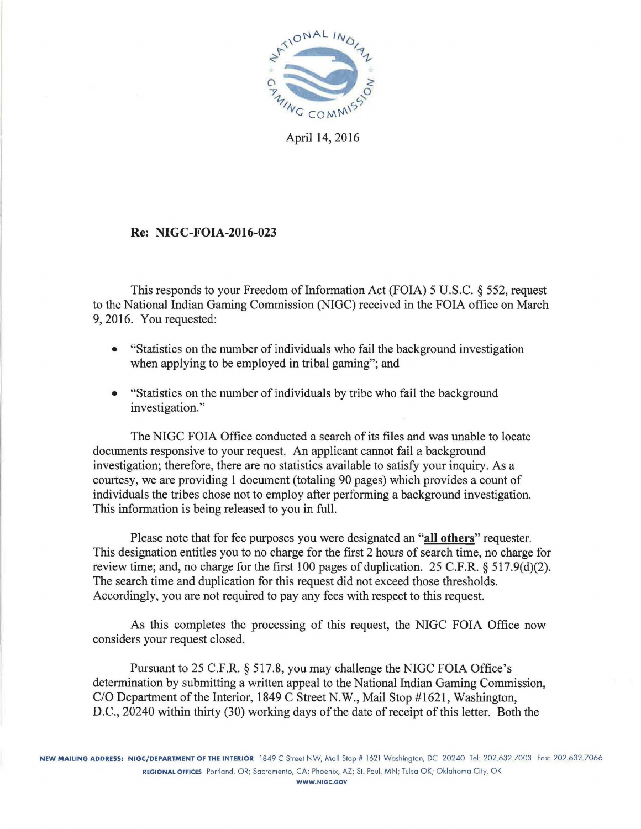

April 14, 2016

## Re: NIGC-FOIA-2016-023

This responds to your Freedom of Information Act (FOIA) 5 U.S.C. § 552, request to the National Indian Gaming Commission (NIGC) received in the FOIA office on March 9, 2016. You requested:

- "Statistics on the number of individuals who fail the background investigation when applying to be employed in tribal gaming"; and
- "Statistics on the number of individuals by tribe who fail the background investigation."

The NIGC FOIA Office conducted a search of its files and was unable to locate documents responsive to your request. An applicant cannot fail a background investigation; therefore, there are no statistics available to satisfy your inquiry. As a courtesy, we are providing 1 document (totaling 90 pages) which provides a count of individuals the tribes chose not to employ after performing a background investigation. This information is being released to you in full.

Please note that for fee purposes you were designated an "all others" requester. This designation entitles you to no charge for the first 2 hours of search time, no charge for review time; and, no charge for the first 100 pages of duplication. 25 C.F.R. § 517.9(d)(2). The search time and duplication for this request did not exceed those thresholds. Accordingly, you are not required to pay any fees with respect to this request.

As this completes the processing of this request, the NIGC FOIA Office now considers your request closed.

Pursuant to 25 C.F.R. § 517.8, you may challenge the NIGC FOIA Office's determination by submitting a written appeal to the National Indian Gaming Commission, C/O Department of the Interior, 1849 C Street N.W., Mail Stop #1621, Washington, D.C., 20240 within thirty (30) working days of the date of receipt of this letter. Both the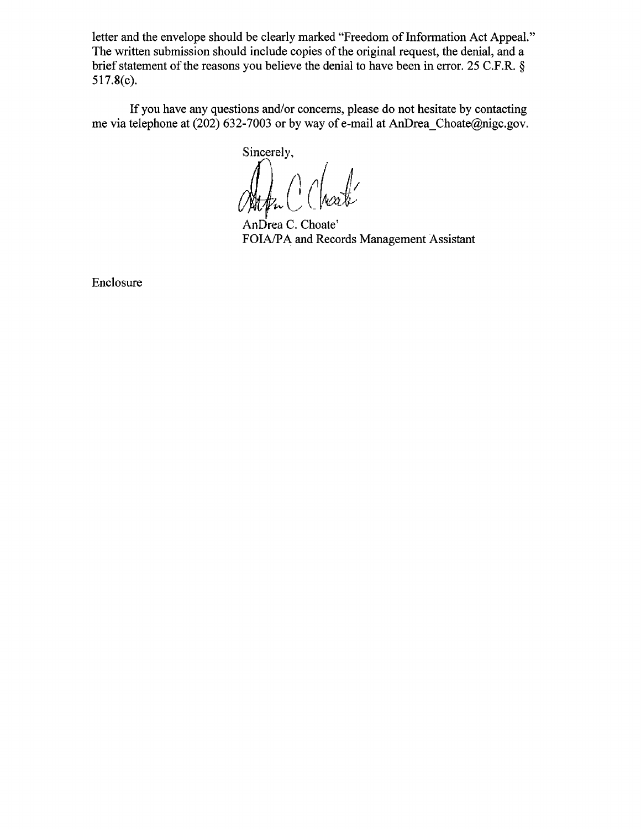letter and the envelope should be clearly marked "Freedom of Information Act Appeal." The written submission should include copies of the original request, the denial, and a brief statement of the reasons you believe the denial to have been in error. 25 C.F.R. § 517.8(c).

If you have any questions and/or concerns, please do not hesitate by contacting me via telephone at (202) 632-7003 or by way of e-mail at AnDrea\_Choate@nigc.gov.

Sincerely, White Chare

AnDrea C. Choate' FOIA/PA and Records Management Assistant

Enclosure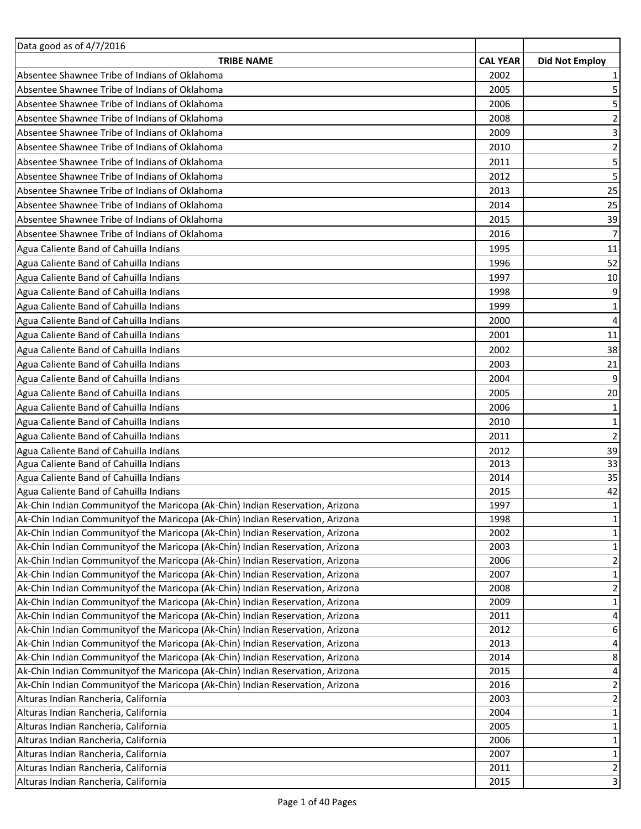| Data good as of 4/7/2016                                                         |                 |                       |
|----------------------------------------------------------------------------------|-----------------|-----------------------|
| <b>TRIBE NAME</b>                                                                | <b>CAL YEAR</b> | <b>Did Not Employ</b> |
| Absentee Shawnee Tribe of Indians of Oklahoma                                    | 2002            | 1                     |
| Absentee Shawnee Tribe of Indians of Oklahoma                                    | 2005            | 5                     |
| Absentee Shawnee Tribe of Indians of Oklahoma                                    | 2006            | 5                     |
| Absentee Shawnee Tribe of Indians of Oklahoma                                    | 2008            | $\overline{2}$        |
| Absentee Shawnee Tribe of Indians of Oklahoma                                    | 2009            | 3                     |
| Absentee Shawnee Tribe of Indians of Oklahoma                                    | 2010            | $\mathbf 2$           |
| Absentee Shawnee Tribe of Indians of Oklahoma                                    | 2011            |                       |
| Absentee Shawnee Tribe of Indians of Oklahoma                                    | 2012            | 5                     |
| Absentee Shawnee Tribe of Indians of Oklahoma                                    | 2013            | 25                    |
| Absentee Shawnee Tribe of Indians of Oklahoma                                    | 2014            | 25                    |
| Absentee Shawnee Tribe of Indians of Oklahoma                                    | 2015            | 39                    |
| Absentee Shawnee Tribe of Indians of Oklahoma                                    | 2016            | $\overline{7}$        |
| Agua Caliente Band of Cahuilla Indians                                           | 1995            | 11                    |
| Agua Caliente Band of Cahuilla Indians                                           | 1996            | 52                    |
| Agua Caliente Band of Cahuilla Indians                                           | 1997            | 10                    |
| Agua Caliente Band of Cahuilla Indians                                           | 1998            | 9                     |
| Agua Caliente Band of Cahuilla Indians                                           | 1999            | 1                     |
| Agua Caliente Band of Cahuilla Indians                                           | 2000            | 4                     |
| Agua Caliente Band of Cahuilla Indians                                           | 2001            | 11                    |
| Agua Caliente Band of Cahuilla Indians                                           | 2002            | 38                    |
| Agua Caliente Band of Cahuilla Indians                                           | 2003            | 21                    |
| Agua Caliente Band of Cahuilla Indians                                           | 2004            | 9                     |
| Agua Caliente Band of Cahuilla Indians                                           | 2005            | 20                    |
| Agua Caliente Band of Cahuilla Indians                                           | 2006            |                       |
| Agua Caliente Band of Cahuilla Indians                                           | 2010            | 1<br>$\mathbf 1$      |
|                                                                                  |                 |                       |
| Agua Caliente Band of Cahuilla Indians                                           | 2011            | $\overline{2}$        |
| Agua Caliente Band of Cahuilla Indians<br>Agua Caliente Band of Cahuilla Indians | 2012<br>2013    | 39<br>33              |
| Agua Caliente Band of Cahuilla Indians                                           | 2014            | 35                    |
| Agua Caliente Band of Cahuilla Indians                                           | 2015            | 42                    |
| Ak-Chin Indian Community of the Maricopa (Ak-Chin) Indian Reservation, Arizona   | 1997            | $\mathbf{1}$          |
| Ak-Chin Indian Community of the Maricopa (Ak-Chin) Indian Reservation, Arizona   | 1998            | 1                     |
| Ak-Chin Indian Communityof the Maricopa (Ak-Chin) Indian Reservation, Arizona    | 2002            | 1                     |
| Ak-Chin Indian Communityof the Maricopa (Ak-Chin) Indian Reservation, Arizona    | 2003            | $\mathbf 1$           |
| Ak-Chin Indian Community of the Maricopa (Ak-Chin) Indian Reservation, Arizona   | 2006            | $\mathbf 2$           |
| Ak-Chin Indian Community of the Maricopa (Ak-Chin) Indian Reservation, Arizona   | 2007            | $\mathbf{1}$          |
| Ak-Chin Indian Community of the Maricopa (Ak-Chin) Indian Reservation, Arizona   | 2008            | $\mathbf 2$           |
| Ak-Chin Indian Community of the Maricopa (Ak-Chin) Indian Reservation, Arizona   | 2009            | $\mathbf 1$           |
| Ak-Chin Indian Community of the Maricopa (Ak-Chin) Indian Reservation, Arizona   | 2011            | 4                     |
| Ak-Chin Indian Community of the Maricopa (Ak-Chin) Indian Reservation, Arizona   | 2012            | 6                     |
| Ak-Chin Indian Community of the Maricopa (Ak-Chin) Indian Reservation, Arizona   | 2013            | 4                     |
| Ak-Chin Indian Community of the Maricopa (Ak-Chin) Indian Reservation, Arizona   | 2014            | 8                     |
| Ak-Chin Indian Community of the Maricopa (Ak-Chin) Indian Reservation, Arizona   | 2015            | 4                     |
| Ak-Chin Indian Communityof the Maricopa (Ak-Chin) Indian Reservation, Arizona    | 2016            | $\overline{a}$        |
| Alturas Indian Rancheria, California                                             | 2003            | $\mathbf 2$           |
| Alturas Indian Rancheria, California                                             | 2004            | $\overline{1}$        |
| Alturas Indian Rancheria, California                                             | 2005            | $\mathbf{1}$          |
| Alturas Indian Rancheria, California                                             | 2006            | $\mathbf 1$           |
| Alturas Indian Rancheria, California                                             | 2007            | $\mathbf 1$           |
| Alturas Indian Rancheria, California                                             | 2011            | $\mathbf{2}$          |
| Alturas Indian Rancheria, California                                             | 2015            | $\mathsf 3$           |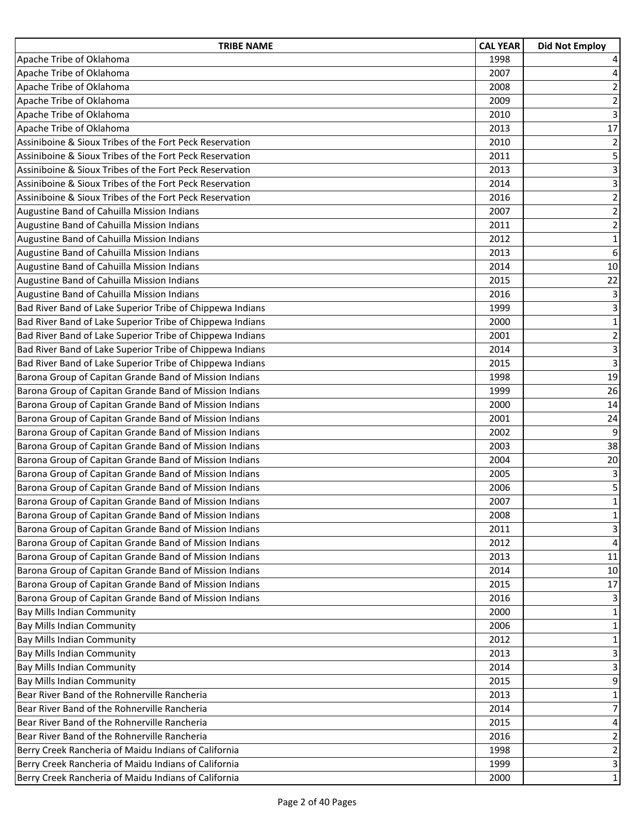| <b>TRIBE NAME</b>                                         | <b>CAL YEAR</b> | <b>Did Not Employ</b>   |
|-----------------------------------------------------------|-----------------|-------------------------|
| Apache Tribe of Oklahoma                                  | 1998            | 4                       |
| Apache Tribe of Oklahoma                                  | 2007            | 4                       |
| Apache Tribe of Oklahoma                                  | 2008            | $\overline{2}$          |
| Apache Tribe of Oklahoma                                  | 2009            | $\overline{2}$          |
| Apache Tribe of Oklahoma                                  | 2010            | $\overline{3}$          |
| Apache Tribe of Oklahoma                                  | 2013            | 17                      |
| Assiniboine & Sioux Tribes of the Fort Peck Reservation   | 2010            | $\overline{2}$          |
| Assiniboine & Sioux Tribes of the Fort Peck Reservation   | 2011            | 5                       |
| Assiniboine & Sioux Tribes of the Fort Peck Reservation   | 2013            | 3                       |
| Assiniboine & Sioux Tribes of the Fort Peck Reservation   | 2014            | $\overline{3}$          |
| Assiniboine & Sioux Tribes of the Fort Peck Reservation   | 2016            | $\overline{c}$          |
| Augustine Band of Cahuilla Mission Indians                | 2007            | $\mathbf 2$             |
| Augustine Band of Cahuilla Mission Indians                | 2011            | $\overline{2}$          |
| Augustine Band of Cahuilla Mission Indians                | 2012            | $\mathbf 1$             |
| Augustine Band of Cahuilla Mission Indians                | 2013            | $\overline{6}$          |
| Augustine Band of Cahuilla Mission Indians                | 2014            | 10                      |
| Augustine Band of Cahuilla Mission Indians                | 2015            | 22                      |
| Augustine Band of Cahuilla Mission Indians                | 2016            | 3                       |
| Bad River Band of Lake Superior Tribe of Chippewa Indians | 1999            | 3                       |
| Bad River Band of Lake Superior Tribe of Chippewa Indians | 2000            | $\overline{1}$          |
| Bad River Band of Lake Superior Tribe of Chippewa Indians | 2001            | $\overline{c}$          |
| Bad River Band of Lake Superior Tribe of Chippewa Indians | 2014            | 3                       |
| Bad River Band of Lake Superior Tribe of Chippewa Indians | 2015            | 3                       |
| Barona Group of Capitan Grande Band of Mission Indians    | 1998            | 19                      |
| Barona Group of Capitan Grande Band of Mission Indians    | 1999            | 26                      |
| Barona Group of Capitan Grande Band of Mission Indians    | 2000            | 14                      |
| Barona Group of Capitan Grande Band of Mission Indians    | 2001            | 24                      |
| Barona Group of Capitan Grande Band of Mission Indians    | 2002            | 9                       |
| Barona Group of Capitan Grande Band of Mission Indians    | 2003            | 38                      |
| Barona Group of Capitan Grande Band of Mission Indians    | 2004            | 20                      |
| Barona Group of Capitan Grande Band of Mission Indians    | 2005            | 3                       |
| Barona Group of Capitan Grande Band of Mission Indians    | 2006            | 5                       |
| Barona Group of Capitan Grande Band of Mission Indians    | 2007            | $\mathbf{1}$            |
| Barona Group of Capitan Grande Band of Mission Indians    | 2008            | $\mathbf 1$             |
| Barona Group of Capitan Grande Band of Mission Indians    | 2011            | 3                       |
| Barona Group of Capitan Grande Band of Mission Indians    | 2012            | 4                       |
| Barona Group of Capitan Grande Band of Mission Indians    | 2013            | 11                      |
| Barona Group of Capitan Grande Band of Mission Indians    | 2014            | 10                      |
| Barona Group of Capitan Grande Band of Mission Indians    | 2015            | 17                      |
| Barona Group of Capitan Grande Band of Mission Indians    | 2016            | 3                       |
| Bay Mills Indian Community                                | 2000            | 1                       |
| <b>Bay Mills Indian Community</b>                         | 2006            | 1                       |
| <b>Bay Mills Indian Community</b>                         | 2012            | $\mathbf{1}$            |
| <b>Bay Mills Indian Community</b>                         | 2013            | 3                       |
| <b>Bay Mills Indian Community</b>                         | 2014            | 3                       |
| <b>Bay Mills Indian Community</b>                         | 2015            | 9                       |
| Bear River Band of the Rohnerville Rancheria              | 2013            | $\mathbf{1}$            |
| Bear River Band of the Rohnerville Rancheria              | 2014            | 7                       |
| Bear River Band of the Rohnerville Rancheria              | 2015            | 4                       |
| Bear River Band of the Rohnerville Rancheria              | 2016            | $\overline{2}$          |
| Berry Creek Rancheria of Maidu Indians of California      | 1998            | $\overline{\mathbf{c}}$ |
| Berry Creek Rancheria of Maidu Indians of California      | 1999            | 3                       |
| Berry Creek Rancheria of Maidu Indians of California      | 2000            | $\mathbf{1}$            |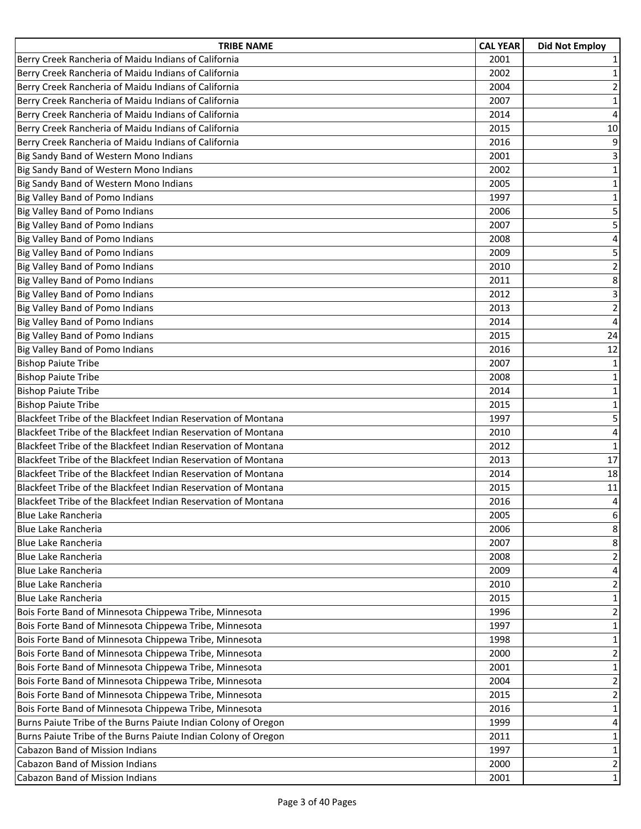| <b>TRIBE NAME</b>                                              | <b>CAL YEAR</b> | <b>Did Not Employ</b>   |
|----------------------------------------------------------------|-----------------|-------------------------|
| Berry Creek Rancheria of Maidu Indians of California           | 2001            | 1                       |
| Berry Creek Rancheria of Maidu Indians of California           | 2002            | $\mathbf 1$             |
| Berry Creek Rancheria of Maidu Indians of California           | 2004            | $\overline{2}$          |
| Berry Creek Rancheria of Maidu Indians of California           | 2007            | $\mathbf{1}$            |
| Berry Creek Rancheria of Maidu Indians of California           | 2014            | $\overline{4}$          |
| Berry Creek Rancheria of Maidu Indians of California           | 2015            | $10\,$                  |
| Berry Creek Rancheria of Maidu Indians of California           | 2016            | 9                       |
| Big Sandy Band of Western Mono Indians                         | 2001            | 3                       |
| Big Sandy Band of Western Mono Indians                         | 2002            | $\mathbf 1$             |
| Big Sandy Band of Western Mono Indians                         | 2005            | $\mathbf 1$             |
| Big Valley Band of Pomo Indians                                | 1997            | $\mathbf 1$             |
| Big Valley Band of Pomo Indians                                | 2006            | 5                       |
| Big Valley Band of Pomo Indians                                | 2007            | 5                       |
| Big Valley Band of Pomo Indians                                | 2008            | 4                       |
| Big Valley Band of Pomo Indians                                | 2009            | 5                       |
| Big Valley Band of Pomo Indians                                | 2010            | $\overline{\mathbf{c}}$ |
| Big Valley Band of Pomo Indians                                | 2011            | 8                       |
| <b>Big Valley Band of Pomo Indians</b>                         | 2012            | 3                       |
| <b>Big Valley Band of Pomo Indians</b>                         | 2013            | $\overline{2}$          |
| Big Valley Band of Pomo Indians                                | 2014            | $\overline{4}$          |
| <b>Big Valley Band of Pomo Indians</b>                         | 2015            | 24                      |
| Big Valley Band of Pomo Indians                                | 2016            | 12                      |
| <b>Bishop Paiute Tribe</b>                                     | 2007            | $\mathbf 1$             |
| <b>Bishop Paiute Tribe</b>                                     | 2008            | $\mathbf 1$             |
| <b>Bishop Paiute Tribe</b>                                     | 2014            | $\mathbf 1$             |
| <b>Bishop Paiute Tribe</b>                                     | 2015            | $\mathbf 1$             |
| Blackfeet Tribe of the Blackfeet Indian Reservation of Montana | 1997            | 5                       |
| Blackfeet Tribe of the Blackfeet Indian Reservation of Montana | 2010            | $\overline{\mathbf{4}}$ |
| Blackfeet Tribe of the Blackfeet Indian Reservation of Montana | 2012            | $\mathbf 1$             |
| Blackfeet Tribe of the Blackfeet Indian Reservation of Montana | 2013            | 17                      |
| Blackfeet Tribe of the Blackfeet Indian Reservation of Montana | 2014            | 18                      |
| Blackfeet Tribe of the Blackfeet Indian Reservation of Montana | 2015            | 11                      |
| Blackfeet Tribe of the Blackfeet Indian Reservation of Montana | 2016            | 4                       |
| <b>Blue Lake Rancheria</b>                                     | 2005            | 6                       |
| Blue Lake Rancheria                                            | 2006            | 8                       |
| Blue Lake Rancheria                                            | 2007            | 8                       |
| <b>Blue Lake Rancheria</b>                                     | 2008            | $\overline{2}$          |
| Blue Lake Rancheria                                            | 2009            | 4                       |
| Blue Lake Rancheria                                            | 2010            | $\overline{2}$          |
| Blue Lake Rancheria                                            | 2015            | $\mathbf 1$             |
| Bois Forte Band of Minnesota Chippewa Tribe, Minnesota         | 1996            | $\overline{\mathbf{c}}$ |
| Bois Forte Band of Minnesota Chippewa Tribe, Minnesota         | 1997            | $\mathbf 1$             |
| Bois Forte Band of Minnesota Chippewa Tribe, Minnesota         | 1998            | $\mathbf 1$             |
| Bois Forte Band of Minnesota Chippewa Tribe, Minnesota         | 2000            | $\overline{2}$          |
| Bois Forte Band of Minnesota Chippewa Tribe, Minnesota         | 2001            | $\mathbf 1$             |
| Bois Forte Band of Minnesota Chippewa Tribe, Minnesota         | 2004            | $\overline{2}$          |
| Bois Forte Band of Minnesota Chippewa Tribe, Minnesota         | 2015            | $\overline{2}$          |
| Bois Forte Band of Minnesota Chippewa Tribe, Minnesota         | 2016            | $\mathbf{1}$            |
| Burns Paiute Tribe of the Burns Paiute Indian Colony of Oregon | 1999            | 4                       |
| Burns Paiute Tribe of the Burns Paiute Indian Colony of Oregon | 2011            | $\mathbf 1$             |
| Cabazon Band of Mission Indians                                | 1997            | $\mathbf 1$             |
| Cabazon Band of Mission Indians                                | 2000            | $\overline{2}$          |
| Cabazon Band of Mission Indians                                | 2001            | $\mathbf{1}$            |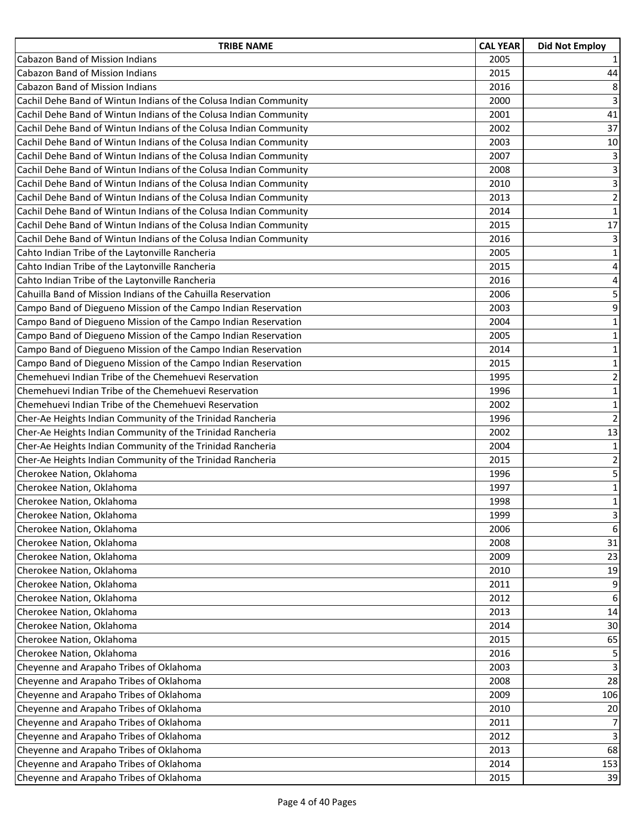| <b>TRIBE NAME</b>                                                 | <b>CAL YEAR</b> | <b>Did Not Employ</b>   |
|-------------------------------------------------------------------|-----------------|-------------------------|
| <b>Cabazon Band of Mission Indians</b>                            | 2005            | 1                       |
| <b>Cabazon Band of Mission Indians</b>                            | 2015            | 44                      |
| <b>Cabazon Band of Mission Indians</b>                            | 2016            | 8                       |
| Cachil Dehe Band of Wintun Indians of the Colusa Indian Community | 2000            | 3                       |
| Cachil Dehe Band of Wintun Indians of the Colusa Indian Community | 2001            | 41                      |
| Cachil Dehe Band of Wintun Indians of the Colusa Indian Community | 2002            | 37                      |
| Cachil Dehe Band of Wintun Indians of the Colusa Indian Community | 2003            | $10\,$                  |
| Cachil Dehe Band of Wintun Indians of the Colusa Indian Community | 2007            | 3                       |
| Cachil Dehe Band of Wintun Indians of the Colusa Indian Community | 2008            | 3                       |
| Cachil Dehe Band of Wintun Indians of the Colusa Indian Community | 2010            | $\overline{3}$          |
| Cachil Dehe Band of Wintun Indians of the Colusa Indian Community | 2013            | $\overline{\mathbf{c}}$ |
| Cachil Dehe Band of Wintun Indians of the Colusa Indian Community | 2014            | $\mathbf 1$             |
| Cachil Dehe Band of Wintun Indians of the Colusa Indian Community | 2015            | 17                      |
| Cachil Dehe Band of Wintun Indians of the Colusa Indian Community | 2016            | 3                       |
| Cahto Indian Tribe of the Laytonville Rancheria                   | 2005            | $\mathbf 1$             |
| Cahto Indian Tribe of the Laytonville Rancheria                   | 2015            | $\sqrt{4}$              |
| Cahto Indian Tribe of the Laytonville Rancheria                   | 2016            | 4                       |
| Cahuilla Band of Mission Indians of the Cahuilla Reservation      | 2006            | 5                       |
| Campo Band of Diegueno Mission of the Campo Indian Reservation    | 2003            | 9                       |
| Campo Band of Diegueno Mission of the Campo Indian Reservation    | 2004            | $\mathbf 1$             |
| Campo Band of Diegueno Mission of the Campo Indian Reservation    | 2005            | $\mathbf 1$             |
| Campo Band of Diegueno Mission of the Campo Indian Reservation    | 2014            | $\mathbf 1$             |
| Campo Band of Diegueno Mission of the Campo Indian Reservation    | 2015            | $\mathbf 1$             |
| Chemehuevi Indian Tribe of the Chemehuevi Reservation             | 1995            | $\overline{2}$          |
| Chemehuevi Indian Tribe of the Chemehuevi Reservation             | 1996            | $\mathbf 1$             |
| Chemehuevi Indian Tribe of the Chemehuevi Reservation             | 2002            | $\mathbf 1$             |
| Cher-Ae Heights Indian Community of the Trinidad Rancheria        | 1996            | $\overline{2}$          |
| Cher-Ae Heights Indian Community of the Trinidad Rancheria        | 2002            | 13                      |
| Cher-Ae Heights Indian Community of the Trinidad Rancheria        | 2004            | $\mathbf 1$             |
| Cher-Ae Heights Indian Community of the Trinidad Rancheria        | 2015            | $\mathbf 2$             |
| Cherokee Nation, Oklahoma                                         | 1996            | 5                       |
| Cherokee Nation, Oklahoma                                         | 1997            | $\mathbf 1$             |
| Cherokee Nation, Oklahoma                                         | 1998            | $\mathbf 1$             |
| Cherokee Nation, Oklahoma                                         | 1999            | 3                       |
| Cherokee Nation, Oklahoma                                         | 2006            | 6                       |
| Cherokee Nation, Oklahoma                                         | 2008            | 31                      |
| Cherokee Nation, Oklahoma                                         | 2009            | 23                      |
| Cherokee Nation, Oklahoma                                         | 2010            | 19                      |
| Cherokee Nation, Oklahoma                                         | 2011            | 9                       |
| Cherokee Nation, Oklahoma                                         | 2012            | 6                       |
| Cherokee Nation, Oklahoma                                         | 2013            | 14                      |
| Cherokee Nation, Oklahoma                                         | 2014            | 30                      |
| Cherokee Nation, Oklahoma                                         | 2015            | 65                      |
| Cherokee Nation, Oklahoma                                         | 2016            | 5                       |
| Cheyenne and Arapaho Tribes of Oklahoma                           | 2003            | 3                       |
| Cheyenne and Arapaho Tribes of Oklahoma                           | 2008            | 28                      |
| Cheyenne and Arapaho Tribes of Oklahoma                           | 2009            | 106                     |
| Cheyenne and Arapaho Tribes of Oklahoma                           | 2010            | 20                      |
| Cheyenne and Arapaho Tribes of Oklahoma                           | 2011            | $\overline{7}$          |
| Cheyenne and Arapaho Tribes of Oklahoma                           | 2012            | 3                       |
| Cheyenne and Arapaho Tribes of Oklahoma                           | 2013            | 68                      |
| Cheyenne and Arapaho Tribes of Oklahoma                           | 2014            | 153                     |
| Cheyenne and Arapaho Tribes of Oklahoma                           | 2015            | 39                      |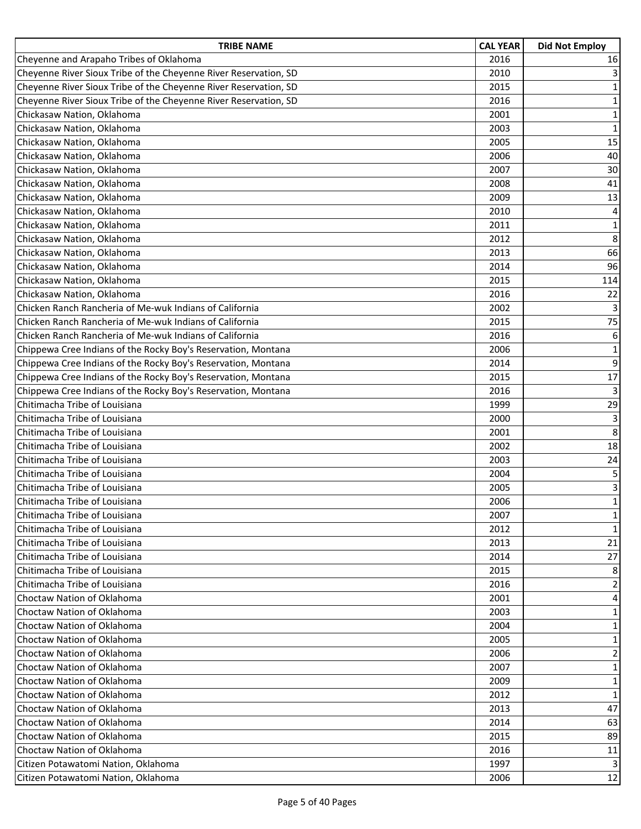| <b>TRIBE NAME</b>                                                | <b>CAL YEAR</b> | <b>Did Not Employ</b>   |
|------------------------------------------------------------------|-----------------|-------------------------|
| Cheyenne and Arapaho Tribes of Oklahoma                          | 2016            | 16                      |
| Cheyenne River Sioux Tribe of the Cheyenne River Reservation, SD | 2010            | 3                       |
| Cheyenne River Sioux Tribe of the Cheyenne River Reservation, SD | 2015            | $\mathbf 1$             |
| Cheyenne River Sioux Tribe of the Cheyenne River Reservation, SD | 2016            | $\mathbf 1$             |
| Chickasaw Nation, Oklahoma                                       | 2001            | $\mathbf 1$             |
| Chickasaw Nation, Oklahoma                                       | 2003            | $\mathbf 1$             |
| Chickasaw Nation, Oklahoma                                       | 2005            | 15                      |
| Chickasaw Nation, Oklahoma                                       | 2006            | 40                      |
| Chickasaw Nation, Oklahoma                                       | 2007            | 30                      |
| Chickasaw Nation, Oklahoma                                       | 2008            | 41                      |
| Chickasaw Nation, Oklahoma                                       | 2009            | 13                      |
| Chickasaw Nation, Oklahoma                                       | 2010            | $\overline{\mathbf{4}}$ |
| Chickasaw Nation, Oklahoma                                       | 2011            | $\mathbf 1$             |
| Chickasaw Nation, Oklahoma                                       | 2012            | 8                       |
| Chickasaw Nation, Oklahoma                                       | 2013            | 66                      |
| Chickasaw Nation, Oklahoma                                       | 2014            | 96                      |
| Chickasaw Nation, Oklahoma                                       | 2015            | 114                     |
| Chickasaw Nation, Oklahoma                                       | 2016            | 22                      |
| Chicken Ranch Rancheria of Me-wuk Indians of California          | 2002            | 3                       |
| Chicken Ranch Rancheria of Me-wuk Indians of California          | 2015            | 75                      |
| Chicken Ranch Rancheria of Me-wuk Indians of California          | 2016            | 6                       |
| Chippewa Cree Indians of the Rocky Boy's Reservation, Montana    | 2006            | $\mathbf 1$             |
| Chippewa Cree Indians of the Rocky Boy's Reservation, Montana    | 2014            | 9                       |
| Chippewa Cree Indians of the Rocky Boy's Reservation, Montana    | 2015            | 17                      |
| Chippewa Cree Indians of the Rocky Boy's Reservation, Montana    | 2016            | $\overline{3}$          |
| Chitimacha Tribe of Louisiana                                    | 1999            | 29                      |
| Chitimacha Tribe of Louisiana                                    | 2000            | 3                       |
| Chitimacha Tribe of Louisiana                                    | 2001            | 8                       |
| Chitimacha Tribe of Louisiana                                    | 2002            | 18                      |
| Chitimacha Tribe of Louisiana                                    | 2003            | 24                      |
| Chitimacha Tribe of Louisiana                                    | 2004            | 5                       |
| Chitimacha Tribe of Louisiana                                    | 2005            | $\mathsf 3$             |
| Chitimacha Tribe of Louisiana                                    | 2006            | $\mathbf 1$             |
| Chitimacha Tribe of Louisiana                                    | 2007            | $\mathbf 1$             |
| Chitimacha Tribe of Louisiana                                    | 2012            | $\mathbf{1}$            |
| Chitimacha Tribe of Louisiana                                    | 2013            | 21                      |
| Chitimacha Tribe of Louisiana                                    | 2014            | 27                      |
| Chitimacha Tribe of Louisiana                                    | 2015            | 8                       |
| Chitimacha Tribe of Louisiana                                    | 2016            | 2                       |
| Choctaw Nation of Oklahoma                                       | 2001            | 4                       |
| Choctaw Nation of Oklahoma                                       | 2003            | 1                       |
| Choctaw Nation of Oklahoma                                       | 2004            | $\mathbf{1}$            |
| Choctaw Nation of Oklahoma                                       | 2005            | 1                       |
| Choctaw Nation of Oklahoma                                       | 2006            | 2                       |
| Choctaw Nation of Oklahoma                                       | 2007            | $\mathbf{1}$            |
| Choctaw Nation of Oklahoma                                       | 2009            | 1                       |
| Choctaw Nation of Oklahoma                                       | 2012            | $\mathbf{1}$            |
| Choctaw Nation of Oklahoma                                       | 2013            | 47                      |
| Choctaw Nation of Oklahoma                                       | 2014            | 63                      |
| Choctaw Nation of Oklahoma                                       | 2015            | 89                      |
| Choctaw Nation of Oklahoma                                       | 2016            | 11                      |
| Citizen Potawatomi Nation, Oklahoma                              | 1997            | 3                       |
| Citizen Potawatomi Nation, Oklahoma                              | 2006            | 12                      |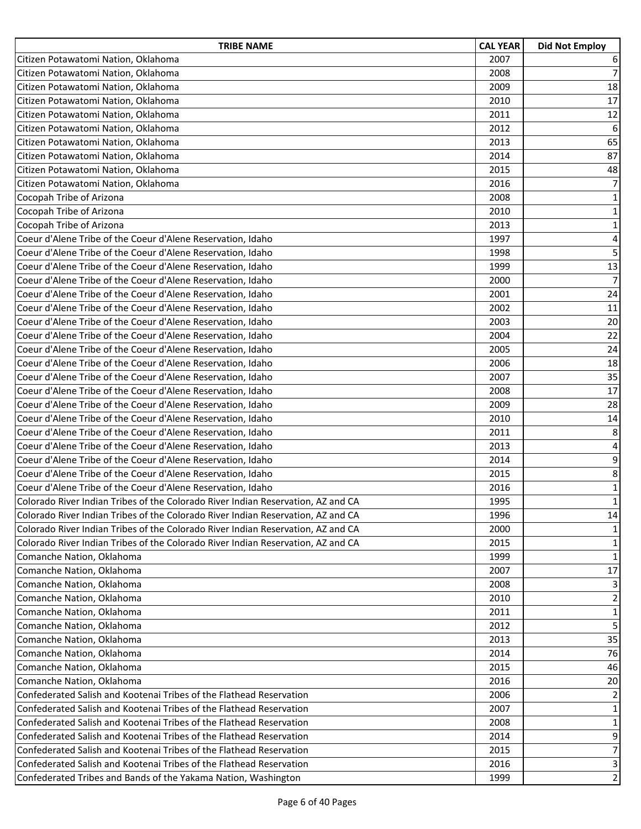| <b>TRIBE NAME</b>                                                                | <b>CAL YEAR</b> | <b>Did Not Employ</b>   |
|----------------------------------------------------------------------------------|-----------------|-------------------------|
| Citizen Potawatomi Nation, Oklahoma                                              | 2007            | 6                       |
| Citizen Potawatomi Nation, Oklahoma                                              | 2008            | $\overline{7}$          |
| Citizen Potawatomi Nation, Oklahoma                                              | 2009            | 18                      |
| Citizen Potawatomi Nation, Oklahoma                                              | 2010            | 17                      |
| Citizen Potawatomi Nation, Oklahoma                                              | 2011            | 12                      |
| Citizen Potawatomi Nation, Oklahoma                                              | 2012            | 6                       |
| Citizen Potawatomi Nation, Oklahoma                                              | 2013            | 65                      |
| Citizen Potawatomi Nation, Oklahoma                                              | 2014            | 87                      |
| Citizen Potawatomi Nation, Oklahoma                                              | 2015            | 48                      |
| Citizen Potawatomi Nation, Oklahoma                                              | 2016            | $\overline{7}$          |
| Cocopah Tribe of Arizona                                                         | 2008            | $\mathbf 1$             |
| Cocopah Tribe of Arizona                                                         | 2010            | $\mathbf 1$             |
| Cocopah Tribe of Arizona                                                         | 2013            | $1\,$                   |
| Coeur d'Alene Tribe of the Coeur d'Alene Reservation, Idaho                      | 1997            | $\overline{\mathbf{4}}$ |
| Coeur d'Alene Tribe of the Coeur d'Alene Reservation, Idaho                      | 1998            | $\overline{\mathbf{5}}$ |
| Coeur d'Alene Tribe of the Coeur d'Alene Reservation, Idaho                      | 1999            | 13                      |
| Coeur d'Alene Tribe of the Coeur d'Alene Reservation, Idaho                      | 2000            | $\overline{7}$          |
| Coeur d'Alene Tribe of the Coeur d'Alene Reservation, Idaho                      | 2001            | 24                      |
| Coeur d'Alene Tribe of the Coeur d'Alene Reservation, Idaho                      | 2002            | 11                      |
| Coeur d'Alene Tribe of the Coeur d'Alene Reservation, Idaho                      | 2003            | 20                      |
| Coeur d'Alene Tribe of the Coeur d'Alene Reservation, Idaho                      | 2004            | 22                      |
| Coeur d'Alene Tribe of the Coeur d'Alene Reservation, Idaho                      | 2005            | 24                      |
| Coeur d'Alene Tribe of the Coeur d'Alene Reservation, Idaho                      | 2006            | 18                      |
| Coeur d'Alene Tribe of the Coeur d'Alene Reservation, Idaho                      | 2007            | 35                      |
| Coeur d'Alene Tribe of the Coeur d'Alene Reservation, Idaho                      | 2008            | 17                      |
| Coeur d'Alene Tribe of the Coeur d'Alene Reservation, Idaho                      | 2009            | 28                      |
| Coeur d'Alene Tribe of the Coeur d'Alene Reservation, Idaho                      | 2010            | 14                      |
| Coeur d'Alene Tribe of the Coeur d'Alene Reservation, Idaho                      | 2011            | 8                       |
| Coeur d'Alene Tribe of the Coeur d'Alene Reservation, Idaho                      | 2013            | 4                       |
| Coeur d'Alene Tribe of the Coeur d'Alene Reservation, Idaho                      | 2014            | 9                       |
| Coeur d'Alene Tribe of the Coeur d'Alene Reservation, Idaho                      | 2015            | 8                       |
| Coeur d'Alene Tribe of the Coeur d'Alene Reservation, Idaho                      | 2016            | $\mathbf 1$             |
| Colorado River Indian Tribes of the Colorado River Indian Reservation, AZ and CA | 1995            | $\mathbf 1$             |
| Colorado River Indian Tribes of the Colorado River Indian Reservation, AZ and CA | 1996            | 14                      |
| Colorado River Indian Tribes of the Colorado River Indian Reservation, AZ and CA | 2000            | 1                       |
| Colorado River Indian Tribes of the Colorado River Indian Reservation, AZ and CA | 2015            | $\mathbf{1}$            |
| Comanche Nation, Oklahoma                                                        | 1999            | $\mathbf{1}$            |
| Comanche Nation, Oklahoma                                                        | 2007            | 17                      |
| Comanche Nation, Oklahoma                                                        | 2008            | 3                       |
| Comanche Nation, Oklahoma                                                        | 2010            | $\overline{2}$          |
| Comanche Nation, Oklahoma                                                        | 2011            | $\mathbf 1$             |
| Comanche Nation, Oklahoma                                                        | 2012            | 5                       |
| Comanche Nation, Oklahoma                                                        | 2013            | 35                      |
| Comanche Nation, Oklahoma                                                        | 2014            | 76                      |
| Comanche Nation, Oklahoma                                                        | 2015            | 46                      |
| Comanche Nation, Oklahoma                                                        | 2016            | 20                      |
| Confederated Salish and Kootenai Tribes of the Flathead Reservation              | 2006            | $\overline{2}$          |
| Confederated Salish and Kootenai Tribes of the Flathead Reservation              | 2007            | $\mathbf{1}$            |
| Confederated Salish and Kootenai Tribes of the Flathead Reservation              | 2008            | $\mathbf 1$             |
| Confederated Salish and Kootenai Tribes of the Flathead Reservation              | 2014            | $\boldsymbol{9}$        |
| Confederated Salish and Kootenai Tribes of the Flathead Reservation              | 2015            | $\overline{7}$          |
| Confederated Salish and Kootenai Tribes of the Flathead Reservation              | 2016            | $\mathbf{3}$            |
| Confederated Tribes and Bands of the Yakama Nation, Washington                   | 1999            | $\overline{2}$          |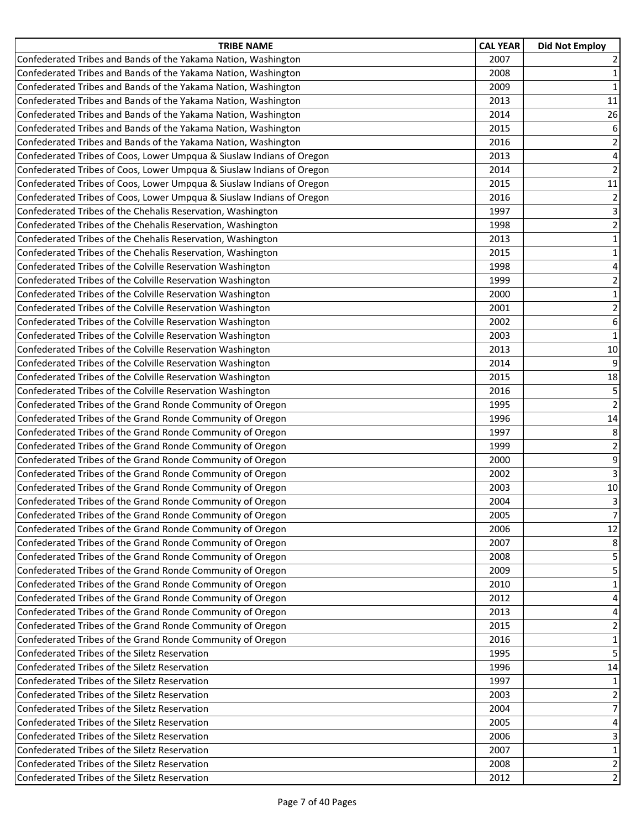| <b>TRIBE NAME</b>                                                     | <b>CAL YEAR</b> | <b>Did Not Employ</b>   |
|-----------------------------------------------------------------------|-----------------|-------------------------|
| Confederated Tribes and Bands of the Yakama Nation, Washington        | 2007            | $\overline{2}$          |
| Confederated Tribes and Bands of the Yakama Nation, Washington        | 2008            | $1\,$                   |
| Confederated Tribes and Bands of the Yakama Nation, Washington        | 2009            | $\mathbf 1$             |
| Confederated Tribes and Bands of the Yakama Nation, Washington        | 2013            | 11                      |
| Confederated Tribes and Bands of the Yakama Nation, Washington        | 2014            | 26                      |
| Confederated Tribes and Bands of the Yakama Nation, Washington        | 2015            | 6                       |
| Confederated Tribes and Bands of the Yakama Nation, Washington        | 2016            | $\overline{2}$          |
| Confederated Tribes of Coos, Lower Umpqua & Siuslaw Indians of Oregon | 2013            | 4                       |
| Confederated Tribes of Coos, Lower Umpqua & Siuslaw Indians of Oregon | 2014            | $\mathbf 2$             |
| Confederated Tribes of Coos, Lower Umpqua & Siuslaw Indians of Oregon | 2015            | $11\,$                  |
| Confederated Tribes of Coos, Lower Umpqua & Siuslaw Indians of Oregon | 2016            | $\overline{2}$          |
| Confederated Tribes of the Chehalis Reservation, Washington           | 1997            | 3                       |
| Confederated Tribes of the Chehalis Reservation, Washington           | 1998            | $\overline{2}$          |
| Confederated Tribes of the Chehalis Reservation, Washington           | 2013            | $\mathbf 1$             |
| Confederated Tribes of the Chehalis Reservation, Washington           | 2015            | $\mathbf 1$             |
| Confederated Tribes of the Colville Reservation Washington            | 1998            | $\overline{\mathbf{4}}$ |
| Confederated Tribes of the Colville Reservation Washington            | 1999            | $\overline{2}$          |
| Confederated Tribes of the Colville Reservation Washington            | 2000            | $\mathbf 1$             |
| Confederated Tribes of the Colville Reservation Washington            | 2001            | $\overline{\mathbf{c}}$ |
| Confederated Tribes of the Colville Reservation Washington            | 2002            | 6                       |
| Confederated Tribes of the Colville Reservation Washington            | 2003            | $\mathbf 1$             |
| Confederated Tribes of the Colville Reservation Washington            | 2013            | 10                      |
| Confederated Tribes of the Colville Reservation Washington            | 2014            | 9                       |
| Confederated Tribes of the Colville Reservation Washington            | 2015            | 18                      |
| Confederated Tribes of the Colville Reservation Washington            | 2016            | 5                       |
| Confederated Tribes of the Grand Ronde Community of Oregon            | 1995            | $\overline{2}$          |
| Confederated Tribes of the Grand Ronde Community of Oregon            | 1996            | 14                      |
| Confederated Tribes of the Grand Ronde Community of Oregon            | 1997            | 8                       |
| Confederated Tribes of the Grand Ronde Community of Oregon            | 1999            | $\overline{\mathbf{c}}$ |
| Confederated Tribes of the Grand Ronde Community of Oregon            | 2000            | 9                       |
| Confederated Tribes of the Grand Ronde Community of Oregon            | 2002            | 3                       |
| Confederated Tribes of the Grand Ronde Community of Oregon            | 2003            | 10                      |
| Confederated Tribes of the Grand Ronde Community of Oregon            | 2004            | $\overline{3}$          |
| Confederated Tribes of the Grand Ronde Community of Oregon            | 2005            | $\overline{7}$          |
| Confederated Tribes of the Grand Ronde Community of Oregon            | 2006            | 12                      |
| Confederated Tribes of the Grand Ronde Community of Oregon            | 2007            | 8                       |
| Confederated Tribes of the Grand Ronde Community of Oregon            | 2008            | 5                       |
| Confederated Tribes of the Grand Ronde Community of Oregon            | 2009            | 5                       |
| Confederated Tribes of the Grand Ronde Community of Oregon            | 2010            | 1                       |
| Confederated Tribes of the Grand Ronde Community of Oregon            | 2012            | $\overline{4}$          |
| Confederated Tribes of the Grand Ronde Community of Oregon            | 2013            | 4                       |
| Confederated Tribes of the Grand Ronde Community of Oregon            | 2015            | $\overline{2}$          |
| Confederated Tribes of the Grand Ronde Community of Oregon            | 2016            | $\mathbf{1}$            |
| Confederated Tribes of the Siletz Reservation                         | 1995            | 5                       |
| Confederated Tribes of the Siletz Reservation                         | 1996            | 14                      |
| Confederated Tribes of the Siletz Reservation                         | 1997            | 1                       |
| Confederated Tribes of the Siletz Reservation                         | 2003            | $\overline{2}$          |
| Confederated Tribes of the Siletz Reservation                         | 2004            | 7                       |
| Confederated Tribes of the Siletz Reservation                         | 2005            | 4                       |
| Confederated Tribes of the Siletz Reservation                         | 2006            | 3                       |
| Confederated Tribes of the Siletz Reservation                         | 2007            | $\mathbf 1$             |
| Confederated Tribes of the Siletz Reservation                         | 2008            | $\overline{2}$          |
| Confederated Tribes of the Siletz Reservation                         | 2012            | $\overline{2}$          |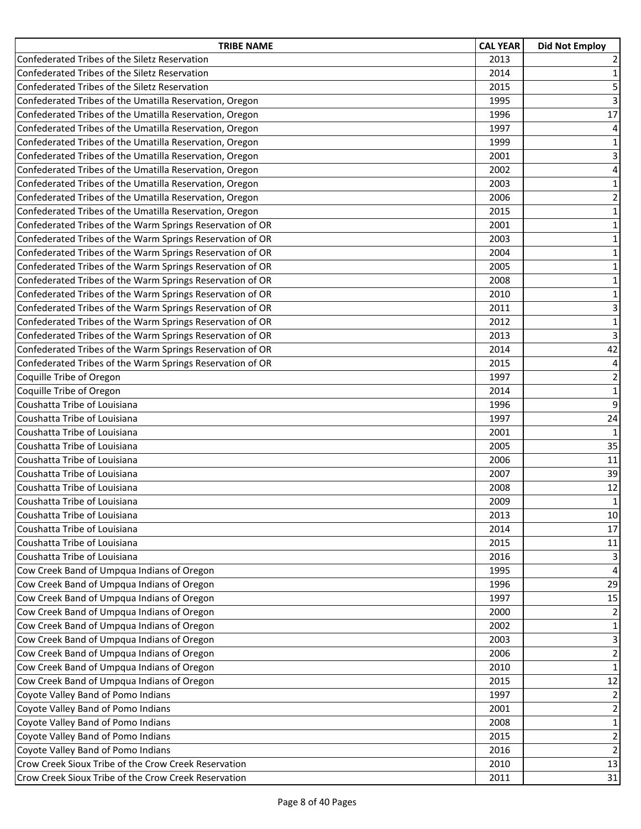| <b>TRIBE NAME</b>                                         | <b>CAL YEAR</b> | <b>Did Not Employ</b>   |
|-----------------------------------------------------------|-----------------|-------------------------|
| Confederated Tribes of the Siletz Reservation             | 2013            | 2                       |
| Confederated Tribes of the Siletz Reservation             | 2014            | $\mathbf 1$             |
| Confederated Tribes of the Siletz Reservation             | 2015            | 5                       |
| Confederated Tribes of the Umatilla Reservation, Oregon   | 1995            | 3                       |
| Confederated Tribes of the Umatilla Reservation, Oregon   | 1996            | 17                      |
| Confederated Tribes of the Umatilla Reservation, Oregon   | 1997            | $\overline{\mathbf{4}}$ |
| Confederated Tribes of the Umatilla Reservation, Oregon   | 1999            | $\mathbf 1$             |
| Confederated Tribes of the Umatilla Reservation, Oregon   | 2001            | 3                       |
| Confederated Tribes of the Umatilla Reservation, Oregon   | 2002            | 4                       |
| Confederated Tribes of the Umatilla Reservation, Oregon   | 2003            | $\mathbf 1$             |
| Confederated Tribes of the Umatilla Reservation, Oregon   | 2006            | $\overline{2}$          |
| Confederated Tribes of the Umatilla Reservation, Oregon   | 2015            | $\mathbf 1$             |
| Confederated Tribes of the Warm Springs Reservation of OR | 2001            | $1\,$                   |
| Confederated Tribes of the Warm Springs Reservation of OR | 2003            | $\mathbf 1$             |
| Confederated Tribes of the Warm Springs Reservation of OR | 2004            | $\mathbf 1$             |
| Confederated Tribes of the Warm Springs Reservation of OR | 2005            | $\mathbf 1$             |
| Confederated Tribes of the Warm Springs Reservation of OR | 2008            | $\mathbf 1$             |
| Confederated Tribes of the Warm Springs Reservation of OR | 2010            | $\mathbf 1$             |
| Confederated Tribes of the Warm Springs Reservation of OR | 2011            | 3                       |
| Confederated Tribes of the Warm Springs Reservation of OR | 2012            | $\mathbf 1$             |
| Confederated Tribes of the Warm Springs Reservation of OR | 2013            | $\overline{3}$          |
| Confederated Tribes of the Warm Springs Reservation of OR | 2014            | 42                      |
| Confederated Tribes of the Warm Springs Reservation of OR | 2015            | $\overline{\mathbf{4}}$ |
| Coquille Tribe of Oregon                                  | 1997            | $\overline{2}$          |
| Coquille Tribe of Oregon                                  | 2014            | $\mathbf 1$             |
| Coushatta Tribe of Louisiana                              | 1996            | $\boldsymbol{9}$        |
| Coushatta Tribe of Louisiana                              | 1997            | 24                      |
| Coushatta Tribe of Louisiana                              | 2001            | $\mathbf{1}$            |
| Coushatta Tribe of Louisiana                              | 2005            | 35                      |
| Coushatta Tribe of Louisiana                              | 2006            | $11\,$                  |
| Coushatta Tribe of Louisiana                              | 2007            | 39                      |
| Coushatta Tribe of Louisiana                              | 2008            | 12                      |
| Coushatta Tribe of Louisiana                              | 2009            | $\mathbf{1}$            |
| Coushatta Tribe of Louisiana                              | 2013            | 10                      |
| Coushatta Tribe of Louisiana                              | 2014            | 17                      |
| Coushatta Tribe of Louisiana                              | 2015            | $11\,$                  |
| Coushatta Tribe of Louisiana                              | 2016            | 3                       |
| Cow Creek Band of Umpqua Indians of Oregon                | 1995            | 4                       |
| Cow Creek Band of Umpqua Indians of Oregon                | 1996            | 29                      |
| Cow Creek Band of Umpqua Indians of Oregon                | 1997            | 15                      |
| Cow Creek Band of Umpqua Indians of Oregon                | 2000            | $\overline{2}$          |
| Cow Creek Band of Umpqua Indians of Oregon                | 2002            | $\mathbf 1$             |
| Cow Creek Band of Umpqua Indians of Oregon                | 2003            | 3                       |
| Cow Creek Band of Umpqua Indians of Oregon                | 2006            | $\overline{2}$          |
| Cow Creek Band of Umpqua Indians of Oregon                | 2010            | $\mathbf 1$             |
| Cow Creek Band of Umpqua Indians of Oregon                | 2015            | 12                      |
| Coyote Valley Band of Pomo Indians                        | 1997            | $\overline{2}$          |
| Coyote Valley Band of Pomo Indians                        | 2001            | $\overline{2}$          |
| Coyote Valley Band of Pomo Indians                        | 2008            | $\mathbf 1$             |
| Coyote Valley Band of Pomo Indians                        | 2015            | $\overline{2}$          |
| Coyote Valley Band of Pomo Indians                        | 2016            | $\mathbf 2$             |
| Crow Creek Sioux Tribe of the Crow Creek Reservation      | 2010            | 13                      |
| Crow Creek Sioux Tribe of the Crow Creek Reservation      | 2011            | 31                      |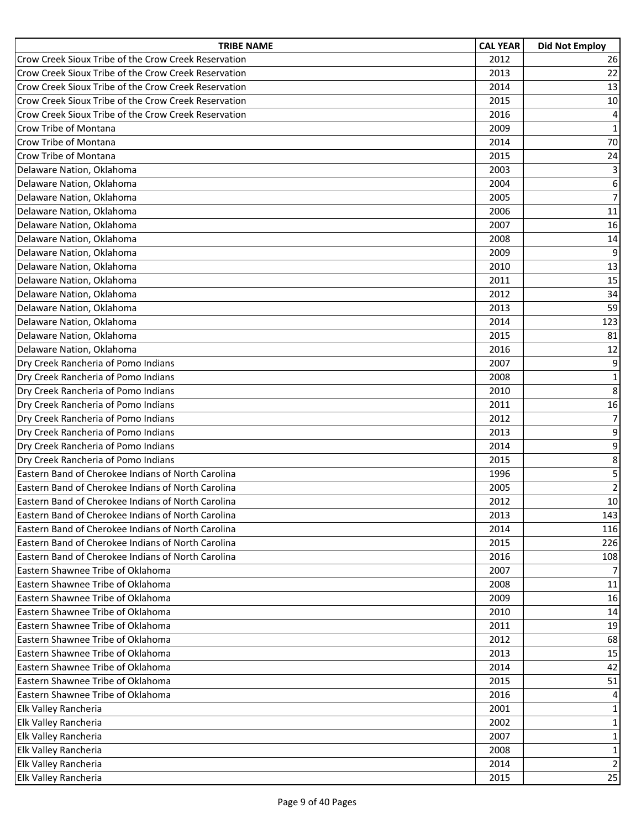| <b>TRIBE NAME</b>                                    | <b>CAL YEAR</b> | <b>Did Not Employ</b> |
|------------------------------------------------------|-----------------|-----------------------|
| Crow Creek Sioux Tribe of the Crow Creek Reservation | 2012            | 26                    |
| Crow Creek Sioux Tribe of the Crow Creek Reservation | 2013            | 22                    |
| Crow Creek Sioux Tribe of the Crow Creek Reservation | 2014            | 13                    |
| Crow Creek Sioux Tribe of the Crow Creek Reservation | 2015            | 10                    |
| Crow Creek Sioux Tribe of the Crow Creek Reservation | 2016            | $\overline{4}$        |
| Crow Tribe of Montana                                | 2009            | $\mathbf 1$           |
| Crow Tribe of Montana                                | 2014            | 70                    |
| Crow Tribe of Montana                                | 2015            | 24                    |
| Delaware Nation, Oklahoma                            | 2003            | 3                     |
| Delaware Nation, Oklahoma                            | 2004            | 6                     |
| Delaware Nation, Oklahoma                            | 2005            | $\overline{7}$        |
| Delaware Nation, Oklahoma                            | 2006            | 11                    |
| Delaware Nation, Oklahoma                            | 2007            | 16                    |
| Delaware Nation, Oklahoma                            | 2008            | 14                    |
| Delaware Nation, Oklahoma                            | 2009            | 9                     |
| Delaware Nation, Oklahoma                            | 2010            | 13                    |
| Delaware Nation, Oklahoma                            | 2011            | 15                    |
| Delaware Nation, Oklahoma                            | 2012            | 34                    |
| Delaware Nation, Oklahoma                            | 2013            | 59                    |
| Delaware Nation, Oklahoma                            | 2014            | 123                   |
| Delaware Nation, Oklahoma                            | 2015            | 81                    |
| Delaware Nation, Oklahoma                            | 2016            | 12                    |
| Dry Creek Rancheria of Pomo Indians                  | 2007            | 9                     |
| Dry Creek Rancheria of Pomo Indians                  | 2008            | $\mathbf 1$           |
| Dry Creek Rancheria of Pomo Indians                  | 2010            | 8                     |
| Dry Creek Rancheria of Pomo Indians                  | 2011            | 16                    |
| Dry Creek Rancheria of Pomo Indians                  | 2012            | $\overline{7}$        |
| Dry Creek Rancheria of Pomo Indians                  | 2013            | 9                     |
| Dry Creek Rancheria of Pomo Indians                  | 2014            | 9                     |
| Dry Creek Rancheria of Pomo Indians                  | 2015            | 8                     |
| Eastern Band of Cherokee Indians of North Carolina   | 1996            | 5                     |
| Eastern Band of Cherokee Indians of North Carolina   | 2005            | $\overline{2}$        |
| Eastern Band of Cherokee Indians of North Carolina   | 2012            | 10                    |
| Eastern Band of Cherokee Indians of North Carolina   | 2013            | 143                   |
| Eastern Band of Cherokee Indians of North Carolina   | 2014            | 116                   |
| Eastern Band of Cherokee Indians of North Carolina   | 2015            | 226                   |
| Eastern Band of Cherokee Indians of North Carolina   | 2016            | 108                   |
| Eastern Shawnee Tribe of Oklahoma                    | 2007            | 7                     |
| Eastern Shawnee Tribe of Oklahoma                    | 2008            | 11                    |
| Eastern Shawnee Tribe of Oklahoma                    | 2009            | 16                    |
| Eastern Shawnee Tribe of Oklahoma                    | 2010            | 14                    |
| Eastern Shawnee Tribe of Oklahoma                    | 2011            | 19                    |
| Eastern Shawnee Tribe of Oklahoma                    | 2012            | 68                    |
| Eastern Shawnee Tribe of Oklahoma                    | 2013            | 15                    |
| Eastern Shawnee Tribe of Oklahoma                    | 2014            | 42                    |
| Eastern Shawnee Tribe of Oklahoma                    | 2015            | 51                    |
| Eastern Shawnee Tribe of Oklahoma                    | 2016            | 4                     |
| Elk Valley Rancheria                                 | 2001            | 1                     |
| Elk Valley Rancheria                                 | 2002            | $\mathbf{1}$          |
| Elk Valley Rancheria                                 | 2007            | $\mathbf 1$           |
| Elk Valley Rancheria                                 | 2008            | $\mathbf 1$           |
| Elk Valley Rancheria                                 | 2014            | $\overline{2}$        |
| Elk Valley Rancheria                                 | 2015            | 25                    |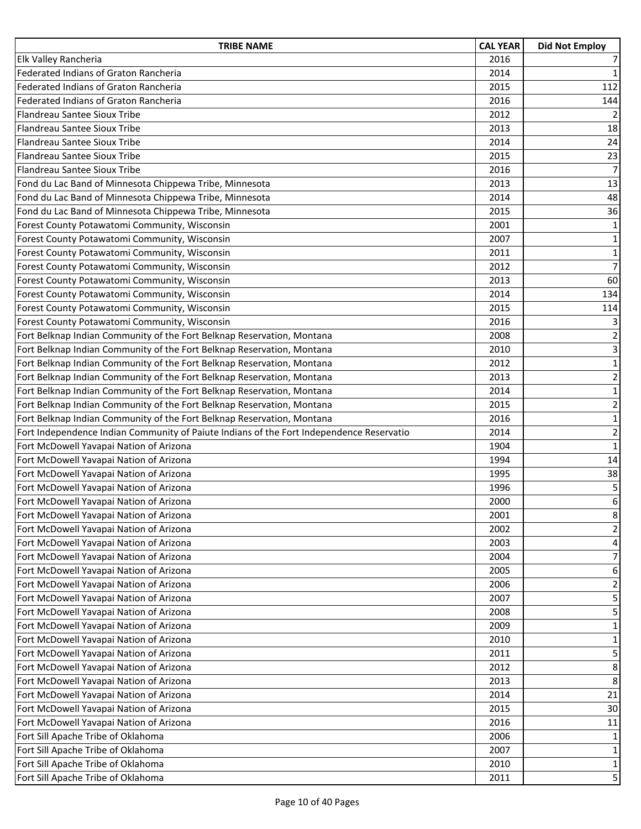| <b>TRIBE NAME</b>                                                                        | <b>CAL YEAR</b> | <b>Did Not Employ</b> |
|------------------------------------------------------------------------------------------|-----------------|-----------------------|
| Elk Valley Rancheria                                                                     | 2016            | $\overline{7}$        |
| Federated Indians of Graton Rancheria                                                    | 2014            | $\mathbf 1$           |
| Federated Indians of Graton Rancheria                                                    | 2015            | 112                   |
| Federated Indians of Graton Rancheria                                                    | 2016            | 144                   |
| Flandreau Santee Sioux Tribe                                                             | 2012            | $\overline{2}$        |
| Flandreau Santee Sioux Tribe                                                             | 2013            | 18                    |
| Flandreau Santee Sioux Tribe                                                             | 2014            | 24                    |
| Flandreau Santee Sioux Tribe                                                             | 2015            | 23                    |
| Flandreau Santee Sioux Tribe                                                             | 2016            | $\overline{7}$        |
| Fond du Lac Band of Minnesota Chippewa Tribe, Minnesota                                  | 2013            | 13                    |
| Fond du Lac Band of Minnesota Chippewa Tribe, Minnesota                                  | 2014            | 48                    |
| Fond du Lac Band of Minnesota Chippewa Tribe, Minnesota                                  | 2015            | 36                    |
| Forest County Potawatomi Community, Wisconsin                                            | 2001            | $\mathbf 1$           |
| Forest County Potawatomi Community, Wisconsin                                            | 2007            | $\mathbf 1$           |
| Forest County Potawatomi Community, Wisconsin                                            | 2011            | $\mathbf 1$           |
| Forest County Potawatomi Community, Wisconsin                                            | 2012            | $\overline{7}$        |
| Forest County Potawatomi Community, Wisconsin                                            | 2013            | 60                    |
| Forest County Potawatomi Community, Wisconsin                                            | 2014            | 134                   |
| Forest County Potawatomi Community, Wisconsin                                            | 2015            | 114                   |
| Forest County Potawatomi Community, Wisconsin                                            | 2016            | 3                     |
| Fort Belknap Indian Community of the Fort Belknap Reservation, Montana                   | 2008            | $\overline{2}$        |
| Fort Belknap Indian Community of the Fort Belknap Reservation, Montana                   | 2010            | 3                     |
| Fort Belknap Indian Community of the Fort Belknap Reservation, Montana                   | 2012            | $\mathbf 1$           |
| Fort Belknap Indian Community of the Fort Belknap Reservation, Montana                   | 2013            | $\mathbf 2$           |
| Fort Belknap Indian Community of the Fort Belknap Reservation, Montana                   | 2014            | $\overline{1}$        |
| Fort Belknap Indian Community of the Fort Belknap Reservation, Montana                   | 2015            | $\overline{2}$        |
| Fort Belknap Indian Community of the Fort Belknap Reservation, Montana                   | 2016            | $\mathbf 1$           |
| Fort Independence Indian Community of Paiute Indians of the Fort Independence Reservatio | 2014            | $\mathbf 2$           |
| Fort McDowell Yavapai Nation of Arizona                                                  | 1904            | $\mathbf{1}$          |
| Fort McDowell Yavapai Nation of Arizona                                                  | 1994            | 14                    |
| Fort McDowell Yavapai Nation of Arizona                                                  | 1995            | 38                    |
| Fort McDowell Yavapai Nation of Arizona                                                  | 1996            | 5                     |
| Fort McDowell Yavapai Nation of Arizona                                                  | 2000            | 6                     |
| Fort McDowell Yavapai Nation of Arizona                                                  | 2001            | 8                     |
| Fort McDowell Yavapai Nation of Arizona                                                  | 2002            | $\overline{2}$        |
| Fort McDowell Yavapai Nation of Arizona                                                  | 2003            | 4                     |
| Fort McDowell Yavapai Nation of Arizona                                                  | 2004            | $\overline{7}$        |
| Fort McDowell Yavapai Nation of Arizona                                                  | 2005            | 6                     |
| Fort McDowell Yavapai Nation of Arizona                                                  | 2006            | $\mathbf 2$           |
| Fort McDowell Yavapai Nation of Arizona                                                  | 2007            | 5                     |
| Fort McDowell Yavapai Nation of Arizona                                                  | 2008            | 5                     |
| Fort McDowell Yavapai Nation of Arizona                                                  | 2009            | $\mathbf 1$           |
| Fort McDowell Yavapai Nation of Arizona                                                  | 2010            | $\mathbf{1}$          |
| Fort McDowell Yavapai Nation of Arizona                                                  | 2011            | 5                     |
| Fort McDowell Yavapai Nation of Arizona                                                  | 2012            | 8                     |
| Fort McDowell Yavapai Nation of Arizona                                                  | 2013            | $\,8\,$               |
| Fort McDowell Yavapai Nation of Arizona                                                  | 2014            | 21                    |
| Fort McDowell Yavapai Nation of Arizona                                                  | 2015            | 30                    |
| Fort McDowell Yavapai Nation of Arizona                                                  | 2016            | 11                    |
| Fort Sill Apache Tribe of Oklahoma                                                       | 2006            | 1                     |
| Fort Sill Apache Tribe of Oklahoma                                                       | 2007            | $\mathbf 1$           |
| Fort Sill Apache Tribe of Oklahoma                                                       | 2010            | $\mathbf 1$           |
| Fort Sill Apache Tribe of Oklahoma                                                       | 2011            | 5                     |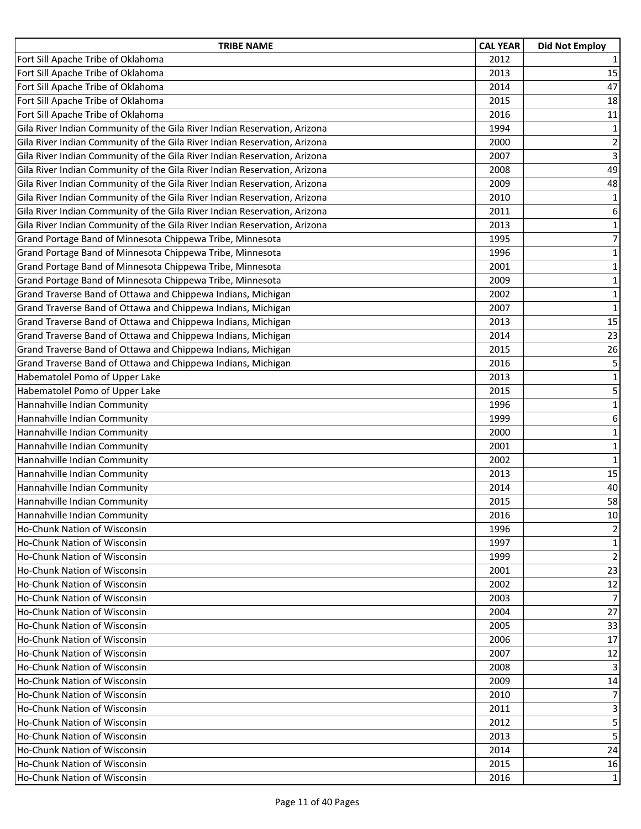| <b>TRIBE NAME</b>                                                         | <b>CAL YEAR</b> | <b>Did Not Employ</b>   |
|---------------------------------------------------------------------------|-----------------|-------------------------|
| Fort Sill Apache Tribe of Oklahoma                                        | 2012            | $\mathbf{1}$            |
| Fort Sill Apache Tribe of Oklahoma                                        | 2013            | 15                      |
| Fort Sill Apache Tribe of Oklahoma                                        | 2014            | 47                      |
| Fort Sill Apache Tribe of Oklahoma                                        | 2015            | 18                      |
| Fort Sill Apache Tribe of Oklahoma                                        | 2016            | 11                      |
| Gila River Indian Community of the Gila River Indian Reservation, Arizona | 1994            | $\mathbf 1$             |
| Gila River Indian Community of the Gila River Indian Reservation, Arizona | 2000            | $\mathbf 2$             |
| Gila River Indian Community of the Gila River Indian Reservation, Arizona | 2007            | $\overline{\mathbf{3}}$ |
| Gila River Indian Community of the Gila River Indian Reservation, Arizona | 2008            | 49                      |
| Gila River Indian Community of the Gila River Indian Reservation, Arizona | 2009            | 48                      |
| Gila River Indian Community of the Gila River Indian Reservation, Arizona | 2010            | $\mathbf 1$             |
| Gila River Indian Community of the Gila River Indian Reservation, Arizona | 2011            | 6                       |
| Gila River Indian Community of the Gila River Indian Reservation, Arizona | 2013            | $\mathbf 1$             |
| Grand Portage Band of Minnesota Chippewa Tribe, Minnesota                 | 1995            | $\overline{7}$          |
| Grand Portage Band of Minnesota Chippewa Tribe, Minnesota                 | 1996            | $\mathbf 1$             |
| Grand Portage Band of Minnesota Chippewa Tribe, Minnesota                 | 2001            | $\mathbf 1$             |
| Grand Portage Band of Minnesota Chippewa Tribe, Minnesota                 | 2009            | $\mathbf 1$             |
| Grand Traverse Band of Ottawa and Chippewa Indians, Michigan              | 2002            | $\mathbf 1$             |
| Grand Traverse Band of Ottawa and Chippewa Indians, Michigan              | 2007            | $\mathbf{1}$            |
| Grand Traverse Band of Ottawa and Chippewa Indians, Michigan              | 2013            | 15                      |
| Grand Traverse Band of Ottawa and Chippewa Indians, Michigan              | 2014            | 23                      |
| Grand Traverse Band of Ottawa and Chippewa Indians, Michigan              | 2015            | 26                      |
| Grand Traverse Band of Ottawa and Chippewa Indians, Michigan              | 2016            | 5                       |
| Habematolel Pomo of Upper Lake                                            | 2013            | $\mathbf 1$             |
| Habematolel Pomo of Upper Lake                                            | 2015            | 5                       |
| Hannahville Indian Community                                              | 1996            | $\mathbf 1$             |
| Hannahville Indian Community                                              | 1999            | $\boldsymbol{6}$        |
| Hannahville Indian Community                                              | 2000            | $\mathbf 1$             |
| Hannahville Indian Community                                              | 2001            | $\mathbf 1$             |
| Hannahville Indian Community                                              | 2002            | $\mathbf 1$             |
| Hannahville Indian Community                                              | 2013            | 15                      |
| Hannahville Indian Community                                              | 2014            | 40                      |
| Hannahville Indian Community                                              | 2015            | 58                      |
| Hannahville Indian Community                                              | 2016            | 10                      |
| Ho-Chunk Nation of Wisconsin                                              | 1996            | 2                       |
| Ho-Chunk Nation of Wisconsin                                              | 1997            | 1                       |
| Ho-Chunk Nation of Wisconsin                                              | 1999            | $\overline{2}$          |
| Ho-Chunk Nation of Wisconsin                                              | 2001            | 23                      |
| Ho-Chunk Nation of Wisconsin                                              | 2002            | 12                      |
| Ho-Chunk Nation of Wisconsin                                              | 2003            | 7                       |
| Ho-Chunk Nation of Wisconsin                                              | 2004            | 27                      |
| Ho-Chunk Nation of Wisconsin                                              | 2005            | 33                      |
| Ho-Chunk Nation of Wisconsin                                              | 2006            | 17                      |
| Ho-Chunk Nation of Wisconsin                                              | 2007            | 12                      |
| Ho-Chunk Nation of Wisconsin                                              | 2008            | 3                       |
| Ho-Chunk Nation of Wisconsin                                              | 2009            | 14                      |
| Ho-Chunk Nation of Wisconsin                                              | 2010            | 7                       |
| Ho-Chunk Nation of Wisconsin                                              | 2011            | 3                       |
| Ho-Chunk Nation of Wisconsin                                              | 2012            | 5                       |
| Ho-Chunk Nation of Wisconsin                                              | 2013            | 5                       |
| Ho-Chunk Nation of Wisconsin                                              | 2014            | 24                      |
| Ho-Chunk Nation of Wisconsin                                              | 2015            | 16                      |
| Ho-Chunk Nation of Wisconsin                                              | 2016            | 1                       |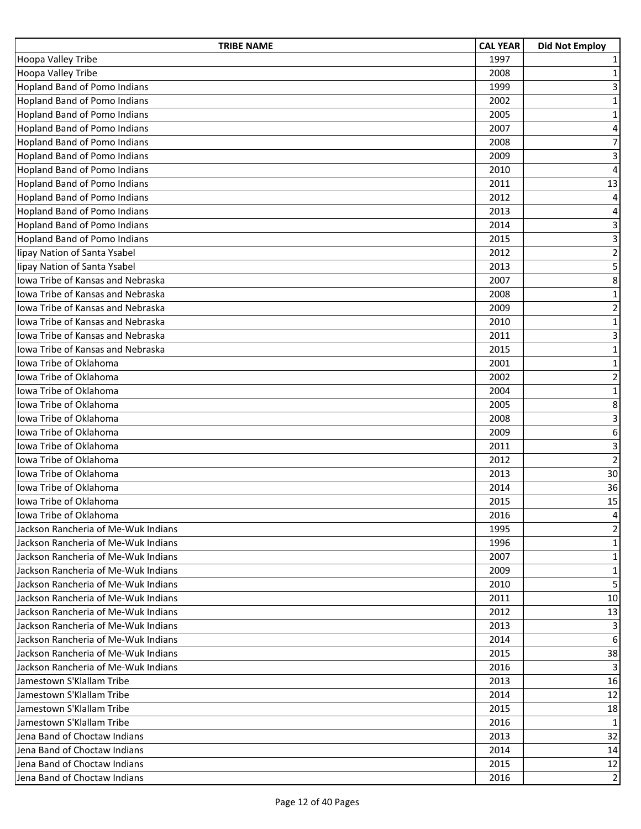| <b>TRIBE NAME</b>                        | <b>CAL YEAR</b> | <b>Did Not Employ</b>   |
|------------------------------------------|-----------------|-------------------------|
| Hoopa Valley Tribe                       | 1997            | 1                       |
| Hoopa Valley Tribe                       | 2008            | 1                       |
| <b>Hopland Band of Pomo Indians</b>      | 1999            | 3                       |
| <b>Hopland Band of Pomo Indians</b>      | 2002            | $\mathbf 1$             |
| <b>Hopland Band of Pomo Indians</b>      | 2005            | $\mathbf 1$             |
| <b>Hopland Band of Pomo Indians</b>      | 2007            | $\sqrt{4}$              |
| <b>Hopland Band of Pomo Indians</b>      | 2008            | $\overline{7}$          |
| <b>Hopland Band of Pomo Indians</b>      | 2009            | 3                       |
| <b>Hopland Band of Pomo Indians</b>      | 2010            | $\overline{4}$          |
| <b>Hopland Band of Pomo Indians</b>      | 2011            | 13                      |
| <b>Hopland Band of Pomo Indians</b>      | 2012            | $\overline{4}$          |
| <b>Hopland Band of Pomo Indians</b>      | 2013            | 4                       |
| <b>Hopland Band of Pomo Indians</b>      | 2014            | 3                       |
| <b>Hopland Band of Pomo Indians</b>      | 2015            | 3                       |
| lipay Nation of Santa Ysabel             | 2012            | $\overline{2}$          |
| lipay Nation of Santa Ysabel             | 2013            | $\overline{5}$          |
| lowa Tribe of Kansas and Nebraska        | 2007            | 8                       |
| Iowa Tribe of Kansas and Nebraska        | 2008            | $\mathbf 1$             |
| Iowa Tribe of Kansas and Nebraska        | 2009            | $\overline{\mathbf{c}}$ |
| Iowa Tribe of Kansas and Nebraska        | 2010            | $\mathbf 1$             |
| <b>Iowa Tribe of Kansas and Nebraska</b> | 2011            | 3                       |
| Iowa Tribe of Kansas and Nebraska        | 2015            | $\mathbf 1$             |
| Iowa Tribe of Oklahoma                   | 2001            | $\mathbf 1$             |
| Iowa Tribe of Oklahoma                   | 2002            | $\overline{\mathbf{c}}$ |
| Iowa Tribe of Oklahoma                   | 2004            | $\mathbf 1$             |
| Iowa Tribe of Oklahoma                   | 2005            | 8                       |
| Iowa Tribe of Oklahoma                   | 2008            | $\overline{\mathbf{3}}$ |
| Iowa Tribe of Oklahoma                   | 2009            | 6                       |
| Iowa Tribe of Oklahoma                   | 2011            | 3                       |
| Iowa Tribe of Oklahoma                   | 2012            | $\overline{2}$          |
| Iowa Tribe of Oklahoma                   | 2013            | 30                      |
| Iowa Tribe of Oklahoma                   | 2014            | 36                      |
| Iowa Tribe of Oklahoma                   | 2015            | 15                      |
| Iowa Tribe of Oklahoma                   | 2016            | 4                       |
| Jackson Rancheria of Me-Wuk Indians      | 1995            | $\overline{2}$          |
| Jackson Rancheria of Me-Wuk Indians      | 1996            | 1                       |
| Jackson Rancheria of Me-Wuk Indians      | 2007            | 1                       |
| Jackson Rancheria of Me-Wuk Indians      | 2009            | 1                       |
| Jackson Rancheria of Me-Wuk Indians      | 2010            | 5                       |
| Jackson Rancheria of Me-Wuk Indians      | 2011            | 10                      |
| Jackson Rancheria of Me-Wuk Indians      | 2012            | 13                      |
| Jackson Rancheria of Me-Wuk Indians      | 2013            | 3                       |
| Jackson Rancheria of Me-Wuk Indians      | 2014            | 6                       |
| Jackson Rancheria of Me-Wuk Indians      | 2015            | 38                      |
| Jackson Rancheria of Me-Wuk Indians      | 2016            | 3                       |
| Jamestown S'Klallam Tribe                | 2013            | 16                      |
| Jamestown S'Klallam Tribe                | 2014            | 12                      |
| Jamestown S'Klallam Tribe                | 2015            | 18                      |
| Jamestown S'Klallam Tribe                | 2016            | 1                       |
| Jena Band of Choctaw Indians             | 2013            | 32                      |
| Jena Band of Choctaw Indians             | 2014            | 14                      |
| Jena Band of Choctaw Indians             | 2015            | 12                      |
| Jena Band of Choctaw Indians             | 2016            | 2                       |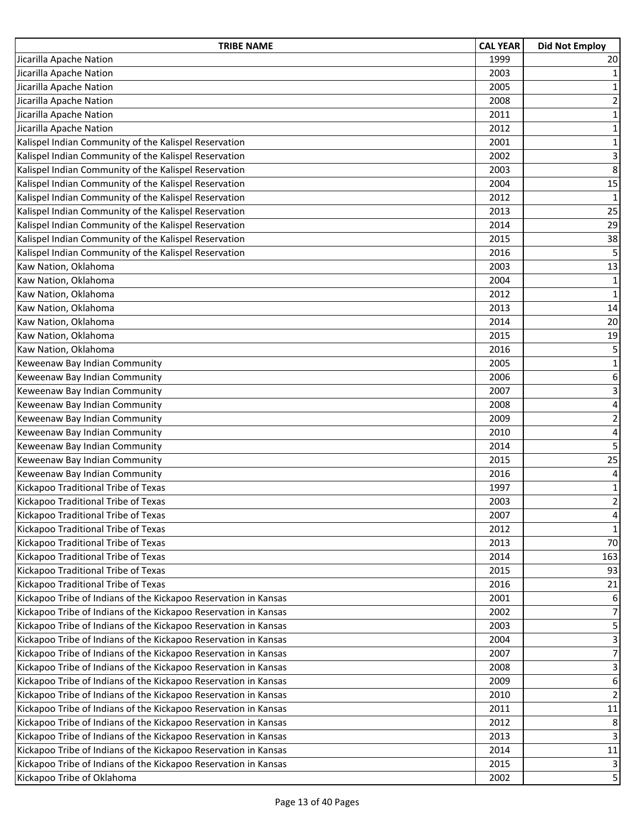| <b>TRIBE NAME</b>                                               | <b>CAL YEAR</b> | <b>Did Not Employ</b>   |
|-----------------------------------------------------------------|-----------------|-------------------------|
| Jicarilla Apache Nation                                         | 1999            | 20                      |
| Jicarilla Apache Nation                                         | 2003            | $\mathbf 1$             |
| Jicarilla Apache Nation                                         | 2005            | $\mathbf{1}$            |
| Jicarilla Apache Nation                                         | 2008            | $\overline{2}$          |
| Jicarilla Apache Nation                                         | 2011            | $\mathbf 1$             |
| Jicarilla Apache Nation                                         | 2012            | $\mathbf 1$             |
| Kalispel Indian Community of the Kalispel Reservation           | 2001            | $\mathbf 1$             |
| Kalispel Indian Community of the Kalispel Reservation           | 2002            | 3                       |
| Kalispel Indian Community of the Kalispel Reservation           | 2003            | 8                       |
| Kalispel Indian Community of the Kalispel Reservation           | 2004            | 15                      |
| Kalispel Indian Community of the Kalispel Reservation           | 2012            | $\mathbf{1}$            |
| Kalispel Indian Community of the Kalispel Reservation           | 2013            | 25                      |
| Kalispel Indian Community of the Kalispel Reservation           | 2014            | 29                      |
| Kalispel Indian Community of the Kalispel Reservation           | 2015            | 38                      |
| Kalispel Indian Community of the Kalispel Reservation           | 2016            | 5                       |
| Kaw Nation, Oklahoma                                            | 2003            | 13                      |
| Kaw Nation, Oklahoma                                            | 2004            | $\mathbf 1$             |
| Kaw Nation, Oklahoma                                            | 2012            | $\mathbf 1$             |
| Kaw Nation, Oklahoma                                            | 2013            | 14                      |
| Kaw Nation, Oklahoma                                            | 2014            | 20                      |
| Kaw Nation, Oklahoma                                            | 2015            | 19                      |
| Kaw Nation, Oklahoma                                            | 2016            | 5                       |
| Keweenaw Bay Indian Community                                   | 2005            | $\mathbf 1$             |
| Keweenaw Bay Indian Community                                   | 2006            | 6                       |
| Keweenaw Bay Indian Community                                   | 2007            | 3                       |
| Keweenaw Bay Indian Community                                   | 2008            | $\overline{\mathbf{4}}$ |
| Keweenaw Bay Indian Community                                   | 2009            | $\mathbf 2$             |
| Keweenaw Bay Indian Community                                   | 2010            | $\pmb{4}$               |
| Keweenaw Bay Indian Community                                   | 2014            | 5                       |
| Keweenaw Bay Indian Community                                   | 2015            | 25                      |
| Keweenaw Bay Indian Community                                   | 2016            | 4                       |
| Kickapoo Traditional Tribe of Texas                             | 1997            | $\mathbf 1$             |
| Kickapoo Traditional Tribe of Texas                             | 2003            | $\overline{2}$          |
| Kickapoo Traditional Tribe of Texas                             | 2007            | 4                       |
| Kickapoo Traditional Tribe of Texas                             | 2012            | $\mathbf{1}$            |
| Kickapoo Traditional Tribe of Texas                             | 2013            | 70                      |
| Kickapoo Traditional Tribe of Texas                             | 2014            | 163                     |
| Kickapoo Traditional Tribe of Texas                             | 2015            | 93                      |
| Kickapoo Traditional Tribe of Texas                             | 2016            | 21                      |
| Kickapoo Tribe of Indians of the Kickapoo Reservation in Kansas | 2001            | 6                       |
| Kickapoo Tribe of Indians of the Kickapoo Reservation in Kansas | 2002            | $\overline{7}$          |
| Kickapoo Tribe of Indians of the Kickapoo Reservation in Kansas | 2003            | 5                       |
| Kickapoo Tribe of Indians of the Kickapoo Reservation in Kansas | 2004            | 3                       |
| Kickapoo Tribe of Indians of the Kickapoo Reservation in Kansas | 2007            | $\overline{7}$          |
| Kickapoo Tribe of Indians of the Kickapoo Reservation in Kansas | 2008            | 3                       |
| Kickapoo Tribe of Indians of the Kickapoo Reservation in Kansas | 2009            | 6                       |
| Kickapoo Tribe of Indians of the Kickapoo Reservation in Kansas | 2010            | $\overline{2}$          |
| Kickapoo Tribe of Indians of the Kickapoo Reservation in Kansas | 2011            | 11                      |
| Kickapoo Tribe of Indians of the Kickapoo Reservation in Kansas | 2012            | 8                       |
| Kickapoo Tribe of Indians of the Kickapoo Reservation in Kansas | 2013            | 3                       |
| Kickapoo Tribe of Indians of the Kickapoo Reservation in Kansas | 2014            | $11\,$                  |
| Kickapoo Tribe of Indians of the Kickapoo Reservation in Kansas | 2015            | 3                       |
| Kickapoo Tribe of Oklahoma                                      | 2002            | 5                       |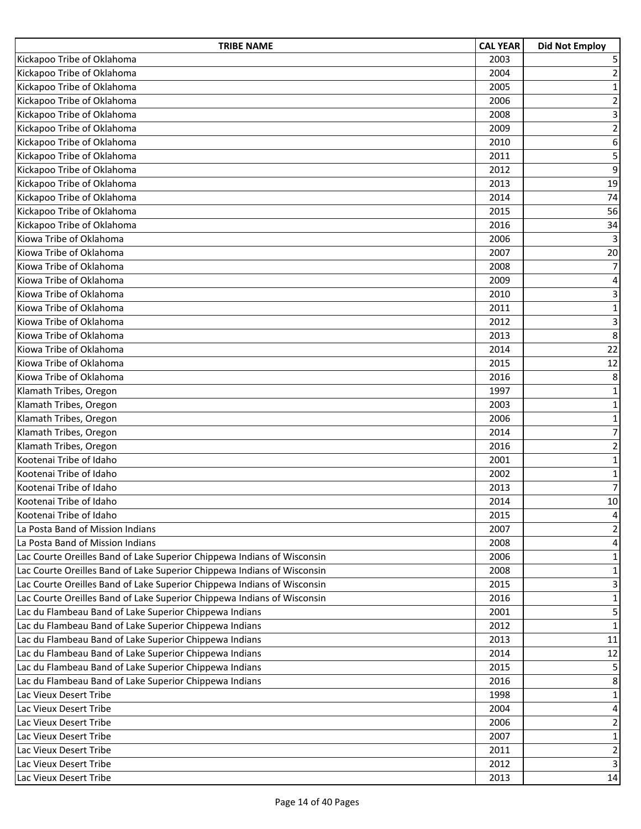| <b>TRIBE NAME</b>                                                       | <b>CAL YEAR</b> | <b>Did Not Employ</b>   |
|-------------------------------------------------------------------------|-----------------|-------------------------|
| Kickapoo Tribe of Oklahoma                                              | 2003            | 5                       |
| Kickapoo Tribe of Oklahoma                                              | 2004            | 2                       |
| Kickapoo Tribe of Oklahoma                                              | 2005            | $\mathbf{1}$            |
| Kickapoo Tribe of Oklahoma                                              | 2006            | $\overline{2}$          |
| Kickapoo Tribe of Oklahoma                                              | 2008            | $\overline{3}$          |
| Kickapoo Tribe of Oklahoma                                              | 2009            | $\mathbf 2$             |
| Kickapoo Tribe of Oklahoma                                              | 2010            | 6                       |
| Kickapoo Tribe of Oklahoma                                              | 2011            | 5                       |
| Kickapoo Tribe of Oklahoma                                              | 2012            | 9                       |
| Kickapoo Tribe of Oklahoma                                              | 2013            | 19                      |
| Kickapoo Tribe of Oklahoma                                              | 2014            | 74                      |
| Kickapoo Tribe of Oklahoma                                              | 2015            | 56                      |
| Kickapoo Tribe of Oklahoma                                              | 2016            | 34                      |
| Kiowa Tribe of Oklahoma                                                 | 2006            | 3                       |
| Kiowa Tribe of Oklahoma                                                 | 2007            | 20                      |
| Kiowa Tribe of Oklahoma                                                 | 2008            | $\overline{7}$          |
| Kiowa Tribe of Oklahoma                                                 | 2009            | 4                       |
| Kiowa Tribe of Oklahoma                                                 | 2010            | $\mathbf{3}$            |
| Kiowa Tribe of Oklahoma                                                 | 2011            | $\mathbf 1$             |
| Kiowa Tribe of Oklahoma                                                 | 2012            | 3                       |
| Kiowa Tribe of Oklahoma                                                 | 2013            | 8                       |
| Kiowa Tribe of Oklahoma                                                 | 2014            | 22                      |
| Kiowa Tribe of Oklahoma                                                 | 2015            | 12                      |
| Kiowa Tribe of Oklahoma                                                 | 2016            | 8                       |
| Klamath Tribes, Oregon                                                  | 1997            | $\mathbf 1$             |
| Klamath Tribes, Oregon                                                  | 2003            | $\mathbf 1$             |
| Klamath Tribes, Oregon                                                  | 2006            | 1                       |
| Klamath Tribes, Oregon                                                  | 2014            | $\overline{7}$          |
| Klamath Tribes, Oregon                                                  | 2016            | $\overline{2}$          |
| Kootenai Tribe of Idaho                                                 | 2001            | $\mathbf 1$             |
| Kootenai Tribe of Idaho                                                 | 2002            | 1                       |
| Kootenai Tribe of Idaho                                                 | 2013            | $\overline{7}$          |
| Kootenai Tribe of Idaho                                                 | 2014            | 10                      |
| Kootenai Tribe of Idaho                                                 | 2015            | 4                       |
| La Posta Band of Mission Indians                                        | 2007            | $\overline{c}$          |
| La Posta Band of Mission Indians                                        | 2008            | 4                       |
| Lac Courte Oreilles Band of Lake Superior Chippewa Indians of Wisconsin | 2006            | 1                       |
| Lac Courte Oreilles Band of Lake Superior Chippewa Indians of Wisconsin | 2008            | $\mathbf{1}$            |
| Lac Courte Oreilles Band of Lake Superior Chippewa Indians of Wisconsin | 2015            | 3                       |
| Lac Courte Oreilles Band of Lake Superior Chippewa Indians of Wisconsin | 2016            | $\mathbf 1$             |
| Lac du Flambeau Band of Lake Superior Chippewa Indians                  | 2001            | 5                       |
| Lac du Flambeau Band of Lake Superior Chippewa Indians                  | 2012            | $\mathbf{1}$            |
| Lac du Flambeau Band of Lake Superior Chippewa Indians                  | 2013            | 11                      |
| Lac du Flambeau Band of Lake Superior Chippewa Indians                  | 2014            | 12                      |
| Lac du Flambeau Band of Lake Superior Chippewa Indians                  | 2015            | 5                       |
| Lac du Flambeau Band of Lake Superior Chippewa Indians                  | 2016            | 8                       |
| Lac Vieux Desert Tribe                                                  | 1998            | $\mathbf 1$             |
| Lac Vieux Desert Tribe                                                  | 2004            | 4                       |
| Lac Vieux Desert Tribe                                                  | 2006            | $\overline{\mathbf{c}}$ |
| Lac Vieux Desert Tribe                                                  | 2007            | $\mathbf 1$             |
| Lac Vieux Desert Tribe                                                  | 2011            | $\overline{\mathbf{c}}$ |
| Lac Vieux Desert Tribe                                                  | 2012            | 3                       |
| Lac Vieux Desert Tribe                                                  | 2013            | 14                      |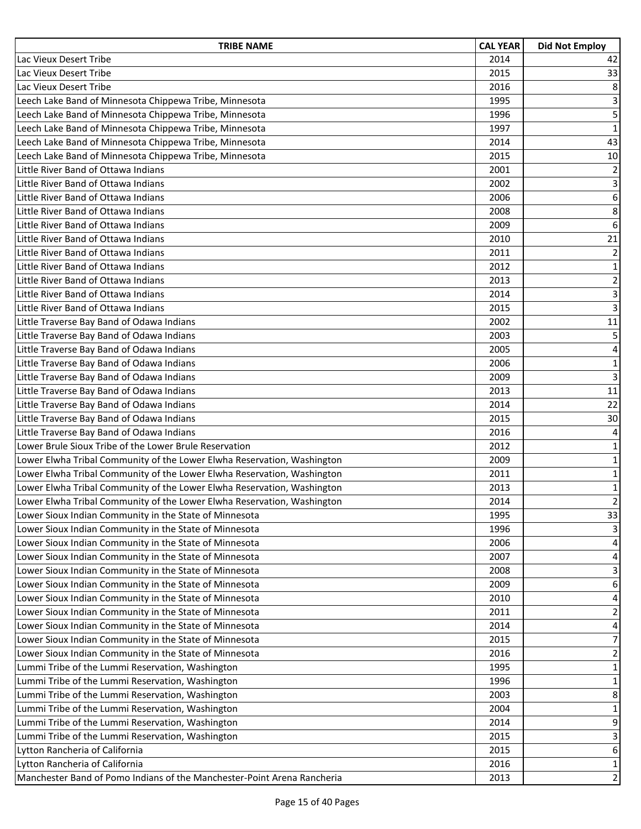| <b>TRIBE NAME</b>                                                       | <b>CAL YEAR</b> | <b>Did Not Employ</b>   |
|-------------------------------------------------------------------------|-----------------|-------------------------|
| Lac Vieux Desert Tribe                                                  | 2014            | 42                      |
| Lac Vieux Desert Tribe                                                  | 2015            | 33                      |
| Lac Vieux Desert Tribe                                                  | 2016            | 8                       |
| Leech Lake Band of Minnesota Chippewa Tribe, Minnesota                  | 1995            | 3                       |
| Leech Lake Band of Minnesota Chippewa Tribe, Minnesota                  | 1996            | 5                       |
| Leech Lake Band of Minnesota Chippewa Tribe, Minnesota                  | 1997            | $\mathbf 1$             |
| Leech Lake Band of Minnesota Chippewa Tribe, Minnesota                  | 2014            | 43                      |
| Leech Lake Band of Minnesota Chippewa Tribe, Minnesota                  | 2015            | $10\,$                  |
| Little River Band of Ottawa Indians                                     | 2001            | $\overline{2}$          |
| Little River Band of Ottawa Indians                                     | 2002            | 3                       |
| Little River Band of Ottawa Indians                                     | 2006            | 6                       |
| Little River Band of Ottawa Indians                                     | 2008            | 8                       |
| Little River Band of Ottawa Indians                                     | 2009            | 6                       |
| Little River Band of Ottawa Indians                                     | 2010            | 21                      |
| Little River Band of Ottawa Indians                                     | 2011            | $\overline{2}$          |
| Little River Band of Ottawa Indians                                     | 2012            | $\mathbf 1$             |
| Little River Band of Ottawa Indians                                     | 2013            | $\overline{2}$          |
| Little River Band of Ottawa Indians                                     | 2014            | 3                       |
| Little River Band of Ottawa Indians                                     | 2015            | $\overline{3}$          |
| Little Traverse Bay Band of Odawa Indians                               | 2002            | 11                      |
| Little Traverse Bay Band of Odawa Indians                               | 2003            | 5                       |
| Little Traverse Bay Band of Odawa Indians                               | 2005            | $\overline{\mathbf{4}}$ |
| Little Traverse Bay Band of Odawa Indians                               | 2006            | $\mathbf 1$             |
| Little Traverse Bay Band of Odawa Indians                               | 2009            | $\overline{3}$          |
| Little Traverse Bay Band of Odawa Indians                               | 2013            | 11                      |
| Little Traverse Bay Band of Odawa Indians                               | 2014            | 22                      |
| Little Traverse Bay Band of Odawa Indians                               | 2015            | 30                      |
| Little Traverse Bay Band of Odawa Indians                               | 2016            | 4                       |
| Lower Brule Sioux Tribe of the Lower Brule Reservation                  | 2012            | $\mathbf 1$             |
| Lower Elwha Tribal Community of the Lower Elwha Reservation, Washington | 2009            | $\mathbf 1$             |
| Lower Elwha Tribal Community of the Lower Elwha Reservation, Washington | 2011            | $\mathbf 1$             |
| Lower Elwha Tribal Community of the Lower Elwha Reservation, Washington | 2013            | $\mathbf 1$             |
| Lower Elwha Tribal Community of the Lower Elwha Reservation, Washington | 2014            | $\overline{2}$          |
| Lower Sioux Indian Community in the State of Minnesota                  | 1995            | 33                      |
| Lower Sioux Indian Community in the State of Minnesota                  | 1996            | 3                       |
| Lower Sioux Indian Community in the State of Minnesota                  | 2006            | 4                       |
| Lower Sioux Indian Community in the State of Minnesota                  | 2007            | $\overline{4}$          |
| Lower Sioux Indian Community in the State of Minnesota                  | 2008            | $\mathsf{3}$            |
| Lower Sioux Indian Community in the State of Minnesota                  | 2009            | 6                       |
| Lower Sioux Indian Community in the State of Minnesota                  | 2010            | 4                       |
| Lower Sioux Indian Community in the State of Minnesota                  | 2011            | 2                       |
| Lower Sioux Indian Community in the State of Minnesota                  | 2014            | 4                       |
| Lower Sioux Indian Community in the State of Minnesota                  | 2015            | $\overline{7}$          |
| Lower Sioux Indian Community in the State of Minnesota                  | 2016            | $\overline{2}$          |
| Lummi Tribe of the Lummi Reservation, Washington                        | 1995            | 1                       |
| Lummi Tribe of the Lummi Reservation, Washington                        | 1996            | $\mathbf{1}$            |
| Lummi Tribe of the Lummi Reservation, Washington                        | 2003            | 8                       |
| Lummi Tribe of the Lummi Reservation, Washington                        | 2004            | $\mathbf{1}$            |
| Lummi Tribe of the Lummi Reservation, Washington                        | 2014            | 9                       |
| Lummi Tribe of the Lummi Reservation, Washington                        | 2015            | 3                       |
| Lytton Rancheria of California                                          | 2015            | $\boldsymbol{6}$        |
| Lytton Rancheria of California                                          | 2016            | $\mathbf 1$             |
| Manchester Band of Pomo Indians of the Manchester-Point Arena Rancheria | 2013            | $\overline{2}$          |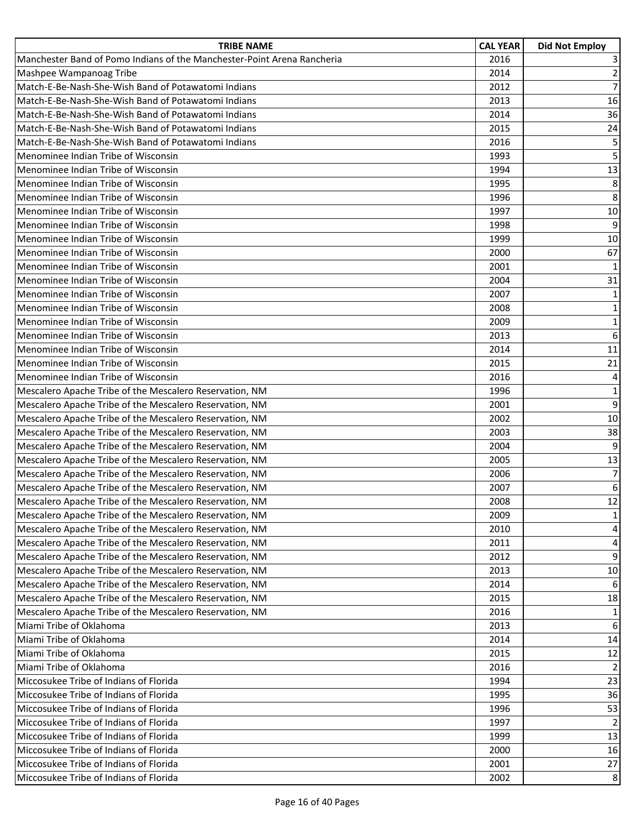| <b>TRIBE NAME</b>                                                       | <b>CAL YEAR</b> | <b>Did Not Employ</b> |
|-------------------------------------------------------------------------|-----------------|-----------------------|
| Manchester Band of Pomo Indians of the Manchester-Point Arena Rancheria | 2016            | 3                     |
| Mashpee Wampanoag Tribe                                                 | 2014            | $\overline{2}$        |
| Match-E-Be-Nash-She-Wish Band of Potawatomi Indians                     | 2012            | $\overline{7}$        |
| Match-E-Be-Nash-She-Wish Band of Potawatomi Indians                     | 2013            | 16                    |
| Match-E-Be-Nash-She-Wish Band of Potawatomi Indians                     | 2014            | 36                    |
| Match-E-Be-Nash-She-Wish Band of Potawatomi Indians                     | 2015            | 24                    |
| Match-E-Be-Nash-She-Wish Band of Potawatomi Indians                     | 2016            | 5                     |
| Menominee Indian Tribe of Wisconsin                                     | 1993            | 5                     |
| Menominee Indian Tribe of Wisconsin                                     | 1994            | 13                    |
| Menominee Indian Tribe of Wisconsin                                     | 1995            | 8                     |
| Menominee Indian Tribe of Wisconsin                                     | 1996            | 8                     |
| Menominee Indian Tribe of Wisconsin                                     | 1997            | 10                    |
| Menominee Indian Tribe of Wisconsin                                     | 1998            | 9                     |
| Menominee Indian Tribe of Wisconsin                                     | 1999            | 10                    |
| Menominee Indian Tribe of Wisconsin                                     | 2000            | 67                    |
| Menominee Indian Tribe of Wisconsin                                     | 2001            | $\mathbf{1}$          |
| Menominee Indian Tribe of Wisconsin                                     | 2004            | 31                    |
| Menominee Indian Tribe of Wisconsin                                     | 2007            | $\mathbf{1}$          |
| Menominee Indian Tribe of Wisconsin                                     | 2008            | $\mathbf 1$           |
| Menominee Indian Tribe of Wisconsin                                     | 2009            | $\mathbf 1$           |
| Menominee Indian Tribe of Wisconsin                                     | 2013            | 6                     |
| Menominee Indian Tribe of Wisconsin                                     | 2014            | 11                    |
| Menominee Indian Tribe of Wisconsin                                     | 2015            | 21                    |
| Menominee Indian Tribe of Wisconsin                                     | 2016            | 4                     |
| Mescalero Apache Tribe of the Mescalero Reservation, NM                 | 1996            | $\mathbf 1$           |
| Mescalero Apache Tribe of the Mescalero Reservation, NM                 | 2001            | 9                     |
| Mescalero Apache Tribe of the Mescalero Reservation, NM                 | 2002            | 10                    |
| Mescalero Apache Tribe of the Mescalero Reservation, NM                 | 2003            | 38                    |
| Mescalero Apache Tribe of the Mescalero Reservation, NM                 | 2004            | 9                     |
| Mescalero Apache Tribe of the Mescalero Reservation, NM                 | 2005            | 13                    |
| Mescalero Apache Tribe of the Mescalero Reservation, NM                 | 2006            | $\overline{7}$        |
| Mescalero Apache Tribe of the Mescalero Reservation, NM                 | 2007            | 6                     |
| Mescalero Apache Tribe of the Mescalero Reservation, NM                 | 2008            | 12                    |
| Mescalero Apache Tribe of the Mescalero Reservation, NM                 | 2009            | $\mathbf{1}$          |
| Mescalero Apache Tribe of the Mescalero Reservation, NM                 | 2010            | 4                     |
| Mescalero Apache Tribe of the Mescalero Reservation, NM                 | 2011            | $\overline{4}$        |
| Mescalero Apache Tribe of the Mescalero Reservation, NM                 | 2012            | 9                     |
| Mescalero Apache Tribe of the Mescalero Reservation, NM                 | 2013            | 10                    |
| Mescalero Apache Tribe of the Mescalero Reservation, NM                 | 2014            | 6                     |
| Mescalero Apache Tribe of the Mescalero Reservation, NM                 | 2015            | 18                    |
| Mescalero Apache Tribe of the Mescalero Reservation, NM                 | 2016            | 1                     |
| Miami Tribe of Oklahoma                                                 | 2013            | 6                     |
| Miami Tribe of Oklahoma                                                 | 2014            | 14                    |
| Miami Tribe of Oklahoma                                                 | 2015            | 12                    |
| Miami Tribe of Oklahoma                                                 | 2016            | $\overline{2}$        |
| Miccosukee Tribe of Indians of Florida                                  | 1994            | 23                    |
| Miccosukee Tribe of Indians of Florida                                  | 1995            | 36                    |
| Miccosukee Tribe of Indians of Florida                                  | 1996            | 53                    |
| Miccosukee Tribe of Indians of Florida                                  | 1997            | $\overline{2}$        |
| Miccosukee Tribe of Indians of Florida                                  | 1999            | 13                    |
| Miccosukee Tribe of Indians of Florida                                  | 2000            | 16                    |
| Miccosukee Tribe of Indians of Florida                                  | 2001            | 27                    |
| Miccosukee Tribe of Indians of Florida                                  | 2002            | 8                     |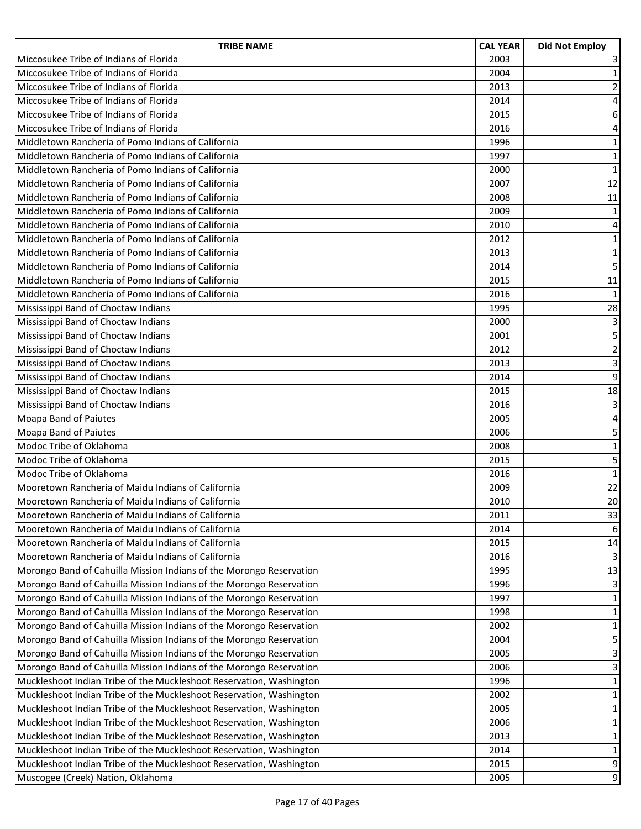| <b>TRIBE NAME</b>                                                   | <b>CAL YEAR</b> | <b>Did Not Employ</b>   |
|---------------------------------------------------------------------|-----------------|-------------------------|
| Miccosukee Tribe of Indians of Florida                              | 2003            | 3                       |
| Miccosukee Tribe of Indians of Florida                              | 2004            | $\mathbf{1}$            |
| Miccosukee Tribe of Indians of Florida                              | 2013            | $\overline{2}$          |
| Miccosukee Tribe of Indians of Florida                              | 2014            | $\overline{\mathbf{4}}$ |
| Miccosukee Tribe of Indians of Florida                              | 2015            | $\boldsymbol{6}$        |
| Miccosukee Tribe of Indians of Florida                              | 2016            | $\sqrt{4}$              |
| Middletown Rancheria of Pomo Indians of California                  | 1996            | $\mathbf 1$             |
| Middletown Rancheria of Pomo Indians of California                  | 1997            | $\mathbf 1$             |
| Middletown Rancheria of Pomo Indians of California                  | 2000            | $\mathbf 1$             |
| Middletown Rancheria of Pomo Indians of California                  | 2007            | 12                      |
| Middletown Rancheria of Pomo Indians of California                  | 2008            | 11                      |
| Middletown Rancheria of Pomo Indians of California                  | 2009            | $\mathbf{1}$            |
| Middletown Rancheria of Pomo Indians of California                  | 2010            | 4                       |
| Middletown Rancheria of Pomo Indians of California                  | 2012            | $\mathbf 1$             |
| Middletown Rancheria of Pomo Indians of California                  | 2013            | $\mathbf 1$             |
| Middletown Rancheria of Pomo Indians of California                  | 2014            | 5                       |
| Middletown Rancheria of Pomo Indians of California                  | 2015            | 11                      |
| Middletown Rancheria of Pomo Indians of California                  | 2016            | $\mathbf{1}$            |
| Mississippi Band of Choctaw Indians                                 | 1995            | 28                      |
| Mississippi Band of Choctaw Indians                                 | 2000            | 3                       |
| Mississippi Band of Choctaw Indians                                 | 2001            | 5                       |
| Mississippi Band of Choctaw Indians                                 | 2012            | $\mathbf 2$             |
| Mississippi Band of Choctaw Indians                                 | 2013            | $\mathbf{3}$            |
| Mississippi Band of Choctaw Indians                                 | 2014            | 9                       |
| Mississippi Band of Choctaw Indians                                 | 2015            | 18                      |
| Mississippi Band of Choctaw Indians                                 | 2016            | 3                       |
| Moapa Band of Paiutes                                               | 2005            | 4                       |
| Moapa Band of Paiutes                                               | 2006            | 5                       |
| Modoc Tribe of Oklahoma                                             | 2008            | $\mathbf 1$             |
| Modoc Tribe of Oklahoma                                             | 2015            | 5                       |
| Modoc Tribe of Oklahoma                                             | 2016            | $\mathbf 1$             |
| Mooretown Rancheria of Maidu Indians of California                  | 2009            | 22                      |
| Mooretown Rancheria of Maidu Indians of California                  | 2010            | 20                      |
| Mooretown Rancheria of Maidu Indians of California                  | 2011            | 33                      |
| Mooretown Rancheria of Maidu Indians of California                  | 2014            | 6                       |
| Mooretown Rancheria of Maidu Indians of California                  | 2015            | 14                      |
| Mooretown Rancheria of Maidu Indians of California                  | 2016            | 3                       |
| Morongo Band of Cahuilla Mission Indians of the Morongo Reservation | 1995            | 13                      |
| Morongo Band of Cahuilla Mission Indians of the Morongo Reservation | 1996            | 3                       |
| Morongo Band of Cahuilla Mission Indians of the Morongo Reservation | 1997            | $\mathbf{1}$            |
| Morongo Band of Cahuilla Mission Indians of the Morongo Reservation | 1998            | 1                       |
| Morongo Band of Cahuilla Mission Indians of the Morongo Reservation | 2002            | $\mathbf 1$             |
| Morongo Band of Cahuilla Mission Indians of the Morongo Reservation | 2004            | 5                       |
| Morongo Band of Cahuilla Mission Indians of the Morongo Reservation | 2005            | 3                       |
| Morongo Band of Cahuilla Mission Indians of the Morongo Reservation | 2006            | 3                       |
| Muckleshoot Indian Tribe of the Muckleshoot Reservation, Washington | 1996            | 1                       |
| Muckleshoot Indian Tribe of the Muckleshoot Reservation, Washington | 2002            | $\mathbf{1}$            |
| Muckleshoot Indian Tribe of the Muckleshoot Reservation, Washington | 2005            | $\mathbf{1}$            |
| Muckleshoot Indian Tribe of the Muckleshoot Reservation, Washington | 2006            | 1                       |
| Muckleshoot Indian Tribe of the Muckleshoot Reservation, Washington | 2013            | $\mathbf{1}$            |
| Muckleshoot Indian Tribe of the Muckleshoot Reservation, Washington | 2014            | $\mathbf{1}$            |
| Muckleshoot Indian Tribe of the Muckleshoot Reservation, Washington | 2015            | $\boldsymbol{9}$        |
| Muscogee (Creek) Nation, Oklahoma                                   | 2005            | 9                       |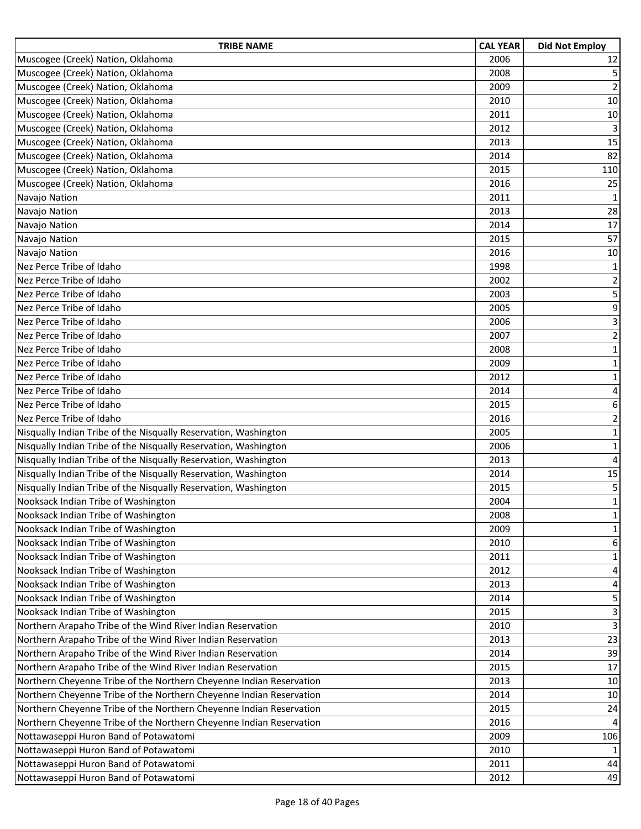| <b>TRIBE NAME</b>                                                   | <b>CAL YEAR</b> | <b>Did Not Employ</b>   |
|---------------------------------------------------------------------|-----------------|-------------------------|
| Muscogee (Creek) Nation, Oklahoma                                   | 2006            | 12                      |
| Muscogee (Creek) Nation, Oklahoma                                   | 2008            | 5                       |
| Muscogee (Creek) Nation, Oklahoma                                   | 2009            | $\overline{2}$          |
| Muscogee (Creek) Nation, Oklahoma                                   | 2010            | 10                      |
| Muscogee (Creek) Nation, Oklahoma                                   | 2011            | 10                      |
| Muscogee (Creek) Nation, Oklahoma                                   | 2012            | 3                       |
| Muscogee (Creek) Nation, Oklahoma                                   | 2013            | 15                      |
| Muscogee (Creek) Nation, Oklahoma                                   | 2014            | 82                      |
| Muscogee (Creek) Nation, Oklahoma                                   | 2015            | 110                     |
| Muscogee (Creek) Nation, Oklahoma                                   | 2016            | 25                      |
| Navajo Nation                                                       | 2011            | $\mathbf{1}$            |
| Navajo Nation                                                       | 2013            | 28                      |
| Navajo Nation                                                       | 2014            | 17                      |
| Navajo Nation                                                       | 2015            | 57                      |
| Navajo Nation                                                       | 2016            | 10                      |
| Nez Perce Tribe of Idaho                                            | 1998            | $\mathbf 1$             |
| Nez Perce Tribe of Idaho                                            | 2002            | $\mathbf 2$             |
| Nez Perce Tribe of Idaho                                            | 2003            | 5                       |
| Nez Perce Tribe of Idaho                                            | 2005            | 9                       |
| Nez Perce Tribe of Idaho                                            | 2006            | $\overline{\mathbf{3}}$ |
| Nez Perce Tribe of Idaho                                            | 2007            | $\overline{2}$          |
| Nez Perce Tribe of Idaho                                            | 2008            | $\mathbf{1}$            |
| Nez Perce Tribe of Idaho                                            | 2009            | $\mathbf{1}$            |
| Nez Perce Tribe of Idaho                                            | 2012            | $\mathbf 1$             |
| Nez Perce Tribe of Idaho                                            | 2014            | $\overline{\mathbf{4}}$ |
| Nez Perce Tribe of Idaho                                            | 2015            | 6                       |
| Nez Perce Tribe of Idaho                                            | 2016            | $\overline{2}$          |
| Nisqually Indian Tribe of the Nisqually Reservation, Washington     | 2005            | $\mathbf 1$             |
| Nisqually Indian Tribe of the Nisqually Reservation, Washington     | 2006            | $\mathbf 1$             |
| Nisqually Indian Tribe of the Nisqually Reservation, Washington     | 2013            | $\overline{\mathbf{4}}$ |
| Nisqually Indian Tribe of the Nisqually Reservation, Washington     | 2014            | 15                      |
| Nisqually Indian Tribe of the Nisqually Reservation, Washington     | 2015            | 5                       |
| Nooksack Indian Tribe of Washington                                 | 2004            | $\mathbf{1}$            |
| Nooksack Indian Tribe of Washington                                 | 2008            | $\mathbf 1$             |
| Nooksack Indian Tribe of Washington                                 | 2009            | 1                       |
| Nooksack Indian Tribe of Washington                                 | 2010            | 6                       |
| Nooksack Indian Tribe of Washington                                 | 2011            | 1                       |
| Nooksack Indian Tribe of Washington                                 | 2012            | 4                       |
| Nooksack Indian Tribe of Washington                                 | 2013            | 4                       |
| Nooksack Indian Tribe of Washington                                 | 2014            | 5                       |
| Nooksack Indian Tribe of Washington                                 | 2015            | 3                       |
| Northern Arapaho Tribe of the Wind River Indian Reservation         | 2010            | 3                       |
| Northern Arapaho Tribe of the Wind River Indian Reservation         | 2013            | 23                      |
| Northern Arapaho Tribe of the Wind River Indian Reservation         | 2014            | 39                      |
| Northern Arapaho Tribe of the Wind River Indian Reservation         | 2015            | 17                      |
| Northern Cheyenne Tribe of the Northern Cheyenne Indian Reservation | 2013            | 10                      |
| Northern Cheyenne Tribe of the Northern Cheyenne Indian Reservation | 2014            | 10                      |
| Northern Cheyenne Tribe of the Northern Cheyenne Indian Reservation | 2015            | 24                      |
| Northern Cheyenne Tribe of the Northern Cheyenne Indian Reservation | 2016            | 4                       |
| Nottawaseppi Huron Band of Potawatomi                               | 2009            | 106                     |
| Nottawaseppi Huron Band of Potawatomi                               | 2010            | $\mathbf{1}$            |
| Nottawaseppi Huron Band of Potawatomi                               | 2011            | 44                      |
| Nottawaseppi Huron Band of Potawatomi                               | 2012            | 49                      |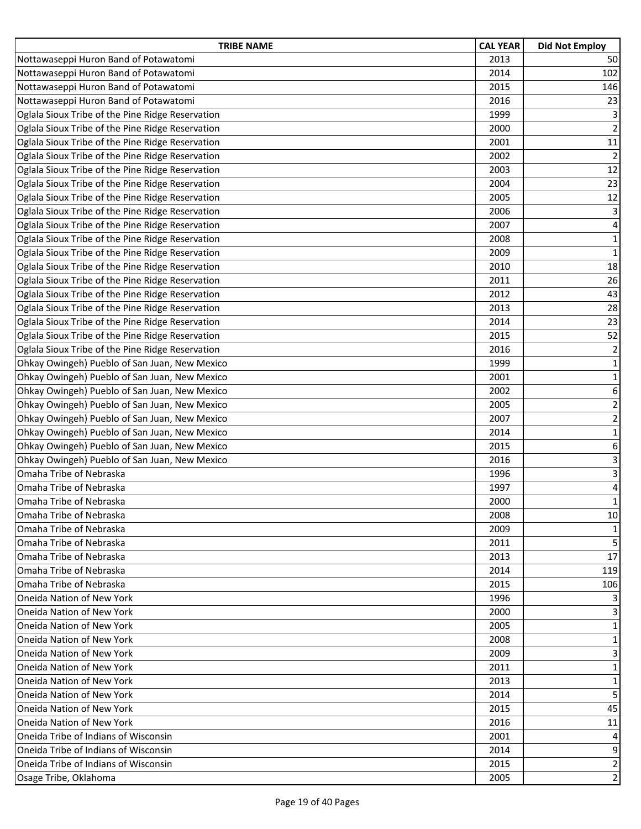| <b>TRIBE NAME</b>                                | <b>CAL YEAR</b> | <b>Did Not Employ</b>   |
|--------------------------------------------------|-----------------|-------------------------|
| Nottawaseppi Huron Band of Potawatomi            | 2013            | 50                      |
| Nottawaseppi Huron Band of Potawatomi            | 2014            | 102                     |
| Nottawaseppi Huron Band of Potawatomi            | 2015            | 146                     |
| Nottawaseppi Huron Band of Potawatomi            | 2016            | 23                      |
| Oglala Sioux Tribe of the Pine Ridge Reservation | 1999            | 3                       |
| Oglala Sioux Tribe of the Pine Ridge Reservation | 2000            | $\overline{2}$          |
| Oglala Sioux Tribe of the Pine Ridge Reservation | 2001            | 11                      |
| Oglala Sioux Tribe of the Pine Ridge Reservation | 2002            | $\overline{2}$          |
| Oglala Sioux Tribe of the Pine Ridge Reservation | 2003            | 12                      |
| Oglala Sioux Tribe of the Pine Ridge Reservation | 2004            | 23                      |
| Oglala Sioux Tribe of the Pine Ridge Reservation | 2005            | 12                      |
| Oglala Sioux Tribe of the Pine Ridge Reservation | 2006            | 3                       |
| Oglala Sioux Tribe of the Pine Ridge Reservation | 2007            | 4                       |
| Oglala Sioux Tribe of the Pine Ridge Reservation | 2008            | $\mathbf 1$             |
| Oglala Sioux Tribe of the Pine Ridge Reservation | 2009            | $\mathbf 1$             |
| Oglala Sioux Tribe of the Pine Ridge Reservation | 2010            | 18                      |
| Oglala Sioux Tribe of the Pine Ridge Reservation | 2011            | 26                      |
| Oglala Sioux Tribe of the Pine Ridge Reservation | 2012            | 43                      |
| Oglala Sioux Tribe of the Pine Ridge Reservation | 2013            | 28                      |
| Oglala Sioux Tribe of the Pine Ridge Reservation | 2014            | 23                      |
| Oglala Sioux Tribe of the Pine Ridge Reservation | 2015            | 52                      |
| Oglala Sioux Tribe of the Pine Ridge Reservation | 2016            | $\overline{2}$          |
| Ohkay Owingeh) Pueblo of San Juan, New Mexico    | 1999            | $\mathbf{1}$            |
| Ohkay Owingeh) Pueblo of San Juan, New Mexico    | 2001            | $\mathbf 1$             |
| Ohkay Owingeh) Pueblo of San Juan, New Mexico    | 2002            | 6                       |
| Ohkay Owingeh) Pueblo of San Juan, New Mexico    | 2005            | $\overline{\mathbf{c}}$ |
| Ohkay Owingeh) Pueblo of San Juan, New Mexico    | 2007            | $\mathbf 2$             |
| Ohkay Owingeh) Pueblo of San Juan, New Mexico    | 2014            | $\mathbf 1$             |
| Ohkay Owingeh) Pueblo of San Juan, New Mexico    | 2015            | 6                       |
| Ohkay Owingeh) Pueblo of San Juan, New Mexico    | 2016            | 3                       |
| Omaha Tribe of Nebraska                          | 1996            | 3                       |
| Omaha Tribe of Nebraska                          | 1997            | 4                       |
| Omaha Tribe of Nebraska                          | 2000            | $\mathbf{1}$            |
| Omaha Tribe of Nebraska                          | 2008            | 10                      |
| Omaha Tribe of Nebraska                          | 2009            | 1                       |
| Omaha Tribe of Nebraska                          | 2011            | 5                       |
| Omaha Tribe of Nebraska                          | 2013            | 17                      |
| Omaha Tribe of Nebraska                          | 2014            | 119                     |
| Omaha Tribe of Nebraska                          | 2015            | 106                     |
| Oneida Nation of New York                        | 1996            | 3                       |
| <b>Oneida Nation of New York</b>                 | 2000            | 3                       |
| Oneida Nation of New York                        | 2005            | $\mathbf{1}$            |
| Oneida Nation of New York                        | 2008            | 1                       |
| Oneida Nation of New York                        | 2009            | 3                       |
| Oneida Nation of New York                        | 2011            | $\mathbf{1}$            |
| <b>Oneida Nation of New York</b>                 | 2013            | 1                       |
| Oneida Nation of New York                        | 2014            | 5                       |
| Oneida Nation of New York                        | 2015            | 45                      |
| Oneida Nation of New York                        | 2016            | 11                      |
| Oneida Tribe of Indians of Wisconsin             | 2001            | 4                       |
| Oneida Tribe of Indians of Wisconsin             | 2014            | 9                       |
| Oneida Tribe of Indians of Wisconsin             | 2015            | $\overline{2}$          |
| Osage Tribe, Oklahoma                            | 2005            | 2                       |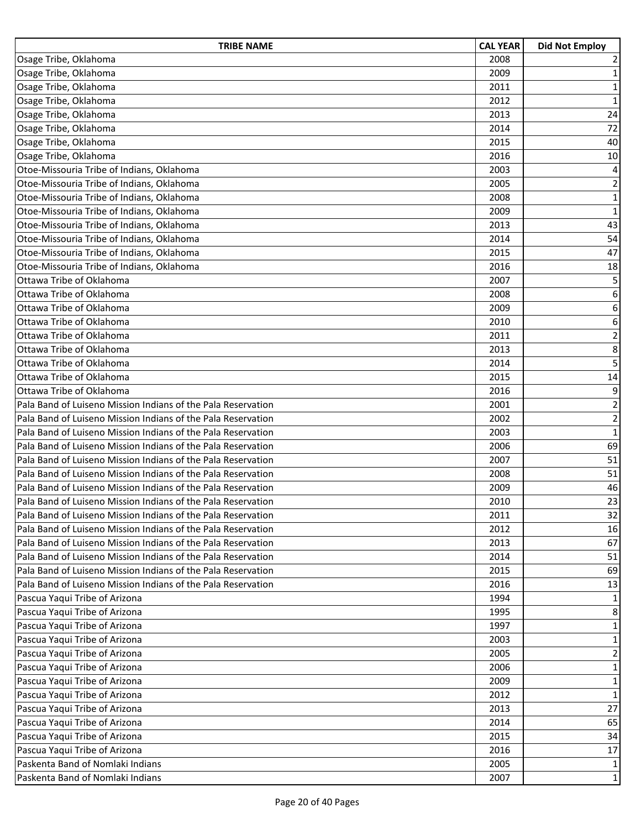| <b>TRIBE NAME</b>                                            | <b>CAL YEAR</b> | <b>Did Not Employ</b> |
|--------------------------------------------------------------|-----------------|-----------------------|
| Osage Tribe, Oklahoma                                        | 2008            | 2                     |
| Osage Tribe, Oklahoma                                        | 2009            | $\mathbf{1}$          |
| Osage Tribe, Oklahoma                                        | 2011            | $\mathbf 1$           |
| Osage Tribe, Oklahoma                                        | 2012            | $\mathbf 1$           |
| Osage Tribe, Oklahoma                                        | 2013            | 24                    |
| Osage Tribe, Oklahoma                                        | 2014            | 72                    |
| Osage Tribe, Oklahoma                                        | 2015            | 40                    |
| Osage Tribe, Oklahoma                                        | 2016            | 10                    |
| Otoe-Missouria Tribe of Indians, Oklahoma                    | 2003            | 4                     |
| Otoe-Missouria Tribe of Indians, Oklahoma                    | 2005            | $\overline{2}$        |
| Otoe-Missouria Tribe of Indians, Oklahoma                    | 2008            | $\mathbf 1$           |
| Otoe-Missouria Tribe of Indians, Oklahoma                    | 2009            | $\mathbf 1$           |
| Otoe-Missouria Tribe of Indians, Oklahoma                    | 2013            | 43                    |
| Otoe-Missouria Tribe of Indians, Oklahoma                    | 2014            | 54                    |
| Otoe-Missouria Tribe of Indians, Oklahoma                    | 2015            | 47                    |
| Otoe-Missouria Tribe of Indians, Oklahoma                    | 2016            | 18                    |
| Ottawa Tribe of Oklahoma                                     | 2007            | 5                     |
| Ottawa Tribe of Oklahoma                                     | 2008            | 6                     |
| Ottawa Tribe of Oklahoma                                     | 2009            | 6                     |
| Ottawa Tribe of Oklahoma                                     | 2010            | 6                     |
| Ottawa Tribe of Oklahoma                                     | 2011            | $\overline{2}$        |
| Ottawa Tribe of Oklahoma                                     | 2013            | 8                     |
| Ottawa Tribe of Oklahoma                                     | 2014            | 5                     |
| Ottawa Tribe of Oklahoma                                     | 2015            | 14                    |
| Ottawa Tribe of Oklahoma                                     | 2016            | 9                     |
| Pala Band of Luiseno Mission Indians of the Pala Reservation | 2001            | $\overline{c}$        |
| Pala Band of Luiseno Mission Indians of the Pala Reservation | 2002            | $\overline{2}$        |
| Pala Band of Luiseno Mission Indians of the Pala Reservation | 2003            | $\mathbf{1}$          |
| Pala Band of Luiseno Mission Indians of the Pala Reservation | 2006            | 69                    |
| Pala Band of Luiseno Mission Indians of the Pala Reservation | 2007            | 51                    |
| Pala Band of Luiseno Mission Indians of the Pala Reservation | 2008            | 51                    |
| Pala Band of Luiseno Mission Indians of the Pala Reservation | 2009            | 46                    |
| Pala Band of Luiseno Mission Indians of the Pala Reservation | 2010            | 23                    |
| Pala Band of Luiseno Mission Indians of the Pala Reservation | 2011            | 32                    |
| Pala Band of Luiseno Mission Indians of the Pala Reservation | 2012            | 16                    |
| Pala Band of Luiseno Mission Indians of the Pala Reservation | 2013            | 67                    |
| Pala Band of Luiseno Mission Indians of the Pala Reservation | 2014            | 51                    |
| Pala Band of Luiseno Mission Indians of the Pala Reservation | 2015            | 69                    |
| Pala Band of Luiseno Mission Indians of the Pala Reservation | 2016            | 13                    |
| Pascua Yaqui Tribe of Arizona                                | 1994            | $\mathbf{1}$          |
| Pascua Yaqui Tribe of Arizona                                | 1995            | 8                     |
| Pascua Yaqui Tribe of Arizona                                | 1997            | $\mathbf{1}$          |
| Pascua Yaqui Tribe of Arizona                                | 2003            | $\mathbf{1}$          |
| Pascua Yaqui Tribe of Arizona                                | 2005            | $\overline{2}$        |
| Pascua Yaqui Tribe of Arizona                                | 2006            | $\mathbf 1$           |
| Pascua Yaqui Tribe of Arizona                                | 2009            | 1                     |
| Pascua Yaqui Tribe of Arizona                                | 2012            | $\mathbf 1$           |
| Pascua Yaqui Tribe of Arizona                                | 2013            | 27                    |
| Pascua Yaqui Tribe of Arizona                                | 2014            | 65                    |
| Pascua Yaqui Tribe of Arizona                                | 2015            | 34                    |
| Pascua Yaqui Tribe of Arizona                                | 2016            | 17                    |
| Paskenta Band of Nomlaki Indians                             | 2005            | $\mathbf{1}$          |
| Paskenta Band of Nomlaki Indians                             | 2007            | 1                     |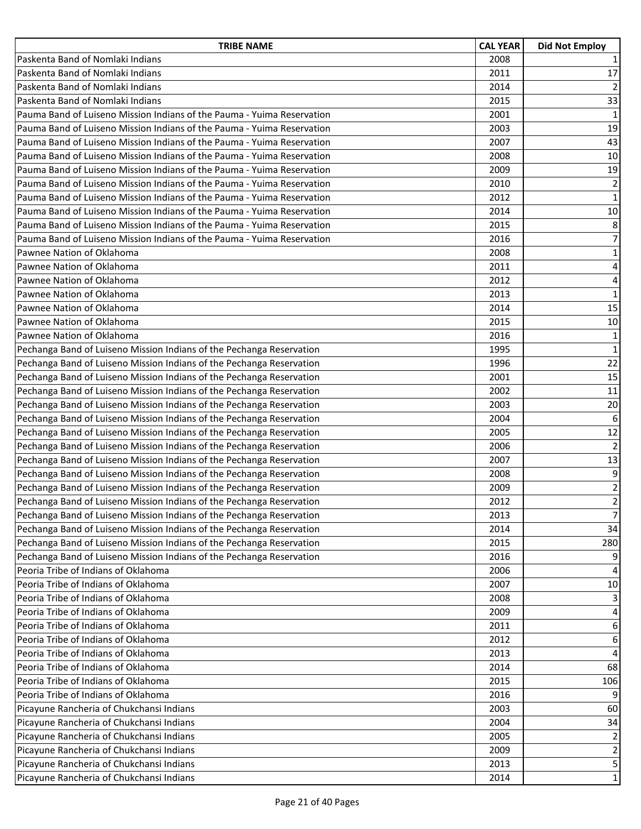| <b>TRIBE NAME</b>                                                      | <b>CAL YEAR</b> | <b>Did Not Employ</b>   |
|------------------------------------------------------------------------|-----------------|-------------------------|
| Paskenta Band of Nomlaki Indians                                       | 2008            | $\mathbf{1}$            |
| Paskenta Band of Nomlaki Indians                                       | 2011            | 17                      |
| Paskenta Band of Nomlaki Indians                                       | 2014            | $\overline{2}$          |
| Paskenta Band of Nomlaki Indians                                       | 2015            | 33                      |
| Pauma Band of Luiseno Mission Indians of the Pauma - Yuima Reservation | 2001            | $\mathbf 1$             |
| Pauma Band of Luiseno Mission Indians of the Pauma - Yuima Reservation | 2003            | 19                      |
| Pauma Band of Luiseno Mission Indians of the Pauma - Yuima Reservation | 2007            | 43                      |
| Pauma Band of Luiseno Mission Indians of the Pauma - Yuima Reservation | 2008            | 10                      |
| Pauma Band of Luiseno Mission Indians of the Pauma - Yuima Reservation | 2009            | 19                      |
| Pauma Band of Luiseno Mission Indians of the Pauma - Yuima Reservation | 2010            | $\overline{2}$          |
| Pauma Band of Luiseno Mission Indians of the Pauma - Yuima Reservation | 2012            | $\mathbf{1}$            |
| Pauma Band of Luiseno Mission Indians of the Pauma - Yuima Reservation | 2014            | 10                      |
| Pauma Band of Luiseno Mission Indians of the Pauma - Yuima Reservation | 2015            | 8                       |
| Pauma Band of Luiseno Mission Indians of the Pauma - Yuima Reservation | 2016            | $\overline{7}$          |
| Pawnee Nation of Oklahoma                                              | 2008            | $\mathbf 1$             |
| Pawnee Nation of Oklahoma                                              | 2011            | $\overline{\mathbf{4}}$ |
| Pawnee Nation of Oklahoma                                              | 2012            | 4                       |
| Pawnee Nation of Oklahoma                                              | 2013            | $\mathbf 1$             |
| Pawnee Nation of Oklahoma                                              | 2014            | 15                      |
| Pawnee Nation of Oklahoma                                              | 2015            | 10                      |
| Pawnee Nation of Oklahoma                                              | 2016            | $\mathbf 1$             |
| Pechanga Band of Luiseno Mission Indians of the Pechanga Reservation   | 1995            | $\mathbf{1}$            |
| Pechanga Band of Luiseno Mission Indians of the Pechanga Reservation   | 1996            | 22                      |
| Pechanga Band of Luiseno Mission Indians of the Pechanga Reservation   | 2001            | 15                      |
| Pechanga Band of Luiseno Mission Indians of the Pechanga Reservation   | 2002            | $11\,$                  |
| Pechanga Band of Luiseno Mission Indians of the Pechanga Reservation   | 2003            | 20                      |
| Pechanga Band of Luiseno Mission Indians of the Pechanga Reservation   | 2004            | 6                       |
| Pechanga Band of Luiseno Mission Indians of the Pechanga Reservation   | 2005            | 12                      |
| Pechanga Band of Luiseno Mission Indians of the Pechanga Reservation   | 2006            | $\mathbf 2$             |
| Pechanga Band of Luiseno Mission Indians of the Pechanga Reservation   | 2007            | 13                      |
| Pechanga Band of Luiseno Mission Indians of the Pechanga Reservation   | 2008            | 9                       |
| Pechanga Band of Luiseno Mission Indians of the Pechanga Reservation   | 2009            | $\overline{c}$          |
| Pechanga Band of Luiseno Mission Indians of the Pechanga Reservation   | 2012            | $\overline{2}$          |
| Pechanga Band of Luiseno Mission Indians of the Pechanga Reservation   | 2013            | $\overline{7}$          |
| Pechanga Band of Luiseno Mission Indians of the Pechanga Reservation   | 2014            | 34                      |
| Pechanga Band of Luiseno Mission Indians of the Pechanga Reservation   | 2015            | 280                     |
| Pechanga Band of Luiseno Mission Indians of the Pechanga Reservation   | 2016            | 9                       |
| Peoria Tribe of Indians of Oklahoma                                    | 2006            | 4                       |
| Peoria Tribe of Indians of Oklahoma                                    | 2007            | $10\,$                  |
| Peoria Tribe of Indians of Oklahoma                                    | 2008            | 3                       |
| Peoria Tribe of Indians of Oklahoma                                    | 2009            | 4                       |
| Peoria Tribe of Indians of Oklahoma                                    | 2011            | 6                       |
| Peoria Tribe of Indians of Oklahoma                                    | 2012            | 6                       |
| Peoria Tribe of Indians of Oklahoma                                    | 2013            | 4                       |
| Peoria Tribe of Indians of Oklahoma                                    | 2014            | 68                      |
| Peoria Tribe of Indians of Oklahoma                                    | 2015            | 106                     |
| Peoria Tribe of Indians of Oklahoma                                    | 2016            | 9                       |
| Picayune Rancheria of Chukchansi Indians                               | 2003            | 60                      |
| Picayune Rancheria of Chukchansi Indians                               | 2004            | 34                      |
| Picayune Rancheria of Chukchansi Indians                               | 2005            | $\overline{2}$          |
| Picayune Rancheria of Chukchansi Indians                               | 2009            | $\overline{\mathbf{c}}$ |
| Picayune Rancheria of Chukchansi Indians                               | 2013            | 5                       |
| Picayune Rancheria of Chukchansi Indians                               | 2014            | $\mathbf{1}$            |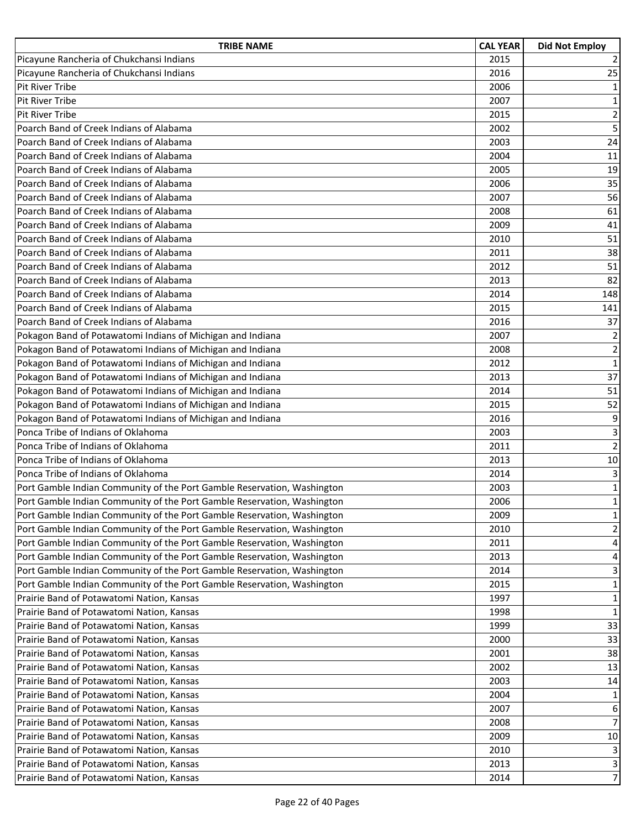| <b>TRIBE NAME</b>                                                       | <b>CAL YEAR</b> | <b>Did Not Employ</b> |
|-------------------------------------------------------------------------|-----------------|-----------------------|
| Picayune Rancheria of Chukchansi Indians                                | 2015            | 2                     |
| Picayune Rancheria of Chukchansi Indians                                | 2016            | 25                    |
| <b>Pit River Tribe</b>                                                  | 2006            | $\mathbf 1$           |
| <b>Pit River Tribe</b>                                                  | 2007            | 1                     |
| <b>Pit River Tribe</b>                                                  | 2015            | $\overline{2}$        |
| Poarch Band of Creek Indians of Alabama                                 | 2002            | $\overline{5}$        |
| Poarch Band of Creek Indians of Alabama                                 | 2003            | 24                    |
| Poarch Band of Creek Indians of Alabama                                 | 2004            | 11                    |
| Poarch Band of Creek Indians of Alabama                                 | 2005            | 19                    |
| Poarch Band of Creek Indians of Alabama                                 | 2006            | 35                    |
| Poarch Band of Creek Indians of Alabama                                 | 2007            | 56                    |
| Poarch Band of Creek Indians of Alabama                                 | 2008            | 61                    |
| Poarch Band of Creek Indians of Alabama                                 | 2009            | 41                    |
| Poarch Band of Creek Indians of Alabama                                 | 2010            | 51                    |
| Poarch Band of Creek Indians of Alabama                                 | 2011            | 38                    |
| Poarch Band of Creek Indians of Alabama                                 | 2012            | 51                    |
| Poarch Band of Creek Indians of Alabama                                 | 2013            | 82                    |
| Poarch Band of Creek Indians of Alabama                                 | 2014            | 148                   |
| Poarch Band of Creek Indians of Alabama                                 | 2015            | 141                   |
| Poarch Band of Creek Indians of Alabama                                 | 2016            | 37                    |
| Pokagon Band of Potawatomi Indians of Michigan and Indiana              | 2007            | $\overline{2}$        |
| Pokagon Band of Potawatomi Indians of Michigan and Indiana              | 2008            | $\mathbf 2$           |
| Pokagon Band of Potawatomi Indians of Michigan and Indiana              | 2012            | $\mathbf 1$           |
| Pokagon Band of Potawatomi Indians of Michigan and Indiana              | 2013            | 37                    |
| Pokagon Band of Potawatomi Indians of Michigan and Indiana              | 2014            | 51                    |
| Pokagon Band of Potawatomi Indians of Michigan and Indiana              | 2015            | 52                    |
| Pokagon Band of Potawatomi Indians of Michigan and Indiana              | 2016            | 9                     |
| Ponca Tribe of Indians of Oklahoma                                      | 2003            | 3                     |
| Ponca Tribe of Indians of Oklahoma                                      | 2011            | $\overline{2}$        |
| Ponca Tribe of Indians of Oklahoma                                      | 2013            | 10                    |
| Ponca Tribe of Indians of Oklahoma                                      | 2014            | 3                     |
| Port Gamble Indian Community of the Port Gamble Reservation, Washington | 2003            | $\mathbf 1$           |
| Port Gamble Indian Community of the Port Gamble Reservation, Washington | 2006            | $\mathbf 1$           |
| Port Gamble Indian Community of the Port Gamble Reservation, Washington | 2009            | $\mathbf 1$           |
| Port Gamble Indian Community of the Port Gamble Reservation, Washington | 2010            | $\overline{2}$        |
| Port Gamble Indian Community of the Port Gamble Reservation, Washington | 2011            | 4                     |
| Port Gamble Indian Community of the Port Gamble Reservation, Washington | 2013            | 4                     |
| Port Gamble Indian Community of the Port Gamble Reservation, Washington | 2014            | 3                     |
| Port Gamble Indian Community of the Port Gamble Reservation, Washington | 2015            | $\mathbf{1}$          |
| Prairie Band of Potawatomi Nation, Kansas                               | 1997            | $\mathbf{1}$          |
| Prairie Band of Potawatomi Nation, Kansas                               | 1998            | $\mathbf{1}$          |
| Prairie Band of Potawatomi Nation, Kansas                               | 1999            | 33                    |
| Prairie Band of Potawatomi Nation, Kansas                               | 2000            | 33                    |
| Prairie Band of Potawatomi Nation, Kansas                               | 2001            | 38                    |
| Prairie Band of Potawatomi Nation, Kansas                               | 2002            | 13                    |
| Prairie Band of Potawatomi Nation, Kansas                               | 2003            | 14                    |
| Prairie Band of Potawatomi Nation, Kansas                               | 2004            | 1                     |
| Prairie Band of Potawatomi Nation, Kansas                               | 2007            | 6                     |
| Prairie Band of Potawatomi Nation, Kansas                               | 2008            | $\overline{7}$        |
| Prairie Band of Potawatomi Nation, Kansas                               | 2009            | 10                    |
| Prairie Band of Potawatomi Nation, Kansas                               | 2010            | 3                     |
| Prairie Band of Potawatomi Nation, Kansas                               | 2013            | 3                     |
| Prairie Band of Potawatomi Nation, Kansas                               | 2014            | $\overline{7}$        |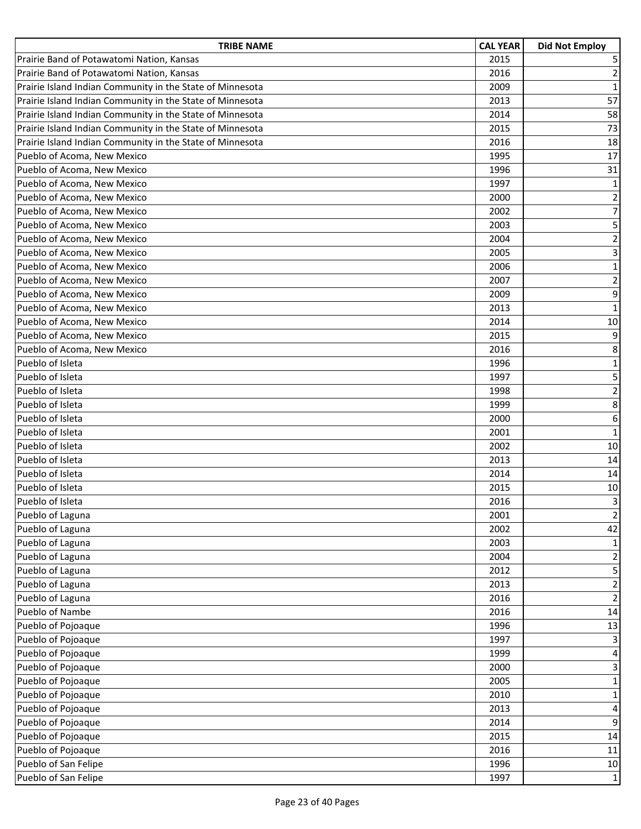| <b>TRIBE NAME</b>                                         | <b>CAL YEAR</b> | <b>Did Not Employ</b>   |
|-----------------------------------------------------------|-----------------|-------------------------|
| Prairie Band of Potawatomi Nation, Kansas                 | 2015            | 5                       |
| Prairie Band of Potawatomi Nation, Kansas                 | 2016            | $\overline{2}$          |
| Prairie Island Indian Community in the State of Minnesota | 2009            | $\mathbf{1}$            |
| Prairie Island Indian Community in the State of Minnesota | 2013            | 57                      |
| Prairie Island Indian Community in the State of Minnesota | 2014            | 58                      |
| Prairie Island Indian Community in the State of Minnesota | 2015            | 73                      |
| Prairie Island Indian Community in the State of Minnesota | 2016            | 18                      |
| Pueblo of Acoma, New Mexico                               | 1995            | 17                      |
| Pueblo of Acoma, New Mexico                               | 1996            | 31                      |
| Pueblo of Acoma, New Mexico                               | 1997            | $\mathbf 1$             |
| Pueblo of Acoma, New Mexico                               | 2000            | $\overline{\mathbf{c}}$ |
| Pueblo of Acoma, New Mexico                               | 2002            | $\overline{7}$          |
| Pueblo of Acoma, New Mexico                               | 2003            | 5                       |
| Pueblo of Acoma, New Mexico                               | 2004            | $\overline{2}$          |
| Pueblo of Acoma, New Mexico                               | 2005            | $\overline{3}$          |
| Pueblo of Acoma, New Mexico                               | 2006            | $\mathbf{1}$            |
| Pueblo of Acoma, New Mexico                               | 2007            | $\overline{2}$          |
| Pueblo of Acoma, New Mexico                               | 2009            | 9                       |
| Pueblo of Acoma, New Mexico                               | 2013            | $\mathbf 1$             |
| Pueblo of Acoma, New Mexico                               | 2014            | 10                      |
| Pueblo of Acoma, New Mexico                               | 2015            | 9                       |
| Pueblo of Acoma, New Mexico                               | 2016            | 8                       |
| Pueblo of Isleta                                          | 1996            | $\mathbf 1$             |
| Pueblo of Isleta                                          | 1997            | 5                       |
| Pueblo of Isleta                                          | 1998            | $\overline{2}$          |
| Pueblo of Isleta                                          | 1999            | 8                       |
| Pueblo of Isleta                                          | 2000            | 6                       |
| Pueblo of Isleta                                          | 2001            | $\mathbf{1}$            |
| Pueblo of Isleta                                          | 2002            | 10                      |
| Pueblo of Isleta                                          | 2013            | 14                      |
| Pueblo of Isleta                                          | 2014            | 14                      |
| Pueblo of Isleta                                          | 2015            | $10\,$                  |
| Pueblo of Isleta                                          | 2016            | $\overline{3}$          |
| Pueblo of Laguna                                          | 2001            | $\overline{2}$          |
| Pueblo of Laguna                                          | 2002            | 42                      |
| Pueblo of Laguna                                          | 2003            | $\mathbf 1$             |
| Pueblo of Laguna                                          | 2004            | $\overline{2}$          |
| Pueblo of Laguna                                          | 2012            | 5                       |
| Pueblo of Laguna                                          | 2013            | $\overline{2}$          |
| Pueblo of Laguna                                          | 2016            | $\mathbf 2$             |
| Pueblo of Nambe                                           | 2016            | 14                      |
| Pueblo of Pojoaque                                        | 1996            | 13                      |
| Pueblo of Pojoaque                                        | 1997            | 3                       |
| Pueblo of Pojoaque                                        | 1999            | 4                       |
| Pueblo of Pojoaque                                        | 2000            | 3                       |
| Pueblo of Pojoaque                                        | 2005            | $\mathbf 1$             |
| Pueblo of Pojoaque                                        | 2010            | $\mathbf 1$             |
| Pueblo of Pojoaque                                        | 2013            | 4                       |
| Pueblo of Pojoaque                                        | 2014            | 9                       |
| Pueblo of Pojoaque                                        | 2015            | 14                      |
| Pueblo of Pojoaque                                        | 2016            | 11                      |
| Pueblo of San Felipe                                      | 1996            | $10\,$                  |
| Pueblo of San Felipe                                      | 1997            | $\mathbf{1}$            |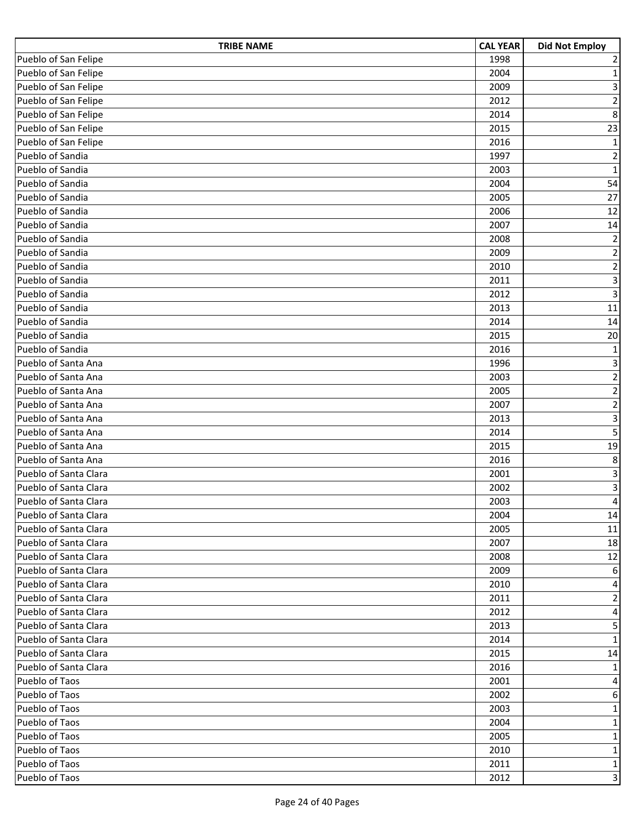| <b>TRIBE NAME</b>     | <b>CAL YEAR</b> | <b>Did Not Employ</b>   |
|-----------------------|-----------------|-------------------------|
| Pueblo of San Felipe  | 1998            | $\mathbf 2$             |
| Pueblo of San Felipe  | 2004            | $\mathbf 1$             |
| Pueblo of San Felipe  | 2009            | 3                       |
| Pueblo of San Felipe  | 2012            | $\overline{c}$          |
| Pueblo of San Felipe  | 2014            | $\bf 8$                 |
| Pueblo of San Felipe  | 2015            | 23                      |
| Pueblo of San Felipe  | 2016            | $\mathbf 1$             |
| Pueblo of Sandia      | 1997            | $\mathbf 2$             |
| Pueblo of Sandia      | 2003            | $\mathbf 1$             |
| Pueblo of Sandia      | 2004            | 54                      |
| Pueblo of Sandia      | 2005            | 27                      |
| Pueblo of Sandia      | 2006            | 12                      |
| Pueblo of Sandia      | 2007            | 14                      |
| Pueblo of Sandia      | 2008            | $\overline{2}$          |
| Pueblo of Sandia      | 2009            | $\overline{\mathbf{c}}$ |
| Pueblo of Sandia      | 2010            | $\frac{2}{3}$           |
| Pueblo of Sandia      | 2011            |                         |
| Pueblo of Sandia      | 2012            | 3                       |
| Pueblo of Sandia      | 2013            | 11                      |
| Pueblo of Sandia      | 2014            | 14                      |
| Pueblo of Sandia      | 2015            | 20                      |
| Pueblo of Sandia      | 2016            | $\mathbf 1$             |
| Pueblo of Santa Ana   | 1996            | 3                       |
| Pueblo of Santa Ana   | 2003            | $\mathbf 2$             |
| Pueblo of Santa Ana   | 2005            | $\overline{2}$          |
| Pueblo of Santa Ana   | 2007            | $\overline{\mathbf{c}}$ |
| Pueblo of Santa Ana   | 2013            | $\overline{\mathbf{3}}$ |
| Pueblo of Santa Ana   | 2014            | 5                       |
| Pueblo of Santa Ana   | 2015            | 19                      |
| Pueblo of Santa Ana   | 2016            | 8                       |
| Pueblo of Santa Clara | 2001            | $\overline{\mathbf{3}}$ |
| Pueblo of Santa Clara | 2002            | $\overline{3}$          |
| Pueblo of Santa Clara | 2003            | 4                       |
| Pueblo of Santa Clara | 2004            | 14                      |
| Pueblo of Santa Clara | 2005            | 11                      |
| Pueblo of Santa Clara | 2007            | 18                      |
| Pueblo of Santa Clara | 2008            | 12                      |
| Pueblo of Santa Clara | 2009            | 6                       |
| Pueblo of Santa Clara | 2010            | 4                       |
| Pueblo of Santa Clara | 2011            | $\mathbf 2$             |
| Pueblo of Santa Clara | 2012            | $\pmb{4}$               |
| Pueblo of Santa Clara | 2013            | 5                       |
| Pueblo of Santa Clara | 2014            | $\mathbf 1$             |
| Pueblo of Santa Clara | 2015            | 14                      |
| Pueblo of Santa Clara | 2016            | $\mathbf{1}$            |
| Pueblo of Taos        | 2001            | 4                       |
| Pueblo of Taos        | 2002            | 6                       |
| Pueblo of Taos        | 2003            | $\mathbf{1}$            |
| Pueblo of Taos        | 2004            | $\mathbf 1$             |
| Pueblo of Taos        | 2005            | $\mathbf 1$             |
| Pueblo of Taos        | 2010            | $\mathbf 1$             |
| Pueblo of Taos        | 2011            | $\mathbf 1$             |
| Pueblo of Taos        | 2012            | $\overline{3}$          |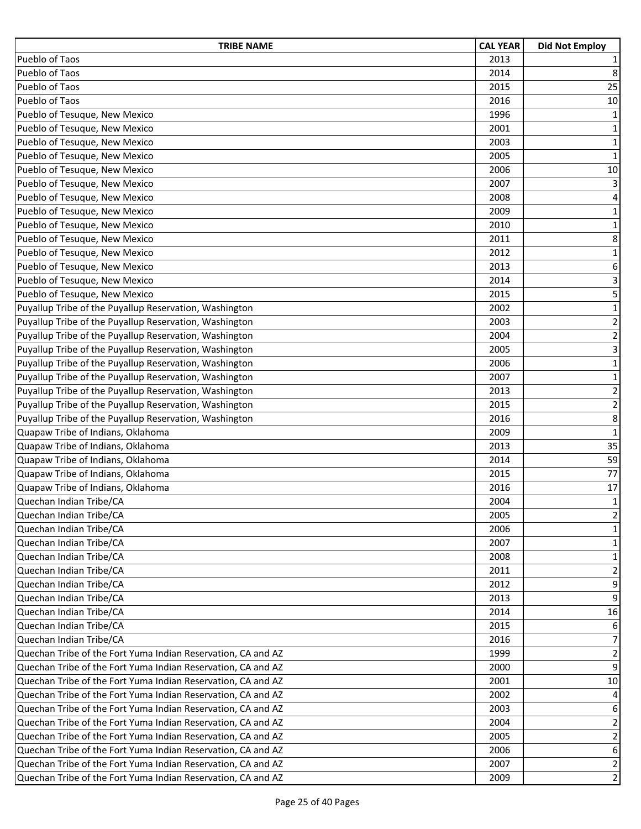| <b>TRIBE NAME</b>                                            | <b>CAL YEAR</b> | <b>Did Not Employ</b>     |
|--------------------------------------------------------------|-----------------|---------------------------|
| Pueblo of Taos                                               | 2013            | 1                         |
| Pueblo of Taos                                               | 2014            | 8                         |
| Pueblo of Taos                                               | 2015            | 25                        |
| Pueblo of Taos                                               | 2016            | 10                        |
| Pueblo of Tesuque, New Mexico                                | 1996            | $\mathbf{1}$              |
| Pueblo of Tesuque, New Mexico                                | 2001            | $\mathbf 1$               |
| Pueblo of Tesuque, New Mexico                                | 2003            | $\mathbf 1$               |
| Pueblo of Tesuque, New Mexico                                | 2005            | $\mathbf 1$               |
| Pueblo of Tesuque, New Mexico                                | 2006            | 10                        |
| Pueblo of Tesuque, New Mexico                                | 2007            | 3                         |
| Pueblo of Tesuque, New Mexico                                | 2008            | $\overline{\mathbf{4}}$   |
| Pueblo of Tesuque, New Mexico                                | 2009            | $\mathbf 1$               |
| Pueblo of Tesuque, New Mexico                                | 2010            | $\mathbf 1$               |
| Pueblo of Tesuque, New Mexico                                | 2011            | 8                         |
| Pueblo of Tesuque, New Mexico                                | 2012            | $\mathbf 1$               |
| Pueblo of Tesuque, New Mexico                                | 2013            | 6                         |
| Pueblo of Tesuque, New Mexico                                | 2014            | 3 <sup>1</sup>            |
| Pueblo of Tesuque, New Mexico                                | 2015            | $\overline{\mathbf{5}}$   |
| Puyallup Tribe of the Puyallup Reservation, Washington       | 2002            | $\mathbf 1$               |
| Puyallup Tribe of the Puyallup Reservation, Washington       | 2003            | $\overline{2}$            |
| Puyallup Tribe of the Puyallup Reservation, Washington       | 2004            | $\overline{2}$            |
| Puyallup Tribe of the Puyallup Reservation, Washington       | 2005            | $\ensuremath{\mathsf{3}}$ |
| Puyallup Tribe of the Puyallup Reservation, Washington       | 2006            | $\mathbf 1$               |
| Puyallup Tribe of the Puyallup Reservation, Washington       | 2007            | $\mathbf 1$               |
| Puyallup Tribe of the Puyallup Reservation, Washington       | 2013            | $\overline{2}$            |
| Puyallup Tribe of the Puyallup Reservation, Washington       | 2015            | $\overline{2}$            |
| Puyallup Tribe of the Puyallup Reservation, Washington       | 2016            | 8                         |
| Quapaw Tribe of Indians, Oklahoma                            | 2009            | $\mathbf 1$               |
| Quapaw Tribe of Indians, Oklahoma                            | 2013            | 35                        |
| Quapaw Tribe of Indians, Oklahoma                            | 2014            | 59                        |
| Quapaw Tribe of Indians, Oklahoma                            | 2015            | 77                        |
| Quapaw Tribe of Indians, Oklahoma                            | 2016            | 17                        |
| Quechan Indian Tribe/CA                                      | 2004            | $\mathbf 1$               |
| Quechan Indian Tribe/CA                                      | 2005            | $\overline{2}$            |
| Quechan Indian Tribe/CA                                      | 2006            | $\mathbf{1}$              |
| Quechan Indian Tribe/CA                                      | 2007            | 1                         |
| Quechan Indian Tribe/CA                                      | 2008            | $\mathbf{1}$              |
| Quechan Indian Tribe/CA                                      | 2011            | $\overline{2}$            |
| Quechan Indian Tribe/CA                                      | 2012            | 9                         |
| Quechan Indian Tribe/CA                                      | 2013            | 9                         |
| Quechan Indian Tribe/CA                                      | 2014            | 16                        |
| Quechan Indian Tribe/CA                                      | 2015            | 6                         |
| Quechan Indian Tribe/CA                                      | 2016            | $\overline{7}$            |
| Quechan Tribe of the Fort Yuma Indian Reservation, CA and AZ | 1999            | $\overline{2}$            |
| Quechan Tribe of the Fort Yuma Indian Reservation, CA and AZ | 2000            | 9                         |
| Quechan Tribe of the Fort Yuma Indian Reservation, CA and AZ | 2001            | 10                        |
| Quechan Tribe of the Fort Yuma Indian Reservation, CA and AZ | 2002            | 4                         |
| Quechan Tribe of the Fort Yuma Indian Reservation, CA and AZ | 2003            | 6                         |
| Quechan Tribe of the Fort Yuma Indian Reservation, CA and AZ | 2004            | 2                         |
| Quechan Tribe of the Fort Yuma Indian Reservation, CA and AZ | 2005            | $\overline{2}$            |
| Quechan Tribe of the Fort Yuma Indian Reservation, CA and AZ | 2006            | $\boldsymbol{6}$          |
| Quechan Tribe of the Fort Yuma Indian Reservation, CA and AZ | 2007            | $\overline{2}$            |
| Quechan Tribe of the Fort Yuma Indian Reservation, CA and AZ | 2009            | $\overline{2}$            |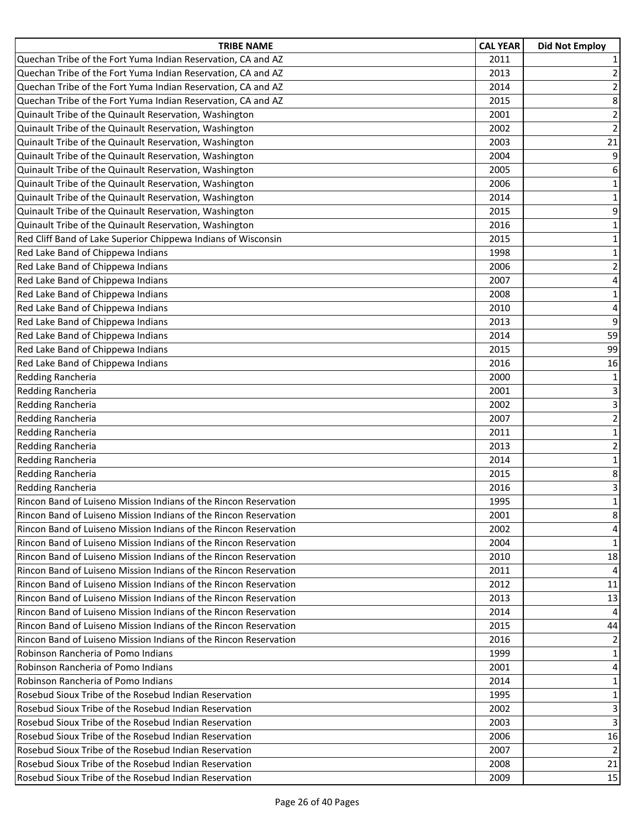| <b>TRIBE NAME</b>                                                       | <b>CAL YEAR</b> | <b>Did Not Employ</b>   |
|-------------------------------------------------------------------------|-----------------|-------------------------|
| Quechan Tribe of the Fort Yuma Indian Reservation, CA and AZ            | 2011            | $\mathbf{1}$            |
| Quechan Tribe of the Fort Yuma Indian Reservation, CA and AZ            | 2013            | $\overline{2}$          |
| Quechan Tribe of the Fort Yuma Indian Reservation, CA and AZ            | 2014            | $\overline{2}$          |
| Quechan Tribe of the Fort Yuma Indian Reservation, CA and AZ            | 2015            | 8                       |
| Quinault Tribe of the Quinault Reservation, Washington                  | 2001            | $\overline{2}$          |
| Quinault Tribe of the Quinault Reservation, Washington                  | 2002            | $\overline{2}$          |
| Quinault Tribe of the Quinault Reservation, Washington                  | 2003            | 21                      |
| Quinault Tribe of the Quinault Reservation, Washington                  | 2004            | 9                       |
| Quinault Tribe of the Quinault Reservation, Washington                  | 2005            | 6                       |
| Quinault Tribe of the Quinault Reservation, Washington                  | 2006            | $\mathbf 1$             |
| Quinault Tribe of the Quinault Reservation, Washington                  | 2014            | $\mathbf 1$             |
| Quinault Tribe of the Quinault Reservation, Washington                  | 2015            | 9                       |
| Quinault Tribe of the Quinault Reservation, Washington                  | 2016            | $1\,$                   |
| Red Cliff Band of Lake Superior Chippewa Indians of Wisconsin           | 2015            | $\mathbf 1$             |
| Red Lake Band of Chippewa Indians                                       | 1998            | $\mathbf 1$             |
| Red Lake Band of Chippewa Indians                                       | 2006            | $\overline{\mathbf{c}}$ |
| Red Lake Band of Chippewa Indians                                       | 2007            | 4                       |
| Red Lake Band of Chippewa Indians                                       | 2008            | $1\,$                   |
| Red Lake Band of Chippewa Indians                                       | 2010            | 4                       |
| Red Lake Band of Chippewa Indians                                       | 2013            | 9                       |
| Red Lake Band of Chippewa Indians                                       | 2014            | 59                      |
| Red Lake Band of Chippewa Indians                                       | 2015            | 99                      |
| Red Lake Band of Chippewa Indians                                       | 2016            | 16                      |
| Redding Rancheria                                                       | 2000            | $\mathbf{1}$            |
| Redding Rancheria                                                       | 2001            | 3                       |
| Redding Rancheria                                                       | 2002            | 3                       |
| Redding Rancheria                                                       | 2007            | $\overline{2}$          |
| Redding Rancheria                                                       | 2011            | $\mathbf 1$             |
| Redding Rancheria                                                       | 2013            | $\mathbf 2$             |
| Redding Rancheria                                                       | 2014            | $\mathbf 1$             |
| Redding Rancheria                                                       | 2015            | 8                       |
| <b>Redding Rancheria</b>                                                | 2016            | $\overline{\mathbf{3}}$ |
| Rincon Band of Luiseno Mission Indians of the Rincon Reservation        | 1995            | $\mathbf 1$             |
| Rincon Band of Luiseno Mission Indians of the Rincon Reservation        | 2001            | 8                       |
| Rincon Band of Luiseno Mission Indians of the Rincon Reservation        | 2002            | 4                       |
| Rincon Band of Luiseno Mission Indians of the Rincon Reservation        | 2004            | 1                       |
| Rincon Band of Luiseno Mission Indians of the Rincon Reservation        | 2010            | 18                      |
| <b>Rincon Band of Luiseno Mission Indians of the Rincon Reservation</b> | 2011            | 4                       |
| <b>Rincon Band of Luiseno Mission Indians of the Rincon Reservation</b> | 2012            | 11                      |
| Rincon Band of Luiseno Mission Indians of the Rincon Reservation        | 2013            | 13                      |
| Rincon Band of Luiseno Mission Indians of the Rincon Reservation        | 2014            | 4                       |
| Rincon Band of Luiseno Mission Indians of the Rincon Reservation        | 2015            | 44                      |
| Rincon Band of Luiseno Mission Indians of the Rincon Reservation        | 2016            | 2                       |
| Robinson Rancheria of Pomo Indians                                      | 1999            | 1                       |
| Robinson Rancheria of Pomo Indians                                      | 2001            | 4                       |
| Robinson Rancheria of Pomo Indians                                      | 2014            | $\mathbf{1}$            |
| Rosebud Sioux Tribe of the Rosebud Indian Reservation                   | 1995            | 1                       |
| Rosebud Sioux Tribe of the Rosebud Indian Reservation                   | 2002            | 3                       |
| Rosebud Sioux Tribe of the Rosebud Indian Reservation                   | 2003            | 3                       |
| Rosebud Sioux Tribe of the Rosebud Indian Reservation                   | 2006            | 16                      |
| Rosebud Sioux Tribe of the Rosebud Indian Reservation                   | 2007            | 2                       |
| Rosebud Sioux Tribe of the Rosebud Indian Reservation                   | 2008            | 21                      |
| Rosebud Sioux Tribe of the Rosebud Indian Reservation                   | 2009            | 15                      |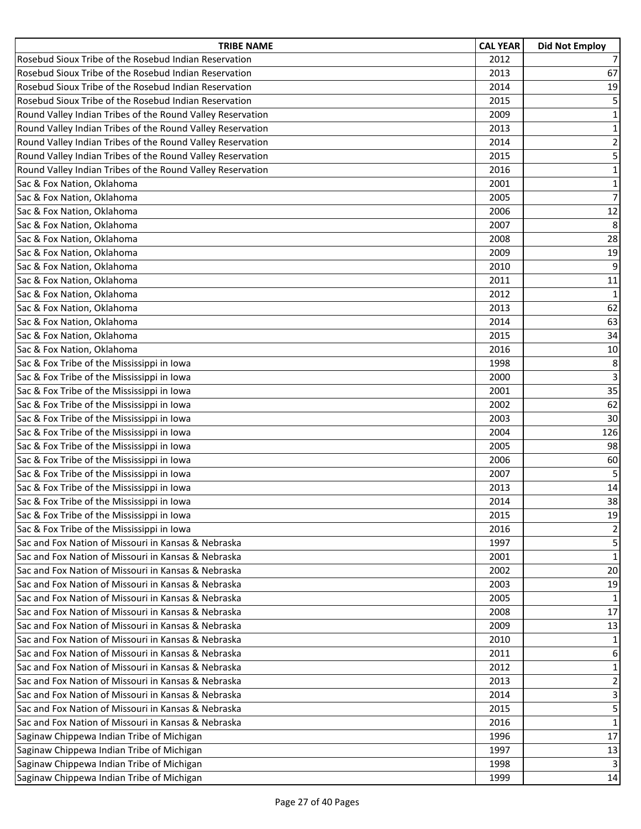| <b>TRIBE NAME</b>                                          | <b>CAL YEAR</b> | <b>Did Not Employ</b>   |
|------------------------------------------------------------|-----------------|-------------------------|
| Rosebud Sioux Tribe of the Rosebud Indian Reservation      | 2012            | $\overline{7}$          |
| Rosebud Sioux Tribe of the Rosebud Indian Reservation      | 2013            | 67                      |
| Rosebud Sioux Tribe of the Rosebud Indian Reservation      | 2014            | 19                      |
| Rosebud Sioux Tribe of the Rosebud Indian Reservation      | 2015            | 5                       |
| Round Valley Indian Tribes of the Round Valley Reservation | 2009            | $\mathbf 1$             |
| Round Valley Indian Tribes of the Round Valley Reservation | 2013            | $\mathbf 1$             |
| Round Valley Indian Tribes of the Round Valley Reservation | 2014            | $\overline{2}$          |
| Round Valley Indian Tribes of the Round Valley Reservation | 2015            | 5                       |
| Round Valley Indian Tribes of the Round Valley Reservation | 2016            | $\mathbf 1$             |
| Sac & Fox Nation, Oklahoma                                 | 2001            | $\mathbf 1$             |
| Sac & Fox Nation, Oklahoma                                 | 2005            | $\overline{7}$          |
| Sac & Fox Nation, Oklahoma                                 | 2006            | 12                      |
| Sac & Fox Nation, Oklahoma                                 | 2007            | 8                       |
| Sac & Fox Nation, Oklahoma                                 | 2008            | 28                      |
| Sac & Fox Nation, Oklahoma                                 | 2009            | 19                      |
| Sac & Fox Nation, Oklahoma                                 | 2010            | 9                       |
| Sac & Fox Nation, Oklahoma                                 | 2011            | 11                      |
| Sac & Fox Nation, Oklahoma                                 | 2012            | $\mathbf{1}$            |
| Sac & Fox Nation, Oklahoma                                 | 2013            | 62                      |
| Sac & Fox Nation, Oklahoma                                 | 2014            | 63                      |
| Sac & Fox Nation, Oklahoma                                 | 2015            | 34                      |
| Sac & Fox Nation, Oklahoma                                 | 2016            | 10                      |
| Sac & Fox Tribe of the Mississippi in Iowa                 | 1998            | 8                       |
| Sac & Fox Tribe of the Mississippi in Iowa                 | 2000            | 3                       |
| Sac & Fox Tribe of the Mississippi in Iowa                 | 2001            | 35                      |
| Sac & Fox Tribe of the Mississippi in Iowa                 | 2002            | 62                      |
| Sac & Fox Tribe of the Mississippi in Iowa                 | 2003            | 30                      |
| Sac & Fox Tribe of the Mississippi in Iowa                 | 2004            | 126                     |
| Sac & Fox Tribe of the Mississippi in Iowa                 | 2005            | 98                      |
| Sac & Fox Tribe of the Mississippi in Iowa                 | 2006            | 60                      |
| Sac & Fox Tribe of the Mississippi in Iowa                 | 2007            | 5                       |
| Sac & Fox Tribe of the Mississippi in Iowa                 | 2013            | 14                      |
| Sac & Fox Tribe of the Mississippi in Iowa                 | 2014            | 38                      |
| Sac & Fox Tribe of the Mississippi in Iowa                 | 2015            | 19                      |
| Sac & Fox Tribe of the Mississippi in Iowa                 | 2016            | 2                       |
| Sac and Fox Nation of Missouri in Kansas & Nebraska        | 1997            | 5                       |
| Sac and Fox Nation of Missouri in Kansas & Nebraska        | 2001            | $\mathbf{1}$            |
| Sac and Fox Nation of Missouri in Kansas & Nebraska        | 2002            | 20                      |
| Sac and Fox Nation of Missouri in Kansas & Nebraska        | 2003            | 19                      |
| Sac and Fox Nation of Missouri in Kansas & Nebraska        | 2005            | 1                       |
| Sac and Fox Nation of Missouri in Kansas & Nebraska        | 2008            | 17                      |
| Sac and Fox Nation of Missouri in Kansas & Nebraska        | 2009            | 13                      |
| Sac and Fox Nation of Missouri in Kansas & Nebraska        | 2010            | 1                       |
| Sac and Fox Nation of Missouri in Kansas & Nebraska        | 2011            | 6                       |
| Sac and Fox Nation of Missouri in Kansas & Nebraska        | 2012            | $\mathbf{1}$            |
| Sac and Fox Nation of Missouri in Kansas & Nebraska        | 2013            | $\overline{\mathbf{c}}$ |
| Sac and Fox Nation of Missouri in Kansas & Nebraska        | 2014            | 3                       |
| Sac and Fox Nation of Missouri in Kansas & Nebraska        | 2015            | 5                       |
| Sac and Fox Nation of Missouri in Kansas & Nebraska        | 2016            | $\mathbf{1}$            |
| Saginaw Chippewa Indian Tribe of Michigan                  | 1996            | 17                      |
| Saginaw Chippewa Indian Tribe of Michigan                  | 1997            | 13                      |
| Saginaw Chippewa Indian Tribe of Michigan                  | 1998            | $\overline{3}$          |
| Saginaw Chippewa Indian Tribe of Michigan                  | 1999            | 14                      |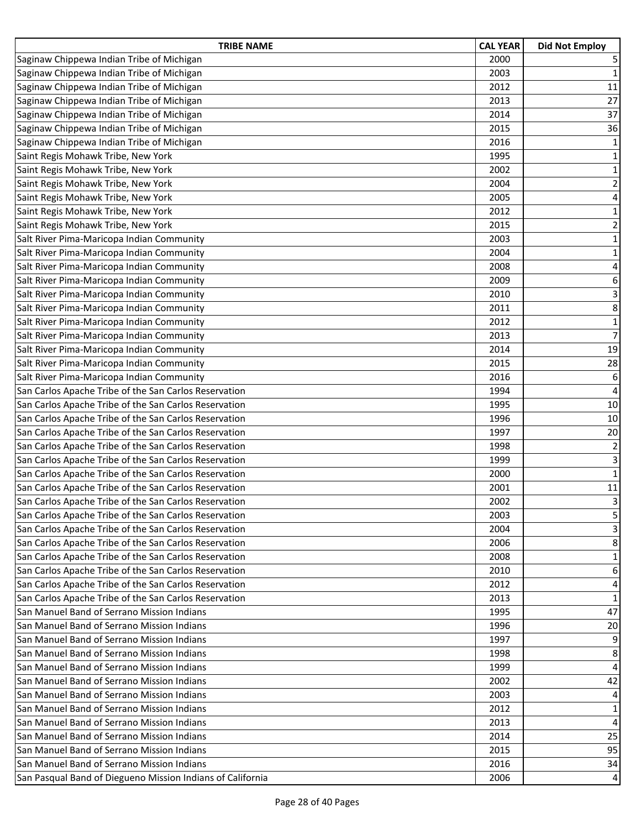| <b>TRIBE NAME</b>                                          | <b>CAL YEAR</b> | <b>Did Not Employ</b>   |
|------------------------------------------------------------|-----------------|-------------------------|
| Saginaw Chippewa Indian Tribe of Michigan                  | 2000            | 5                       |
| Saginaw Chippewa Indian Tribe of Michigan                  | 2003            | $\mathbf{1}$            |
| Saginaw Chippewa Indian Tribe of Michigan                  | 2012            | 11                      |
| Saginaw Chippewa Indian Tribe of Michigan                  | 2013            | 27                      |
| Saginaw Chippewa Indian Tribe of Michigan                  | 2014            | 37                      |
| Saginaw Chippewa Indian Tribe of Michigan                  | 2015            | 36                      |
| Saginaw Chippewa Indian Tribe of Michigan                  | 2016            | $\mathbf 1$             |
| Saint Regis Mohawk Tribe, New York                         | 1995            | $1\,$                   |
| Saint Regis Mohawk Tribe, New York                         | 2002            | $\mathbf 1$             |
| Saint Regis Mohawk Tribe, New York                         | 2004            | $\overline{2}$          |
| Saint Regis Mohawk Tribe, New York                         | 2005            | $\overline{\mathbf{4}}$ |
| Saint Regis Mohawk Tribe, New York                         | 2012            | $\mathbf{1}$            |
| Saint Regis Mohawk Tribe, New York                         | 2015            | $\overline{2}$          |
| Salt River Pima-Maricopa Indian Community                  | 2003            | $\mathbf 1$             |
| Salt River Pima-Maricopa Indian Community                  | 2004            | $\mathbf 1$             |
| Salt River Pima-Maricopa Indian Community                  | 2008            | $\overline{\mathbf{4}}$ |
| Salt River Pima-Maricopa Indian Community                  | 2009            | 6                       |
| Salt River Pima-Maricopa Indian Community                  | 2010            | 3                       |
| Salt River Pima-Maricopa Indian Community                  | 2011            | 8                       |
| Salt River Pima-Maricopa Indian Community                  | 2012            | $\mathbf 1$             |
| Salt River Pima-Maricopa Indian Community                  | 2013            | $\overline{7}$          |
| Salt River Pima-Maricopa Indian Community                  | 2014            | 19                      |
| Salt River Pima-Maricopa Indian Community                  | 2015            | 28                      |
| Salt River Pima-Maricopa Indian Community                  | 2016            | 6                       |
| San Carlos Apache Tribe of the San Carlos Reservation      | 1994            | $\overline{\mathbf{4}}$ |
| San Carlos Apache Tribe of the San Carlos Reservation      | 1995            | 10                      |
| San Carlos Apache Tribe of the San Carlos Reservation      | 1996            | 10                      |
| San Carlos Apache Tribe of the San Carlos Reservation      | 1997            | 20                      |
| San Carlos Apache Tribe of the San Carlos Reservation      | 1998            | $\overline{2}$          |
| San Carlos Apache Tribe of the San Carlos Reservation      | 1999            | 3                       |
| San Carlos Apache Tribe of the San Carlos Reservation      | 2000            | $\mathbf{1}$            |
| San Carlos Apache Tribe of the San Carlos Reservation      | 2001            | $11\,$                  |
| San Carlos Apache Tribe of the San Carlos Reservation      | 2002            | $\overline{3}$          |
| San Carlos Apache Tribe of the San Carlos Reservation      | 2003            | 5                       |
| San Carlos Apache Tribe of the San Carlos Reservation      | 2004            | 3                       |
| San Carlos Apache Tribe of the San Carlos Reservation      | 2006            | 8                       |
| San Carlos Apache Tribe of the San Carlos Reservation      | 2008            | $\mathbf{1}$            |
| San Carlos Apache Tribe of the San Carlos Reservation      | 2010            | 6                       |
| San Carlos Apache Tribe of the San Carlos Reservation      | 2012            | 4                       |
| San Carlos Apache Tribe of the San Carlos Reservation      | 2013            | $\mathbf{1}$            |
| San Manuel Band of Serrano Mission Indians                 | 1995            | 47                      |
| San Manuel Band of Serrano Mission Indians                 | 1996            | 20                      |
| San Manuel Band of Serrano Mission Indians                 | 1997            | 9                       |
| San Manuel Band of Serrano Mission Indians                 | 1998            | 8                       |
| San Manuel Band of Serrano Mission Indians                 | 1999            | $\overline{4}$          |
| San Manuel Band of Serrano Mission Indians                 | 2002            | 42                      |
| San Manuel Band of Serrano Mission Indians                 | 2003            | $\overline{4}$          |
| San Manuel Band of Serrano Mission Indians                 | 2012            | $\mathbf{1}$            |
| San Manuel Band of Serrano Mission Indians                 | 2013            | 4                       |
| San Manuel Band of Serrano Mission Indians                 | 2014            | 25                      |
| San Manuel Band of Serrano Mission Indians                 | 2015            | 95                      |
| San Manuel Band of Serrano Mission Indians                 | 2016            | 34                      |
| San Pasqual Band of Diegueno Mission Indians of California | 2006            | 4                       |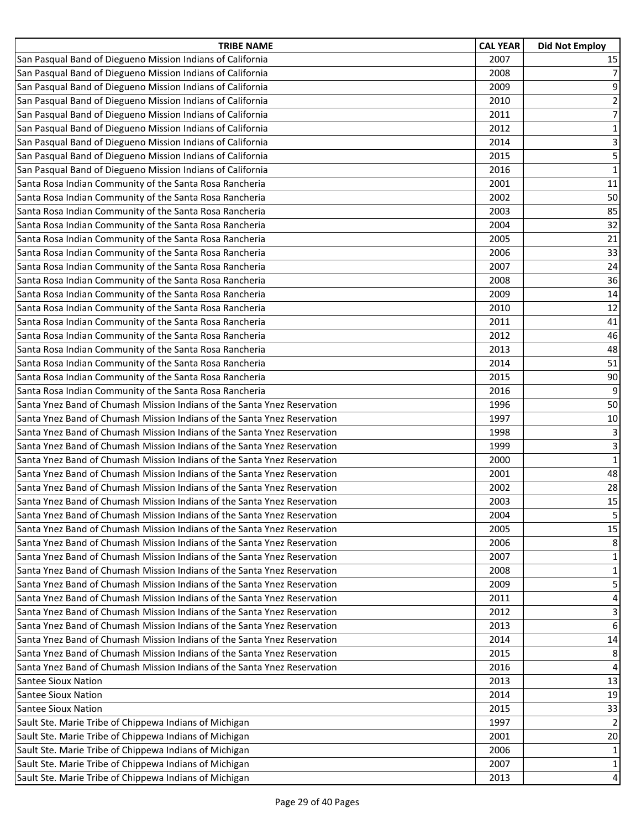| <b>TRIBE NAME</b>                                                        | <b>CAL YEAR</b> | <b>Did Not Employ</b>   |
|--------------------------------------------------------------------------|-----------------|-------------------------|
| San Pasqual Band of Diegueno Mission Indians of California               | 2007            | 15                      |
| San Pasqual Band of Diegueno Mission Indians of California               | 2008            | $\overline{7}$          |
| San Pasqual Band of Diegueno Mission Indians of California               | 2009            | 9                       |
| San Pasqual Band of Diegueno Mission Indians of California               | 2010            | $\overline{2}$          |
| San Pasqual Band of Diegueno Mission Indians of California               | 2011            | $\overline{7}$          |
| San Pasqual Band of Diegueno Mission Indians of California               | 2012            | $\mathbf{1}$            |
| San Pasqual Band of Diegueno Mission Indians of California               | 2014            | $\overline{\mathbf{3}}$ |
| San Pasqual Band of Diegueno Mission Indians of California               | 2015            | 5                       |
| San Pasqual Band of Diegueno Mission Indians of California               | 2016            | $\mathbf 1$             |
| Santa Rosa Indian Community of the Santa Rosa Rancheria                  | 2001            | 11                      |
| Santa Rosa Indian Community of the Santa Rosa Rancheria                  | 2002            | 50                      |
| Santa Rosa Indian Community of the Santa Rosa Rancheria                  | 2003            | 85                      |
| Santa Rosa Indian Community of the Santa Rosa Rancheria                  | 2004            | 32                      |
| Santa Rosa Indian Community of the Santa Rosa Rancheria                  | 2005            | 21                      |
| Santa Rosa Indian Community of the Santa Rosa Rancheria                  | 2006            | 33                      |
| Santa Rosa Indian Community of the Santa Rosa Rancheria                  | 2007            | 24                      |
| Santa Rosa Indian Community of the Santa Rosa Rancheria                  | 2008            | 36                      |
| Santa Rosa Indian Community of the Santa Rosa Rancheria                  | 2009            | 14                      |
| Santa Rosa Indian Community of the Santa Rosa Rancheria                  | 2010            | 12                      |
| Santa Rosa Indian Community of the Santa Rosa Rancheria                  | 2011            | 41                      |
| Santa Rosa Indian Community of the Santa Rosa Rancheria                  | 2012            | 46                      |
| Santa Rosa Indian Community of the Santa Rosa Rancheria                  | 2013            | 48                      |
| Santa Rosa Indian Community of the Santa Rosa Rancheria                  | 2014            | 51                      |
| Santa Rosa Indian Community of the Santa Rosa Rancheria                  | 2015            | 90                      |
| Santa Rosa Indian Community of the Santa Rosa Rancheria                  | 2016            | 9                       |
| Santa Ynez Band of Chumash Mission Indians of the Santa Ynez Reservation | 1996            | 50                      |
| Santa Ynez Band of Chumash Mission Indians of the Santa Ynez Reservation | 1997            | $10\,$                  |
| Santa Ynez Band of Chumash Mission Indians of the Santa Ynez Reservation | 1998            | 3                       |
| Santa Ynez Band of Chumash Mission Indians of the Santa Ynez Reservation | 1999            | 3                       |
| Santa Ynez Band of Chumash Mission Indians of the Santa Ynez Reservation | 2000            | $\mathbf{1}$            |
| Santa Ynez Band of Chumash Mission Indians of the Santa Ynez Reservation | 2001            | 48                      |
| Santa Ynez Band of Chumash Mission Indians of the Santa Ynez Reservation | 2002            | 28                      |
| Santa Ynez Band of Chumash Mission Indians of the Santa Ynez Reservation | 2003            | 15                      |
| Santa Ynez Band of Chumash Mission Indians of the Santa Ynez Reservation | 2004            | 5                       |
| Santa Ynez Band of Chumash Mission Indians of the Santa Ynez Reservation | 2005            | 15                      |
| Santa Ynez Band of Chumash Mission Indians of the Santa Ynez Reservation | 2006            | 8                       |
| Santa Ynez Band of Chumash Mission Indians of the Santa Ynez Reservation | 2007            | $\mathbf{1}$            |
| Santa Ynez Band of Chumash Mission Indians of the Santa Ynez Reservation | 2008            | $\mathbf{1}$            |
| Santa Ynez Band of Chumash Mission Indians of the Santa Ynez Reservation | 2009            | 5 <sub>1</sub>          |
| Santa Ynez Band of Chumash Mission Indians of the Santa Ynez Reservation | 2011            | 4                       |
| Santa Ynez Band of Chumash Mission Indians of the Santa Ynez Reservation | 2012            | 3                       |
| Santa Ynez Band of Chumash Mission Indians of the Santa Ynez Reservation | 2013            | 6                       |
| Santa Ynez Band of Chumash Mission Indians of the Santa Ynez Reservation | 2014            | 14                      |
| Santa Ynez Band of Chumash Mission Indians of the Santa Ynez Reservation | 2015            | 8                       |
| Santa Ynez Band of Chumash Mission Indians of the Santa Ynez Reservation | 2016            | 4                       |
| <b>Santee Sioux Nation</b>                                               | 2013            | 13                      |
| <b>Santee Sioux Nation</b>                                               | 2014            | 19                      |
| <b>Santee Sioux Nation</b>                                               | 2015            | 33                      |
| Sault Ste. Marie Tribe of Chippewa Indians of Michigan                   | 1997            | $\overline{2}$          |
| Sault Ste. Marie Tribe of Chippewa Indians of Michigan                   | 2001            | 20                      |
| Sault Ste. Marie Tribe of Chippewa Indians of Michigan                   | 2006            | $\mathbf 1$             |
| Sault Ste. Marie Tribe of Chippewa Indians of Michigan                   | 2007            | $\mathbf{1}$            |
| Sault Ste. Marie Tribe of Chippewa Indians of Michigan                   | 2013            | $\overline{4}$          |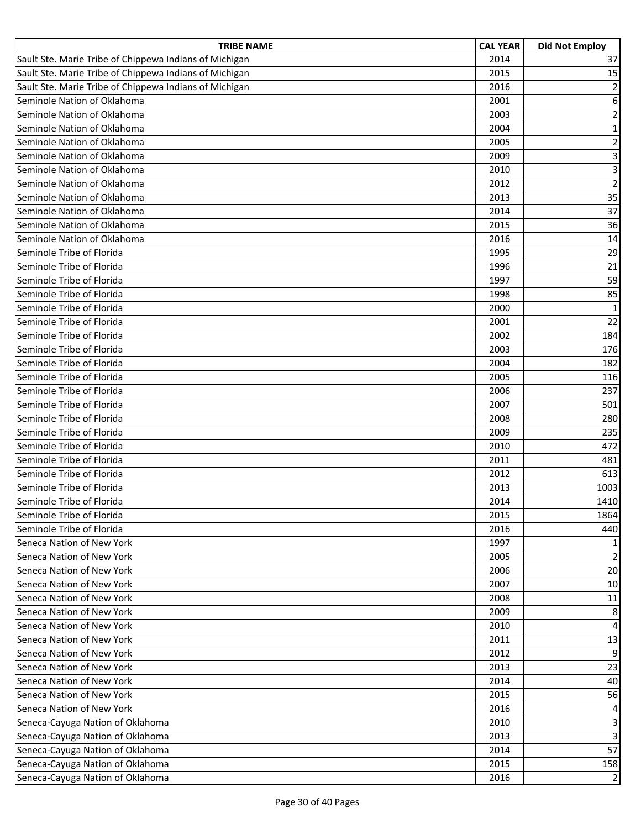| <b>TRIBE NAME</b>                                      | <b>CAL YEAR</b> | <b>Did Not Employ</b> |
|--------------------------------------------------------|-----------------|-----------------------|
| Sault Ste. Marie Tribe of Chippewa Indians of Michigan | 2014            | 37                    |
| Sault Ste. Marie Tribe of Chippewa Indians of Michigan | 2015            | 15                    |
| Sault Ste. Marie Tribe of Chippewa Indians of Michigan | 2016            | $\overline{2}$        |
| Seminole Nation of Oklahoma                            | 2001            | 6                     |
| Seminole Nation of Oklahoma                            | 2003            | $\mathbf 2$           |
| Seminole Nation of Oklahoma                            | 2004            | $\mathbf{1}$          |
| Seminole Nation of Oklahoma                            | 2005            | $\overline{2}$        |
| Seminole Nation of Oklahoma                            | 2009            | 3                     |
| Seminole Nation of Oklahoma                            | 2010            | 3                     |
| Seminole Nation of Oklahoma                            | 2012            | $\overline{2}$        |
| Seminole Nation of Oklahoma                            | 2013            | 35                    |
| Seminole Nation of Oklahoma                            | 2014            | 37                    |
| Seminole Nation of Oklahoma                            | 2015            | 36                    |
| Seminole Nation of Oklahoma                            | 2016            | 14                    |
| Seminole Tribe of Florida                              | 1995            | 29                    |
| Seminole Tribe of Florida                              | 1996            | 21                    |
| Seminole Tribe of Florida                              | 1997            | 59                    |
| Seminole Tribe of Florida                              | 1998            | 85                    |
| Seminole Tribe of Florida                              | 2000            | $\mathbf{1}$          |
| Seminole Tribe of Florida                              | 2001            | 22                    |
| Seminole Tribe of Florida                              | 2002            | 184                   |
| Seminole Tribe of Florida                              | 2003            | 176                   |
| Seminole Tribe of Florida                              | 2004            | 182                   |
| Seminole Tribe of Florida                              | 2005            | 116                   |
| Seminole Tribe of Florida                              | 2006            | 237                   |
| Seminole Tribe of Florida                              | 2007            | 501                   |
| Seminole Tribe of Florida                              | 2008            | 280                   |
| Seminole Tribe of Florida                              | 2009            | 235                   |
| Seminole Tribe of Florida                              | 2010            | 472                   |
| Seminole Tribe of Florida                              | 2011            | 481                   |
| Seminole Tribe of Florida                              | 2012            | 613                   |
| Seminole Tribe of Florida                              | 2013            | 1003                  |
| Seminole Tribe of Florida                              | 2014            | 1410                  |
| Seminole Tribe of Florida                              | 2015            | 1864                  |
| Seminole Tribe of Florida                              | 2016            | 440                   |
| Seneca Nation of New York                              | 1997            | $\mathbf{1}$          |
| Seneca Nation of New York                              | 2005            | $\overline{2}$        |
| Seneca Nation of New York                              | 2006            | 20                    |
| Seneca Nation of New York                              | 2007            | 10                    |
| Seneca Nation of New York                              | 2008            | 11                    |
| Seneca Nation of New York                              | 2009            | 8                     |
| Seneca Nation of New York                              | 2010            | $\overline{4}$        |
| Seneca Nation of New York                              | 2011            | 13                    |
| Seneca Nation of New York                              | 2012            | 9                     |
| Seneca Nation of New York                              | 2013            | 23                    |
| Seneca Nation of New York                              | 2014            | 40                    |
| Seneca Nation of New York                              | 2015            | 56                    |
| Seneca Nation of New York                              | 2016            | 4                     |
| Seneca-Cayuga Nation of Oklahoma                       | 2010            | 3                     |
| Seneca-Cayuga Nation of Oklahoma                       | 2013            | 3                     |
| Seneca-Cayuga Nation of Oklahoma                       | 2014            | 57                    |
| Seneca-Cayuga Nation of Oklahoma                       | 2015            | 158                   |
| Seneca-Cayuga Nation of Oklahoma                       | 2016            | $\overline{2}$        |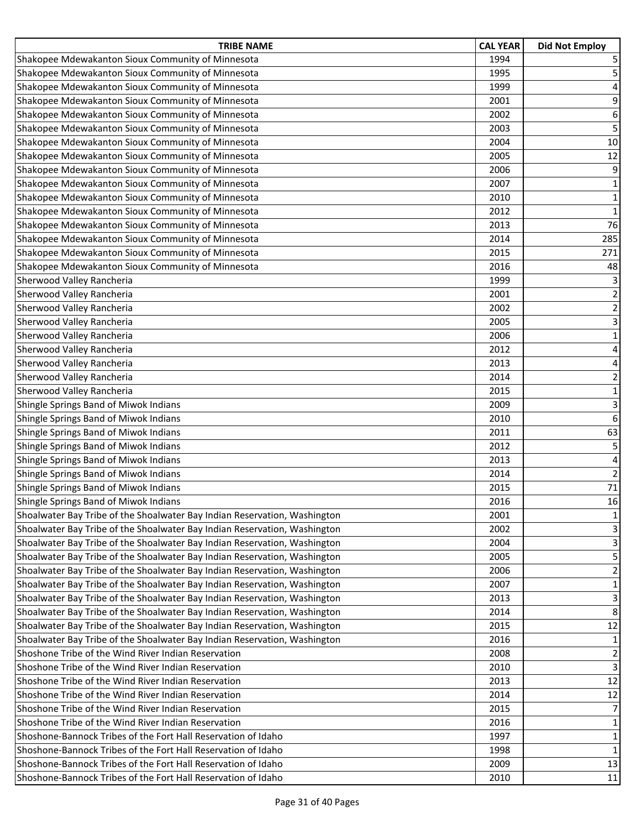| <b>TRIBE NAME</b>                                                         | <b>CAL YEAR</b> | <b>Did Not Employ</b>   |
|---------------------------------------------------------------------------|-----------------|-------------------------|
| Shakopee Mdewakanton Sioux Community of Minnesota                         | 1994            | 5                       |
| Shakopee Mdewakanton Sioux Community of Minnesota                         | 1995            | 5                       |
| Shakopee Mdewakanton Sioux Community of Minnesota                         | 1999            | 4                       |
| Shakopee Mdewakanton Sioux Community of Minnesota                         | 2001            | $\boldsymbol{9}$        |
| Shakopee Mdewakanton Sioux Community of Minnesota                         | 2002            | 6                       |
| Shakopee Mdewakanton Sioux Community of Minnesota                         | 2003            | $\overline{\mathbf{5}}$ |
| Shakopee Mdewakanton Sioux Community of Minnesota                         | 2004            | 10                      |
| Shakopee Mdewakanton Sioux Community of Minnesota                         | 2005            | 12                      |
| Shakopee Mdewakanton Sioux Community of Minnesota                         | 2006            | 9                       |
| Shakopee Mdewakanton Sioux Community of Minnesota                         | 2007            | $\mathbf 1$             |
| Shakopee Mdewakanton Sioux Community of Minnesota                         | 2010            | $\mathbf 1$             |
| Shakopee Mdewakanton Sioux Community of Minnesota                         | 2012            | $\mathbf{1}$            |
| Shakopee Mdewakanton Sioux Community of Minnesota                         | 2013            | 76                      |
| Shakopee Mdewakanton Sioux Community of Minnesota                         | 2014            | 285                     |
| Shakopee Mdewakanton Sioux Community of Minnesota                         | 2015            | 271                     |
| Shakopee Mdewakanton Sioux Community of Minnesota                         | 2016            | 48                      |
| Sherwood Valley Rancheria                                                 | 1999            | 3                       |
| Sherwood Valley Rancheria                                                 | 2001            | $\overline{\mathbf{c}}$ |
| Sherwood Valley Rancheria                                                 | 2002            | $\overline{2}$          |
| Sherwood Valley Rancheria                                                 | 2005            | 3                       |
| Sherwood Valley Rancheria                                                 | 2006            | $\mathbf 1$             |
| Sherwood Valley Rancheria                                                 | 2012            | $\overline{\mathbf{4}}$ |
| Sherwood Valley Rancheria                                                 | 2013            | 4                       |
| Sherwood Valley Rancheria                                                 | 2014            | $\overline{2}$          |
| Sherwood Valley Rancheria                                                 | 2015            | $\mathbf 1$             |
| Shingle Springs Band of Miwok Indians                                     | 2009            | 3                       |
| Shingle Springs Band of Miwok Indians                                     | 2010            | $\boldsymbol{6}$        |
| Shingle Springs Band of Miwok Indians                                     | 2011            | 63                      |
| Shingle Springs Band of Miwok Indians                                     | 2012            | 5                       |
| Shingle Springs Band of Miwok Indians                                     | 2013            | $\overline{4}$          |
| Shingle Springs Band of Miwok Indians                                     | 2014            | $\overline{2}$          |
| Shingle Springs Band of Miwok Indians                                     | 2015            | 71                      |
| Shingle Springs Band of Miwok Indians                                     | 2016            | 16                      |
| Shoalwater Bay Tribe of the Shoalwater Bay Indian Reservation, Washington | 2001            | 1                       |
| Shoalwater Bay Tribe of the Shoalwater Bay Indian Reservation, Washington | 2002            | 3                       |
| Shoalwater Bay Tribe of the Shoalwater Bay Indian Reservation, Washington | 2004            | 3                       |
| Shoalwater Bay Tribe of the Shoalwater Bay Indian Reservation, Washington | 2005            | 5                       |
| Shoalwater Bay Tribe of the Shoalwater Bay Indian Reservation, Washington | 2006            | 2                       |
| Shoalwater Bay Tribe of the Shoalwater Bay Indian Reservation, Washington | 2007            | $\mathbf 1$             |
| Shoalwater Bay Tribe of the Shoalwater Bay Indian Reservation, Washington | 2013            | $\mathbf{3}$            |
| Shoalwater Bay Tribe of the Shoalwater Bay Indian Reservation, Washington | 2014            | 8                       |
| Shoalwater Bay Tribe of the Shoalwater Bay Indian Reservation, Washington | 2015            | 12                      |
| Shoalwater Bay Tribe of the Shoalwater Bay Indian Reservation, Washington | 2016            | $\mathbf{1}$            |
| Shoshone Tribe of the Wind River Indian Reservation                       | 2008            | $\overline{2}$          |
| Shoshone Tribe of the Wind River Indian Reservation                       | 2010            | $\overline{3}$          |
| Shoshone Tribe of the Wind River Indian Reservation                       | 2013            | 12                      |
| Shoshone Tribe of the Wind River Indian Reservation                       | 2014            | 12                      |
| Shoshone Tribe of the Wind River Indian Reservation                       | 2015            | $\overline{7}$          |
| Shoshone Tribe of the Wind River Indian Reservation                       | 2016            | $\mathbf 1$             |
| Shoshone-Bannock Tribes of the Fort Hall Reservation of Idaho             | 1997            | $\mathbf{1}$            |
| Shoshone-Bannock Tribes of the Fort Hall Reservation of Idaho             | 1998            | $\mathbf 1$             |
| Shoshone-Bannock Tribes of the Fort Hall Reservation of Idaho             | 2009            | 13                      |
| Shoshone-Bannock Tribes of the Fort Hall Reservation of Idaho             | 2010            | 11                      |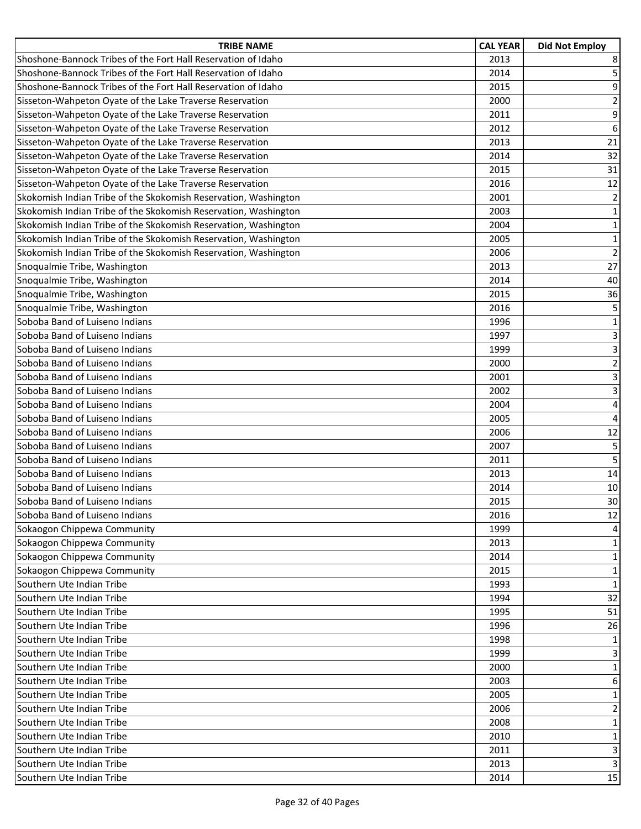| <b>TRIBE NAME</b>                                               | <b>CAL YEAR</b> | <b>Did Not Employ</b> |
|-----------------------------------------------------------------|-----------------|-----------------------|
| Shoshone-Bannock Tribes of the Fort Hall Reservation of Idaho   | 2013            | 8                     |
| Shoshone-Bannock Tribes of the Fort Hall Reservation of Idaho   | 2014            | 5                     |
| Shoshone-Bannock Tribes of the Fort Hall Reservation of Idaho   | 2015            | 9                     |
| Sisseton-Wahpeton Oyate of the Lake Traverse Reservation        | 2000            | $\overline{2}$        |
| Sisseton-Wahpeton Oyate of the Lake Traverse Reservation        | 2011            | $\boldsymbol{9}$      |
| Sisseton-Wahpeton Oyate of the Lake Traverse Reservation        | 2012            | 6                     |
| Sisseton-Wahpeton Oyate of the Lake Traverse Reservation        | 2013            | 21                    |
| Sisseton-Wahpeton Oyate of the Lake Traverse Reservation        | 2014            | 32                    |
| Sisseton-Wahpeton Oyate of the Lake Traverse Reservation        | 2015            | 31                    |
| Sisseton-Wahpeton Oyate of the Lake Traverse Reservation        | 2016            | 12                    |
| Skokomish Indian Tribe of the Skokomish Reservation, Washington | 2001            | $\mathbf 2$           |
| Skokomish Indian Tribe of the Skokomish Reservation, Washington | 2003            | $\mathbf 1$           |
| Skokomish Indian Tribe of the Skokomish Reservation, Washington | 2004            | $1\,$                 |
| Skokomish Indian Tribe of the Skokomish Reservation, Washington | 2005            | $\mathbf 1$           |
| Skokomish Indian Tribe of the Skokomish Reservation, Washington | 2006            | $\overline{2}$        |
| Snoqualmie Tribe, Washington                                    | 2013            | 27                    |
| Snoqualmie Tribe, Washington                                    | 2014            | 40                    |
| Snoqualmie Tribe, Washington                                    | 2015            | 36                    |
| Snoqualmie Tribe, Washington                                    | 2016            | 5                     |
| Soboba Band of Luiseno Indians                                  | 1996            | $\mathbf 1$           |
| Soboba Band of Luiseno Indians                                  | 1997            | 3                     |
| Soboba Band of Luiseno Indians                                  | 1999            | 3                     |
| Soboba Band of Luiseno Indians                                  | 2000            | $\overline{2}$        |
| Soboba Band of Luiseno Indians                                  | 2001            | 3                     |
| Soboba Band of Luiseno Indians                                  | 2002            | $\overline{3}$        |
| Soboba Band of Luiseno Indians                                  | 2004            | $\sqrt{4}$            |
| Soboba Band of Luiseno Indians                                  | 2005            | $\pmb{4}$             |
| Soboba Band of Luiseno Indians                                  | 2006            | 12                    |
| Soboba Band of Luiseno Indians                                  | 2007            | 5                     |
| Soboba Band of Luiseno Indians                                  | 2011            | 5                     |
| Soboba Band of Luiseno Indians                                  | 2013            | 14                    |
| Soboba Band of Luiseno Indians                                  | 2014            | 10                    |
| Soboba Band of Luiseno Indians                                  | 2015            | 30                    |
| Soboba Band of Luiseno Indians                                  | 2016            | 12                    |
| Sokaogon Chippewa Community                                     | 1999            | 4                     |
| Sokaogon Chippewa Community                                     | 2013            | $\mathbf{1}$          |
| Sokaogon Chippewa Community                                     | 2014            | $\mathbf 1$           |
| Sokaogon Chippewa Community                                     | 2015            | 1                     |
| Southern Ute Indian Tribe                                       | 1993            | $\mathbf{1}$          |
| Southern Ute Indian Tribe                                       | 1994            | 32                    |
| Southern Ute Indian Tribe                                       | 1995            | 51                    |
| Southern Ute Indian Tribe                                       | 1996            | 26                    |
| Southern Ute Indian Tribe                                       | 1998            | 1                     |
| Southern Ute Indian Tribe                                       | 1999            | 3                     |
| Southern Ute Indian Tribe                                       | 2000            | $\mathbf{1}$          |
| Southern Ute Indian Tribe                                       | 2003            | $\boldsymbol{6}$      |
| Southern Ute Indian Tribe                                       | 2005            | $\mathbf{1}$          |
| Southern Ute Indian Tribe                                       | 2006            | $\overline{2}$        |
| Southern Ute Indian Tribe                                       | 2008            | $\mathbf{1}$          |
| Southern Ute Indian Tribe                                       | 2010            | $\mathbf 1$           |
| Southern Ute Indian Tribe                                       | 2011            | 3                     |
| Southern Ute Indian Tribe                                       | 2013            | $\overline{3}$        |
| Southern Ute Indian Tribe                                       | 2014            | 15                    |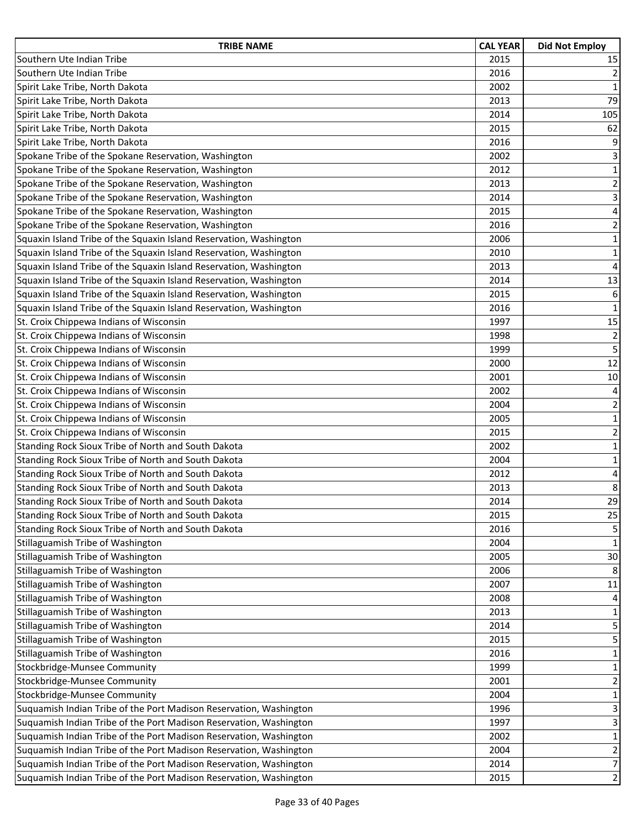| <b>TRIBE NAME</b>                                                  | <b>CAL YEAR</b> | <b>Did Not Employ</b>   |
|--------------------------------------------------------------------|-----------------|-------------------------|
| Southern Ute Indian Tribe                                          | 2015            | 15                      |
| Southern Ute Indian Tribe                                          | 2016            | $\overline{2}$          |
| Spirit Lake Tribe, North Dakota                                    | 2002            | $\mathbf{1}$            |
| Spirit Lake Tribe, North Dakota                                    | 2013            | 79                      |
| Spirit Lake Tribe, North Dakota                                    | 2014            | 105                     |
| Spirit Lake Tribe, North Dakota                                    | 2015            | 62                      |
| Spirit Lake Tribe, North Dakota                                    | 2016            | $\boldsymbol{9}$        |
| Spokane Tribe of the Spokane Reservation, Washington               | 2002            | 3                       |
| Spokane Tribe of the Spokane Reservation, Washington               | 2012            | $\mathbf 1$             |
| Spokane Tribe of the Spokane Reservation, Washington               | 2013            | $\overline{2}$          |
| Spokane Tribe of the Spokane Reservation, Washington               | 2014            | 3                       |
| Spokane Tribe of the Spokane Reservation, Washington               | 2015            | $\overline{\mathbf{4}}$ |
| Spokane Tribe of the Spokane Reservation, Washington               | 2016            | $\overline{2}$          |
| Squaxin Island Tribe of the Squaxin Island Reservation, Washington | 2006            | $\mathbf 1$             |
| Squaxin Island Tribe of the Squaxin Island Reservation, Washington | 2010            | $\mathbf 1$             |
| Squaxin Island Tribe of the Squaxin Island Reservation, Washington | 2013            | $\sqrt{4}$              |
| Squaxin Island Tribe of the Squaxin Island Reservation, Washington | 2014            | 13                      |
| Squaxin Island Tribe of the Squaxin Island Reservation, Washington | 2015            | $\boldsymbol{6}$        |
| Squaxin Island Tribe of the Squaxin Island Reservation, Washington | 2016            | $\mathbf 1$             |
| St. Croix Chippewa Indians of Wisconsin                            | 1997            | 15                      |
| St. Croix Chippewa Indians of Wisconsin                            | 1998            | $\overline{2}$          |
| St. Croix Chippewa Indians of Wisconsin                            | 1999            | 5                       |
| St. Croix Chippewa Indians of Wisconsin                            | 2000            | 12                      |
| St. Croix Chippewa Indians of Wisconsin                            | 2001            | 10                      |
| St. Croix Chippewa Indians of Wisconsin                            | 2002            | $\overline{4}$          |
| St. Croix Chippewa Indians of Wisconsin                            | 2004            | $\overline{2}$          |
| St. Croix Chippewa Indians of Wisconsin                            | 2005            | $\mathbf 1$             |
| St. Croix Chippewa Indians of Wisconsin                            | 2015            | $\overline{2}$          |
| Standing Rock Sioux Tribe of North and South Dakota                | 2002            | $\mathbf 1$             |
| Standing Rock Sioux Tribe of North and South Dakota                | 2004            | $\mathbf 1$             |
| Standing Rock Sioux Tribe of North and South Dakota                | 2012            | 4                       |
| Standing Rock Sioux Tribe of North and South Dakota                | 2013            | 8                       |
| Standing Rock Sioux Tribe of North and South Dakota                | 2014            | 29                      |
| Standing Rock Sioux Tribe of North and South Dakota                | 2015            | 25                      |
| Standing Rock Sioux Tribe of North and South Dakota                | 2016            | 5                       |
| Stillaguamish Tribe of Washington                                  | 2004            | 1                       |
| Stillaguamish Tribe of Washington                                  | 2005            | 30                      |
| Stillaguamish Tribe of Washington                                  | 2006            | 8                       |
| Stillaguamish Tribe of Washington                                  | 2007            | 11                      |
| Stillaguamish Tribe of Washington                                  | 2008            | 4                       |
| Stillaguamish Tribe of Washington                                  | 2013            | 1                       |
| Stillaguamish Tribe of Washington                                  | 2014            | 5                       |
| Stillaguamish Tribe of Washington                                  | 2015            | 5                       |
| Stillaguamish Tribe of Washington                                  | 2016            | 1                       |
| Stockbridge-Munsee Community                                       | 1999            | $\mathbf{1}$            |
| Stockbridge-Munsee Community                                       | 2001            | 2                       |
| Stockbridge-Munsee Community                                       | 2004            | 1                       |
| Suquamish Indian Tribe of the Port Madison Reservation, Washington | 1996            | 3                       |
| Suquamish Indian Tribe of the Port Madison Reservation, Washington | 1997            | 3                       |
| Suquamish Indian Tribe of the Port Madison Reservation, Washington | 2002            | 1                       |
| Suquamish Indian Tribe of the Port Madison Reservation, Washington | 2004            | $\overline{2}$          |
| Suquamish Indian Tribe of the Port Madison Reservation, Washington | 2014            | $\overline{7}$          |
| Suquamish Indian Tribe of the Port Madison Reservation, Washington | 2015            | $\overline{2}$          |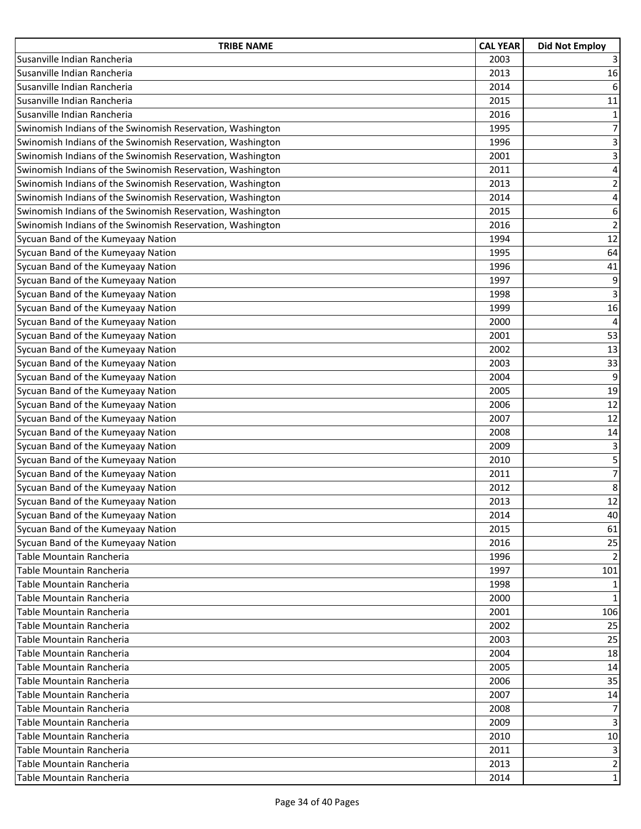| <b>TRIBE NAME</b>                                          | <b>CAL YEAR</b> | <b>Did Not Employ</b>     |
|------------------------------------------------------------|-----------------|---------------------------|
| Susanville Indian Rancheria                                | 2003            | $\overline{3}$            |
| Susanville Indian Rancheria                                | 2013            | 16                        |
| Susanville Indian Rancheria                                | 2014            | 6                         |
| Susanville Indian Rancheria                                | 2015            | 11                        |
| Susanville Indian Rancheria                                | 2016            | $\mathbf 1$               |
| Swinomish Indians of the Swinomish Reservation, Washington | 1995            | $\overline{7}$            |
| Swinomish Indians of the Swinomish Reservation, Washington | 1996            | $\ensuremath{\mathsf{3}}$ |
| Swinomish Indians of the Swinomish Reservation, Washington | 2001            | 3                         |
| Swinomish Indians of the Swinomish Reservation, Washington | 2011            | $\overline{\mathbf{4}}$   |
| Swinomish Indians of the Swinomish Reservation, Washington | 2013            | $\overline{2}$            |
| Swinomish Indians of the Swinomish Reservation, Washington | 2014            | $\overline{\mathbf{4}}$   |
| Swinomish Indians of the Swinomish Reservation, Washington | 2015            | 6                         |
| Swinomish Indians of the Swinomish Reservation, Washington | 2016            | $\overline{2}$            |
| Sycuan Band of the Kumeyaay Nation                         | 1994            | 12                        |
| Sycuan Band of the Kumeyaay Nation                         | 1995            | 64                        |
| Sycuan Band of the Kumeyaay Nation                         | 1996            | 41                        |
| Sycuan Band of the Kumeyaay Nation                         | 1997            | 9                         |
| Sycuan Band of the Kumeyaay Nation                         | 1998            | 3                         |
| Sycuan Band of the Kumeyaay Nation                         | 1999            | 16                        |
| Sycuan Band of the Kumeyaay Nation                         | 2000            | $\overline{\mathbf{4}}$   |
| Sycuan Band of the Kumeyaay Nation                         | 2001            | 53                        |
| Sycuan Band of the Kumeyaay Nation                         | 2002            | 13                        |
| Sycuan Band of the Kumeyaay Nation                         | 2003            | 33                        |
| Sycuan Band of the Kumeyaay Nation                         | 2004            | 9                         |
| Sycuan Band of the Kumeyaay Nation                         | 2005            | 19                        |
| Sycuan Band of the Kumeyaay Nation                         | 2006            | 12                        |
| Sycuan Band of the Kumeyaay Nation                         | 2007            | 12                        |
| Sycuan Band of the Kumeyaay Nation                         | 2008            | 14                        |
| Sycuan Band of the Kumeyaay Nation                         | 2009            | 3                         |
| Sycuan Band of the Kumeyaay Nation                         | 2010            | 5                         |
| Sycuan Band of the Kumeyaay Nation                         | 2011            | $\overline{7}$            |
| Sycuan Band of the Kumeyaay Nation                         | 2012            | 8                         |
| Sycuan Band of the Kumeyaay Nation                         | 2013            | 12                        |
| Sycuan Band of the Kumeyaay Nation                         | 2014            | 40                        |
| Sycuan Band of the Kumeyaay Nation                         | 2015            | 61                        |
| Sycuan Band of the Kumeyaay Nation                         | 2016            | 25                        |
| Table Mountain Rancheria                                   | 1996            | $\overline{2}$            |
| Table Mountain Rancheria                                   | 1997            | 101                       |
| Table Mountain Rancheria                                   | 1998            | 1                         |
| Table Mountain Rancheria                                   | 2000            | $\mathbf{1}$              |
| Table Mountain Rancheria                                   | 2001            | 106                       |
| Table Mountain Rancheria                                   | 2002            | 25                        |
| Table Mountain Rancheria                                   | 2003            | 25                        |
| Table Mountain Rancheria                                   | 2004            | 18                        |
| Table Mountain Rancheria                                   | 2005            | 14                        |
| Table Mountain Rancheria                                   | 2006            | 35                        |
| Table Mountain Rancheria                                   | 2007            | 14                        |
| Table Mountain Rancheria                                   | 2008            | 7                         |
| Table Mountain Rancheria                                   | 2009            | 3                         |
| Table Mountain Rancheria                                   | 2010            | 10                        |
| Table Mountain Rancheria                                   | 2011            | 3                         |
| Table Mountain Rancheria                                   | 2013            | $\overline{2}$            |
| Table Mountain Rancheria                                   | 2014            | 1                         |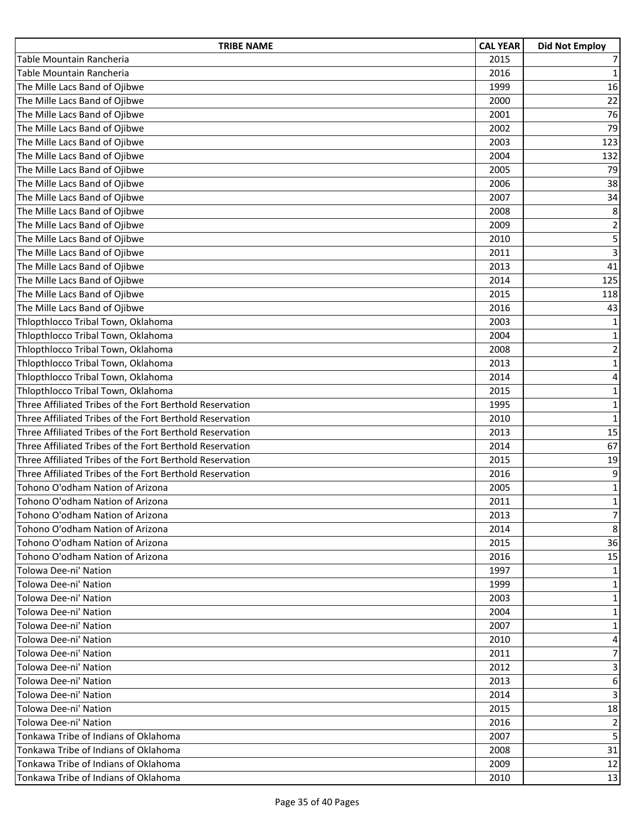| <b>TRIBE NAME</b>                                        | <b>CAL YEAR</b> | <b>Did Not Employ</b>   |
|----------------------------------------------------------|-----------------|-------------------------|
| Table Mountain Rancheria                                 | 2015            | $\overline{7}$          |
| Table Mountain Rancheria                                 | 2016            | $\mathbf 1$             |
| The Mille Lacs Band of Ojibwe                            | 1999            | 16                      |
| The Mille Lacs Band of Ojibwe                            | 2000            | 22                      |
| The Mille Lacs Band of Ojibwe                            | 2001            | 76                      |
| The Mille Lacs Band of Ojibwe                            | 2002            | 79                      |
| The Mille Lacs Band of Ojibwe                            | 2003            | 123                     |
| The Mille Lacs Band of Ojibwe                            | 2004            | 132                     |
| The Mille Lacs Band of Ojibwe                            | 2005            | 79                      |
| The Mille Lacs Band of Ojibwe                            | 2006            | 38                      |
| The Mille Lacs Band of Ojibwe                            | 2007            | 34                      |
| The Mille Lacs Band of Ojibwe                            | 2008            | 8                       |
| The Mille Lacs Band of Ojibwe                            | 2009            | $\overline{2}$          |
| The Mille Lacs Band of Ojibwe                            | 2010            | 5                       |
| The Mille Lacs Band of Ojibwe                            | 2011            | $\overline{3}$          |
| The Mille Lacs Band of Ojibwe                            | 2013            | 41                      |
| The Mille Lacs Band of Ojibwe                            | 2014            | 125                     |
| The Mille Lacs Band of Ojibwe                            | 2015            | 118                     |
| The Mille Lacs Band of Ojibwe                            | 2016            | 43                      |
| Thlopthlocco Tribal Town, Oklahoma                       | 2003            | $\mathbf 1$             |
| Thlopthlocco Tribal Town, Oklahoma                       | 2004            | $\mathbf 1$             |
| Thlopthlocco Tribal Town, Oklahoma                       | 2008            | $\mathbf 2$             |
| Thlopthlocco Tribal Town, Oklahoma                       | 2013            | $\mathbf 1$             |
| Thlopthlocco Tribal Town, Oklahoma                       | 2014            | $\overline{\mathbf{4}}$ |
| Thlopthlocco Tribal Town, Oklahoma                       | 2015            | $\mathbf 1$             |
| Three Affiliated Tribes of the Fort Berthold Reservation | 1995            | $\mathbf 1$             |
| Three Affiliated Tribes of the Fort Berthold Reservation | 2010            | $\mathbf 1$             |
| Three Affiliated Tribes of the Fort Berthold Reservation | 2013            | 15                      |
| Three Affiliated Tribes of the Fort Berthold Reservation | 2014            | 67                      |
| Three Affiliated Tribes of the Fort Berthold Reservation | 2015            | 19                      |
| Three Affiliated Tribes of the Fort Berthold Reservation | 2016            | 9                       |
| Tohono O'odham Nation of Arizona                         | 2005            | $\mathbf 1$             |
| Tohono O'odham Nation of Arizona                         | 2011            | $\mathbf 1$             |
| Tohono O'odham Nation of Arizona                         | 2013            | $\overline{7}$          |
| Tohono O'odham Nation of Arizona                         | 2014            | 8                       |
| Tohono O'odham Nation of Arizona                         | 2015            | 36                      |
| Tohono O'odham Nation of Arizona                         | 2016            | 15                      |
| Tolowa Dee-ni' Nation                                    | 1997            | 1                       |
| Tolowa Dee-ni' Nation                                    | 1999            | 1                       |
| Tolowa Dee-ni' Nation                                    | 2003            | $\mathbf{1}$            |
| Tolowa Dee-ni' Nation                                    | 2004            | 1                       |
| Tolowa Dee-ni' Nation                                    | 2007            | $\mathbf{1}$            |
| Tolowa Dee-ni' Nation                                    | 2010            | 4                       |
| Tolowa Dee-ni' Nation                                    | 2011            | 7                       |
| Tolowa Dee-ni' Nation                                    | 2012            | 3                       |
| Tolowa Dee-ni' Nation                                    | 2013            | 6                       |
| Tolowa Dee-ni' Nation                                    | 2014            | 3                       |
| Tolowa Dee-ni' Nation                                    | 2015            | 18                      |
| Tolowa Dee-ni' Nation                                    | 2016            | 2                       |
| Tonkawa Tribe of Indians of Oklahoma                     | 2007            | 5                       |
| Tonkawa Tribe of Indians of Oklahoma                     | 2008            | 31                      |
| Tonkawa Tribe of Indians of Oklahoma                     | 2009            | 12                      |
| Tonkawa Tribe of Indians of Oklahoma                     | 2010            | 13                      |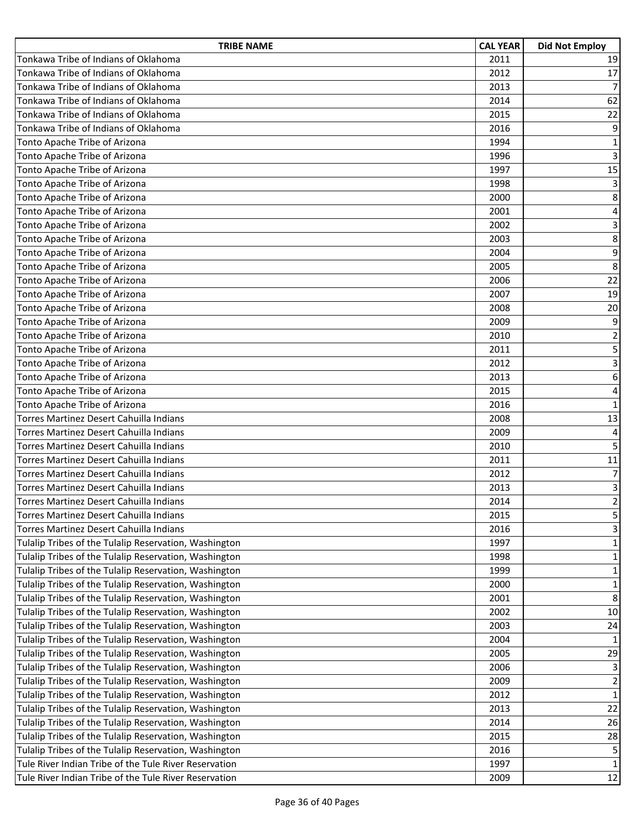| <b>TRIBE NAME</b>                                     | <b>CAL YEAR</b> | <b>Did Not Employ</b>   |
|-------------------------------------------------------|-----------------|-------------------------|
| Tonkawa Tribe of Indians of Oklahoma                  | 2011            | 19                      |
| Tonkawa Tribe of Indians of Oklahoma                  | 2012            | 17                      |
| Tonkawa Tribe of Indians of Oklahoma                  | 2013            | $\overline{7}$          |
| Tonkawa Tribe of Indians of Oklahoma                  | 2014            | 62                      |
| Tonkawa Tribe of Indians of Oklahoma                  | 2015            | 22                      |
| Tonkawa Tribe of Indians of Oklahoma                  | 2016            | 9                       |
| Tonto Apache Tribe of Arizona                         | 1994            | $\mathbf{1}$            |
| Tonto Apache Tribe of Arizona                         | 1996            | $\overline{3}$          |
| Tonto Apache Tribe of Arizona                         | 1997            | 15                      |
| Tonto Apache Tribe of Arizona                         | 1998            | 3                       |
| Tonto Apache Tribe of Arizona                         | 2000            | 8                       |
| Tonto Apache Tribe of Arizona                         | 2001            | 4                       |
| Tonto Apache Tribe of Arizona                         | 2002            | $\overline{3}$          |
| Tonto Apache Tribe of Arizona                         | 2003            | 8                       |
| Tonto Apache Tribe of Arizona                         | 2004            | 9                       |
| Tonto Apache Tribe of Arizona                         | 2005            | 8                       |
| Tonto Apache Tribe of Arizona                         | 2006            | 22                      |
| Tonto Apache Tribe of Arizona                         | 2007            | 19                      |
| Tonto Apache Tribe of Arizona                         | 2008            | 20                      |
| Tonto Apache Tribe of Arizona                         | 2009            | 9                       |
| Tonto Apache Tribe of Arizona                         | 2010            | $\mathbf 2$             |
| Tonto Apache Tribe of Arizona                         | 2011            | 5                       |
| Tonto Apache Tribe of Arizona                         | 2012            | $\overline{3}$          |
| Tonto Apache Tribe of Arizona                         | 2013            | 6                       |
| Tonto Apache Tribe of Arizona                         | 2015            | $\overline{\mathbf{4}}$ |
| Tonto Apache Tribe of Arizona                         | 2016            | $\mathbf 1$             |
| Torres Martinez Desert Cahuilla Indians               | 2008            | 13                      |
| Torres Martinez Desert Cahuilla Indians               | 2009            | $\overline{4}$          |
| Torres Martinez Desert Cahuilla Indians               | 2010            | 5                       |
| Torres Martinez Desert Cahuilla Indians               | 2011            | 11                      |
| Torres Martinez Desert Cahuilla Indians               | 2012            | $\overline{7}$          |
| Torres Martinez Desert Cahuilla Indians               | 2013            | 3                       |
| Torres Martinez Desert Cahuilla Indians               | 2014            | $\overline{2}$          |
| Torres Martinez Desert Cahuilla Indians               | 2015            | 5                       |
| Torres Martinez Desert Cahuilla Indians               | 2016            | 3                       |
| Tulalip Tribes of the Tulalip Reservation, Washington | 1997            | 1                       |
| Tulalip Tribes of the Tulalip Reservation, Washington | 1998            | $\mathbf{1}$            |
| Tulalip Tribes of the Tulalip Reservation, Washington | 1999            | $\mathbf{1}$            |
| Tulalip Tribes of the Tulalip Reservation, Washington | 2000            | $\mathbf{1}$            |
| Tulalip Tribes of the Tulalip Reservation, Washington | 2001            | 8                       |
| Tulalip Tribes of the Tulalip Reservation, Washington | 2002            | 10                      |
| Tulalip Tribes of the Tulalip Reservation, Washington | 2003            | 24                      |
| Tulalip Tribes of the Tulalip Reservation, Washington | 2004            | 1                       |
| Tulalip Tribes of the Tulalip Reservation, Washington | 2005            | 29                      |
| Tulalip Tribes of the Tulalip Reservation, Washington | 2006            | 3                       |
| Tulalip Tribes of the Tulalip Reservation, Washington | 2009            | $\overline{\mathbf{c}}$ |
| Tulalip Tribes of the Tulalip Reservation, Washington | 2012            | $\mathbf{1}$            |
| Tulalip Tribes of the Tulalip Reservation, Washington | 2013            | 22                      |
| Tulalip Tribes of the Tulalip Reservation, Washington | 2014            | 26                      |
| Tulalip Tribes of the Tulalip Reservation, Washington | 2015            | 28                      |
| Tulalip Tribes of the Tulalip Reservation, Washington | 2016            | 5                       |
| Tule River Indian Tribe of the Tule River Reservation | 1997            | $\mathbf{1}$            |
| Tule River Indian Tribe of the Tule River Reservation | 2009            | 12                      |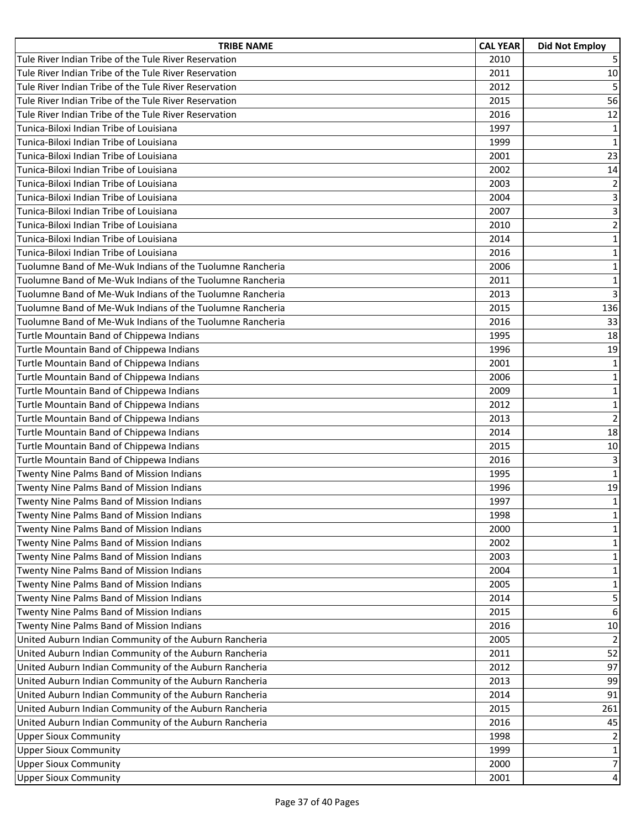| <b>TRIBE NAME</b>                                         | <b>CAL YEAR</b> | <b>Did Not Employ</b> |
|-----------------------------------------------------------|-----------------|-----------------------|
| Tule River Indian Tribe of the Tule River Reservation     | 2010            | 5                     |
| Tule River Indian Tribe of the Tule River Reservation     | 2011            | 10                    |
| Tule River Indian Tribe of the Tule River Reservation     | 2012            | 5                     |
| Tule River Indian Tribe of the Tule River Reservation     | 2015            | 56                    |
| Tule River Indian Tribe of the Tule River Reservation     | 2016            | 12                    |
| Tunica-Biloxi Indian Tribe of Louisiana                   | 1997            | $\mathbf 1$           |
| Tunica-Biloxi Indian Tribe of Louisiana                   | 1999            | $\mathbf 1$           |
| Tunica-Biloxi Indian Tribe of Louisiana                   | 2001            | 23                    |
| Tunica-Biloxi Indian Tribe of Louisiana                   | 2002            | 14                    |
| Tunica-Biloxi Indian Tribe of Louisiana                   | 2003            | $\mathbf 2$           |
| Tunica-Biloxi Indian Tribe of Louisiana                   | 2004            | $\overline{3}$        |
| Tunica-Biloxi Indian Tribe of Louisiana                   | 2007            | 3                     |
| Tunica-Biloxi Indian Tribe of Louisiana                   | 2010            | $\overline{2}$        |
| Tunica-Biloxi Indian Tribe of Louisiana                   | 2014            | $\mathbf 1$           |
| Tunica-Biloxi Indian Tribe of Louisiana                   | 2016            | $\mathbf 1$           |
| Tuolumne Band of Me-Wuk Indians of the Tuolumne Rancheria | 2006            | $\mathbf 1$           |
| Tuolumne Band of Me-Wuk Indians of the Tuolumne Rancheria | 2011            | $\mathbf 1$           |
| Tuolumne Band of Me-Wuk Indians of the Tuolumne Rancheria | 2013            | $\overline{3}$        |
| Tuolumne Band of Me-Wuk Indians of the Tuolumne Rancheria | 2015            | 136                   |
| Tuolumne Band of Me-Wuk Indians of the Tuolumne Rancheria | 2016            | 33                    |
| Turtle Mountain Band of Chippewa Indians                  | 1995            | 18                    |
| Turtle Mountain Band of Chippewa Indians                  | 1996            | 19                    |
| Turtle Mountain Band of Chippewa Indians                  | 2001            | $\mathbf 1$           |
| Turtle Mountain Band of Chippewa Indians                  | 2006            | $\mathbf 1$           |
| Turtle Mountain Band of Chippewa Indians                  | 2009            | $\mathbf 1$           |
| Turtle Mountain Band of Chippewa Indians                  | 2012            | $\mathbf 1$           |
| Turtle Mountain Band of Chippewa Indians                  | 2013            | $\overline{2}$        |
| Turtle Mountain Band of Chippewa Indians                  | 2014            | 18                    |
| Turtle Mountain Band of Chippewa Indians                  | 2015            | 10                    |
| Turtle Mountain Band of Chippewa Indians                  | 2016            | 3                     |
| Twenty Nine Palms Band of Mission Indians                 | 1995            | $\mathbf 1$           |
| Twenty Nine Palms Band of Mission Indians                 | 1996            | 19                    |
| Twenty Nine Palms Band of Mission Indians                 | 1997            | $\mathbf{1}$          |
| Twenty Nine Palms Band of Mission Indians                 | 1998            | $\mathbf{1}$          |
| Twenty Nine Palms Band of Mission Indians                 | 2000            | 1                     |
| Twenty Nine Palms Band of Mission Indians                 | 2002            | 1                     |
| Twenty Nine Palms Band of Mission Indians                 | 2003            | $\mathbf{1}$          |
| Twenty Nine Palms Band of Mission Indians                 | 2004            | $\mathbf{1}$          |
| Twenty Nine Palms Band of Mission Indians                 | 2005            | 1                     |
| Twenty Nine Palms Band of Mission Indians                 | 2014            | 5                     |
| Twenty Nine Palms Band of Mission Indians                 | 2015            | $\boldsymbol{6}$      |
| Twenty Nine Palms Band of Mission Indians                 | 2016            | 10                    |
| United Auburn Indian Community of the Auburn Rancheria    | 2005            | $\overline{2}$        |
| United Auburn Indian Community of the Auburn Rancheria    | 2011            | 52                    |
| United Auburn Indian Community of the Auburn Rancheria    | 2012            | 97                    |
| United Auburn Indian Community of the Auburn Rancheria    | 2013            | 99                    |
| United Auburn Indian Community of the Auburn Rancheria    | 2014            | 91                    |
| United Auburn Indian Community of the Auburn Rancheria    | 2015            | 261                   |
| United Auburn Indian Community of the Auburn Rancheria    | 2016            | 45                    |
| <b>Upper Sioux Community</b>                              | 1998            | 2                     |
| <b>Upper Sioux Community</b>                              | 1999            | $\mathbf{1}$          |
| <b>Upper Sioux Community</b>                              | 2000            | $\overline{7}$        |
| <b>Upper Sioux Community</b>                              | 2001            | $\overline{4}$        |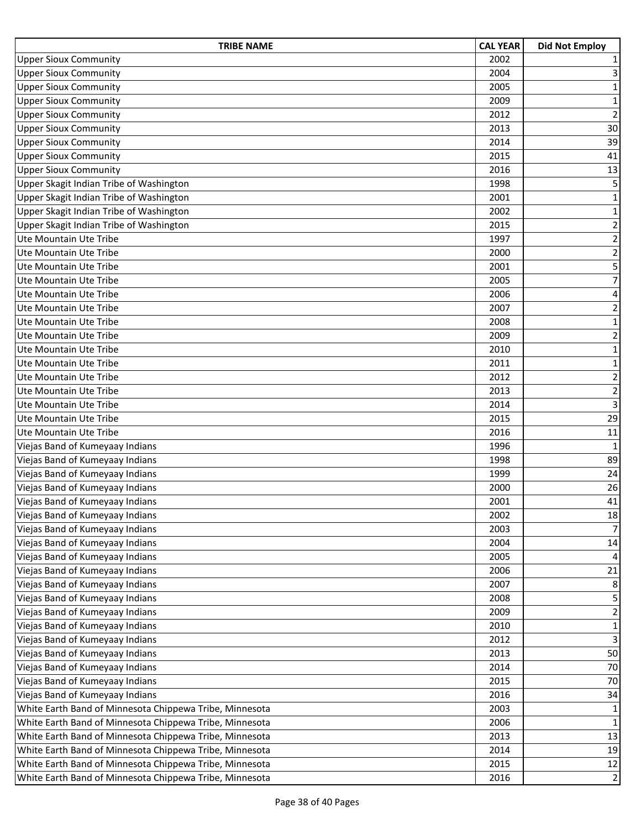| <b>TRIBE NAME</b>                                       | <b>CAL YEAR</b> | <b>Did Not Employ</b>   |
|---------------------------------------------------------|-----------------|-------------------------|
| <b>Upper Sioux Community</b>                            | 2002            | 1                       |
| <b>Upper Sioux Community</b>                            | 2004            | 3                       |
| <b>Upper Sioux Community</b>                            | 2005            | $\mathbf{1}$            |
| <b>Upper Sioux Community</b>                            | 2009            | $\mathbf 1$             |
| <b>Upper Sioux Community</b>                            | 2012            | $\overline{2}$          |
| <b>Upper Sioux Community</b>                            | 2013            | 30                      |
| <b>Upper Sioux Community</b>                            | 2014            | 39                      |
| <b>Upper Sioux Community</b>                            | 2015            | 41                      |
| <b>Upper Sioux Community</b>                            | 2016            | 13                      |
| Upper Skagit Indian Tribe of Washington                 | 1998            | 5                       |
| Upper Skagit Indian Tribe of Washington                 | 2001            | $\mathbf{1}$            |
| Upper Skagit Indian Tribe of Washington                 | 2002            | $\mathbf 1$             |
| Upper Skagit Indian Tribe of Washington                 | 2015            | 2                       |
| Ute Mountain Ute Tribe                                  | 1997            | $\overline{2}$          |
| Ute Mountain Ute Tribe                                  | 2000            | $\overline{2}$          |
| Ute Mountain Ute Tribe                                  | 2001            | 5                       |
| Ute Mountain Ute Tribe                                  | 2005            | $\overline{7}$          |
| Ute Mountain Ute Tribe                                  | 2006            | 4                       |
| Ute Mountain Ute Tribe                                  | 2007            | $\overline{2}$          |
| Ute Mountain Ute Tribe                                  | 2008            | $\mathbf 1$             |
| Ute Mountain Ute Tribe                                  | 2009            | $\overline{2}$          |
| Ute Mountain Ute Tribe                                  | 2010            | $\mathbf{1}$            |
| Ute Mountain Ute Tribe                                  | 2011            | $\mathbf{1}$            |
| Ute Mountain Ute Tribe                                  | 2012            | $\overline{\mathbf{c}}$ |
| Ute Mountain Ute Tribe                                  | 2013            | $\mathbf 2$             |
| Ute Mountain Ute Tribe                                  | 2014            | 3                       |
| Ute Mountain Ute Tribe                                  | 2015            | 29                      |
| Ute Mountain Ute Tribe                                  | 2016            | 11                      |
| Viejas Band of Kumeyaay Indians                         | 1996            | $\mathbf{1}$            |
| Viejas Band of Kumeyaay Indians                         | 1998            | 89                      |
| Viejas Band of Kumeyaay Indians                         | 1999            | 24                      |
| Viejas Band of Kumeyaay Indians                         | 2000            | 26                      |
| Viejas Band of Kumeyaay Indians                         | 2001            | 41                      |
| Viejas Band of Kumeyaay Indians                         | 2002            | 18                      |
| Viejas Band of Kumeyaay Indians                         | 2003            | $\overline{7}$          |
| Viejas Band of Kumeyaay Indians                         | 2004            | 14                      |
| Viejas Band of Kumeyaay Indians                         | 2005            | 4                       |
| Viejas Band of Kumeyaay Indians                         | 2006            | 21                      |
| Viejas Band of Kumeyaay Indians                         | 2007            | 8                       |
| Viejas Band of Kumeyaay Indians                         | 2008            | 5                       |
| Viejas Band of Kumeyaay Indians                         | 2009            | $\overline{\mathbf{c}}$ |
| Viejas Band of Kumeyaay Indians                         | 2010            | $\mathbf 1$             |
| Viejas Band of Kumeyaay Indians                         | 2012            | 3                       |
| Viejas Band of Kumeyaay Indians                         | 2013            | 50                      |
| Viejas Band of Kumeyaay Indians                         | 2014            | 70                      |
| Viejas Band of Kumeyaay Indians                         | 2015            | 70                      |
| Viejas Band of Kumeyaay Indians                         | 2016            | 34                      |
| White Earth Band of Minnesota Chippewa Tribe, Minnesota | 2003            | $\mathbf{1}$            |
| White Earth Band of Minnesota Chippewa Tribe, Minnesota | 2006            | $\mathbf 1$             |
| White Earth Band of Minnesota Chippewa Tribe, Minnesota | 2013            | 13                      |
| White Earth Band of Minnesota Chippewa Tribe, Minnesota | 2014            | 19                      |
| White Earth Band of Minnesota Chippewa Tribe, Minnesota | 2015            | 12                      |
| White Earth Band of Minnesota Chippewa Tribe, Minnesota | 2016            | $\overline{2}$          |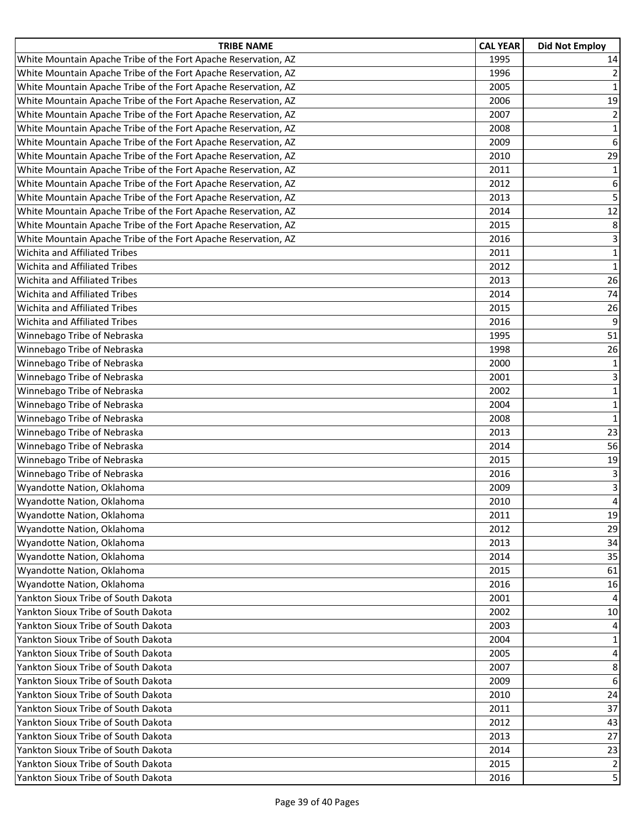| <b>TRIBE NAME</b>                                              | <b>CAL YEAR</b> | <b>Did Not Employ</b> |
|----------------------------------------------------------------|-----------------|-----------------------|
| White Mountain Apache Tribe of the Fort Apache Reservation, AZ | 1995            | 14                    |
| White Mountain Apache Tribe of the Fort Apache Reservation, AZ | 1996            | $\overline{2}$        |
| White Mountain Apache Tribe of the Fort Apache Reservation, AZ | 2005            | 1                     |
| White Mountain Apache Tribe of the Fort Apache Reservation, AZ | 2006            | 19                    |
| White Mountain Apache Tribe of the Fort Apache Reservation, AZ | 2007            | $\overline{2}$        |
| White Mountain Apache Tribe of the Fort Apache Reservation, AZ | 2008            | $\mathbf{1}$          |
| White Mountain Apache Tribe of the Fort Apache Reservation, AZ | 2009            | $6\,$                 |
| White Mountain Apache Tribe of the Fort Apache Reservation, AZ | 2010            | 29                    |
| White Mountain Apache Tribe of the Fort Apache Reservation, AZ | 2011            | $\mathbf{1}$          |
| White Mountain Apache Tribe of the Fort Apache Reservation, AZ | 2012            | 6                     |
| White Mountain Apache Tribe of the Fort Apache Reservation, AZ | 2013            | 5                     |
| White Mountain Apache Tribe of the Fort Apache Reservation, AZ | 2014            | 12                    |
| White Mountain Apache Tribe of the Fort Apache Reservation, AZ | 2015            | 8                     |
| White Mountain Apache Tribe of the Fort Apache Reservation, AZ | 2016            | 3                     |
| Wichita and Affiliated Tribes                                  | 2011            | $\mathbf{1}$          |
| <b>Wichita and Affiliated Tribes</b>                           | 2012            | $\mathbf 1$           |
| Wichita and Affiliated Tribes                                  | 2013            | 26                    |
| Wichita and Affiliated Tribes                                  | 2014            | 74                    |
| Wichita and Affiliated Tribes                                  | 2015            | 26                    |
| Wichita and Affiliated Tribes                                  | 2016            | 9                     |
| Winnebago Tribe of Nebraska                                    | 1995            | 51                    |
| Winnebago Tribe of Nebraska                                    | 1998            | 26                    |
| Winnebago Tribe of Nebraska                                    | 2000            | $\mathbf 1$           |
| Winnebago Tribe of Nebraska                                    | 2001            | 3                     |
| Winnebago Tribe of Nebraska                                    | 2002            | $\mathbf{1}$          |
| Winnebago Tribe of Nebraska                                    | 2004            | $\mathbf 1$           |
| Winnebago Tribe of Nebraska                                    | 2008            | $\mathbf 1$           |
| Winnebago Tribe of Nebraska                                    | 2013            | 23                    |
| Winnebago Tribe of Nebraska                                    | 2014            | 56                    |
| Winnebago Tribe of Nebraska                                    | 2015            | 19                    |
| Winnebago Tribe of Nebraska                                    | 2016            | 3                     |
| Wyandotte Nation, Oklahoma                                     | 2009            | 3                     |
| Wyandotte Nation, Oklahoma                                     | 2010            | 4                     |
| Wyandotte Nation, Oklahoma                                     | 2011            | 19                    |
| Wyandotte Nation, Oklahoma                                     | 2012            | 29                    |
| Wyandotte Nation, Oklahoma                                     | 2013            | 34                    |
| Wyandotte Nation, Oklahoma                                     | 2014            | 35                    |
| Wyandotte Nation, Oklahoma                                     | 2015            | 61                    |
| Wyandotte Nation, Oklahoma                                     | 2016            | 16                    |
| Yankton Sioux Tribe of South Dakota                            | 2001            | 4                     |
| Yankton Sioux Tribe of South Dakota                            | 2002            | 10                    |
| Yankton Sioux Tribe of South Dakota                            | 2003            | 4                     |
| Yankton Sioux Tribe of South Dakota                            | 2004            | $\mathbf{1}$          |
| Yankton Sioux Tribe of South Dakota                            | 2005            | 4                     |
| Yankton Sioux Tribe of South Dakota                            | 2007            | 8                     |
| Yankton Sioux Tribe of South Dakota                            | 2009            | $6\,$                 |
| Yankton Sioux Tribe of South Dakota                            | 2010            | 24                    |
| Yankton Sioux Tribe of South Dakota                            | 2011            | 37                    |
| Yankton Sioux Tribe of South Dakota                            | 2012            | 43                    |
| Yankton Sioux Tribe of South Dakota                            | 2013            | 27                    |
| Yankton Sioux Tribe of South Dakota                            | 2014            | 23                    |
| Yankton Sioux Tribe of South Dakota                            | 2015            | $\overline{2}$        |
| Yankton Sioux Tribe of South Dakota                            | 2016            | 5                     |